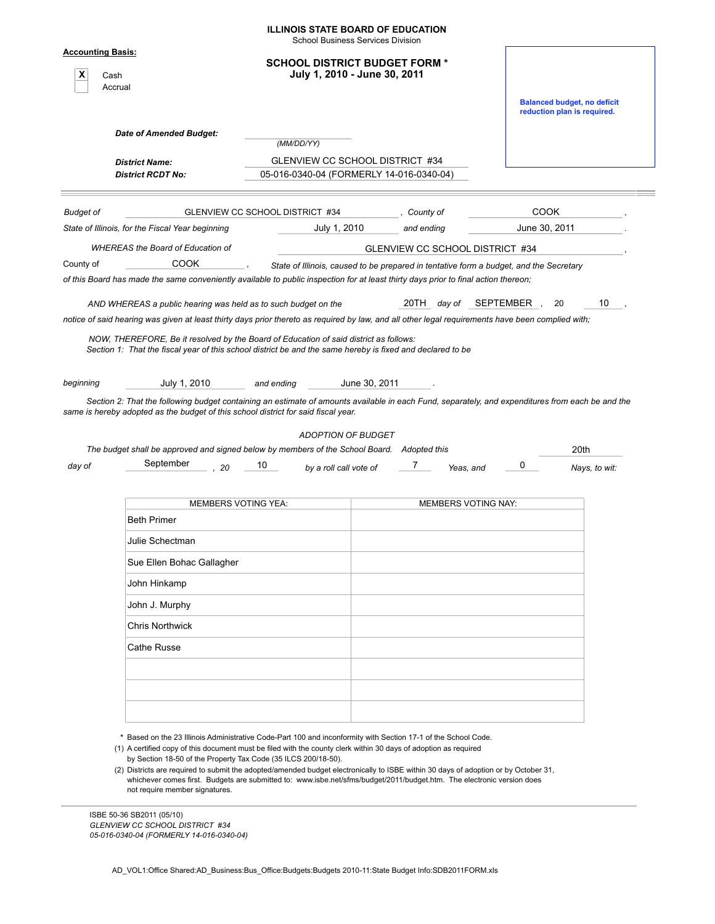|                                                  |                                                                                                                                                                                                                                                        | <b>School Business Services Division</b> |                                                                                        |                            |                                                                   |    |  |
|--------------------------------------------------|--------------------------------------------------------------------------------------------------------------------------------------------------------------------------------------------------------------------------------------------------------|------------------------------------------|----------------------------------------------------------------------------------------|----------------------------|-------------------------------------------------------------------|----|--|
| <b>Accounting Basis:</b><br>X<br>Cash<br>Accrual |                                                                                                                                                                                                                                                        |                                          | <b>SCHOOL DISTRICT BUDGET FORM *</b><br>July 1, 2010 - June 30, 2011                   |                            |                                                                   |    |  |
|                                                  |                                                                                                                                                                                                                                                        |                                          |                                                                                        |                            | <b>Balanced budget, no deficit</b><br>reduction plan is required. |    |  |
|                                                  | <b>Date of Amended Budget:</b>                                                                                                                                                                                                                         | (MM/DD/YY)                               |                                                                                        |                            |                                                                   |    |  |
|                                                  | <b>District Name:</b>                                                                                                                                                                                                                                  |                                          | GLENVIEW CC SCHOOL DISTRICT #34                                                        |                            |                                                                   |    |  |
|                                                  | <b>District RCDT No:</b>                                                                                                                                                                                                                               |                                          | 05-016-0340-04 (FORMERLY 14-016-0340-04)                                               |                            |                                                                   |    |  |
| <b>Budget of</b>                                 |                                                                                                                                                                                                                                                        | GLENVIEW CC SCHOOL DISTRICT #34          | County of                                                                              |                            | <b>COOK</b>                                                       |    |  |
|                                                  | State of Illinois, for the Fiscal Year beginning                                                                                                                                                                                                       | July 1, 2010                             | and ending                                                                             |                            | June 30, 2011                                                     |    |  |
|                                                  | <b>WHEREAS</b> the Board of Education of                                                                                                                                                                                                               |                                          | GLENVIEW CC SCHOOL DISTRICT #34                                                        |                            |                                                                   |    |  |
| County of                                        | <b>COOK</b>                                                                                                                                                                                                                                            |                                          | State of Illinois, caused to be prepared in tentative form a budget, and the Secretary |                            |                                                                   |    |  |
|                                                  | of this Board has made the same conveniently available to public inspection for at least thirty days prior to final action thereon;                                                                                                                    |                                          |                                                                                        |                            |                                                                   |    |  |
|                                                  | AND WHEREAS a public hearing was held as to such budget on the                                                                                                                                                                                         |                                          |                                                                                        | 20TH day of SEPTEMBER      | 20                                                                | 10 |  |
|                                                  | NOW, THEREFORE, Be it resolved by the Board of Education of said district as follows:<br>Section 1: That the fiscal year of this school district be and the same hereby is fixed and declared to be                                                    |                                          |                                                                                        |                            |                                                                   |    |  |
|                                                  | July 1, 2010<br>Section 2: That the following budget containing an estimate of amounts available in each Fund, separately, and expenditures from each be and the<br>same is hereby adopted as the budget of this school district for said fiscal year. | and ending<br><b>ADOPTION OF BUDGET</b>  | June 30, 2011                                                                          |                            |                                                                   |    |  |
|                                                  | The budget shall be approved and signed below by members of the School Board.<br>September<br>20                                                                                                                                                       | 10<br>by a roll call vote of             | Adopted this<br>7                                                                      | 0<br>Yeas, and             | 20th<br>Nays, to wit:                                             |    |  |
|                                                  |                                                                                                                                                                                                                                                        |                                          |                                                                                        |                            |                                                                   |    |  |
|                                                  | <b>MEMBERS VOTING YEA:</b>                                                                                                                                                                                                                             |                                          |                                                                                        | <b>MEMBERS VOTING NAY:</b> |                                                                   |    |  |
|                                                  | <b>Beth Primer</b>                                                                                                                                                                                                                                     |                                          |                                                                                        |                            |                                                                   |    |  |
|                                                  | Julie Schectman                                                                                                                                                                                                                                        |                                          |                                                                                        |                            |                                                                   |    |  |
|                                                  | Sue Ellen Bohac Gallagher                                                                                                                                                                                                                              |                                          |                                                                                        |                            |                                                                   |    |  |
|                                                  | John Hinkamp                                                                                                                                                                                                                                           |                                          |                                                                                        |                            |                                                                   |    |  |
|                                                  | John J. Murphy                                                                                                                                                                                                                                         |                                          |                                                                                        |                            |                                                                   |    |  |
|                                                  | <b>Chris Northwick</b>                                                                                                                                                                                                                                 |                                          |                                                                                        |                            |                                                                   |    |  |
| day of                                           | Cathe Russe                                                                                                                                                                                                                                            |                                          |                                                                                        |                            |                                                                   |    |  |
|                                                  |                                                                                                                                                                                                                                                        |                                          |                                                                                        |                            |                                                                   |    |  |
| beginning                                        |                                                                                                                                                                                                                                                        |                                          |                                                                                        |                            |                                                                   |    |  |

\* Based on the 23 Illinois Administrative Code-Part 100 and inconformity with Section 17-1 of the School Code.

(1) A certified copy of this document must be filed with the county clerk within 30 days of adoption as required by Section 18-50 of the Property Tax Code (35 ILCS 200/18-50).

(2) Districts are required to submit the adopted/amended budget electronically to ISBE within 30 days of adoption or by October 31, whichever comes first. Budgets are submitted to: www.isbe.net/sfms/budget/2011/budget.htm. The electronic version does not require member signatures.

ISBE 50-36 SB2011 (05/10) *GLENVIEW CC SCHOOL DISTRICT #34 05-016-0340-04 (FORMERLY 14-016-0340-04)*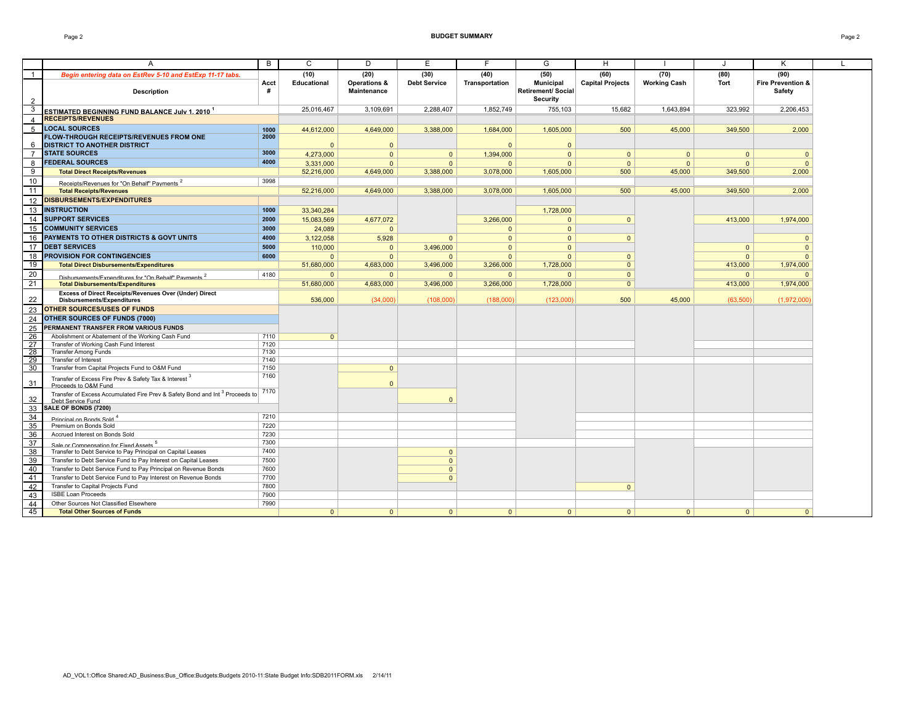#### Page 2 **BUDGET SUMMARY** Page 2

|                 | A                                                                                       | B            | C            | D                  | E                   | F              | G                         | H                       |                     | J            | K                 | $\mathbf{L}$ |
|-----------------|-----------------------------------------------------------------------------------------|--------------|--------------|--------------------|---------------------|----------------|---------------------------|-------------------------|---------------------|--------------|-------------------|--------------|
| $\mathbf{1}$    | Begin entering data on EstRev 5-10 and EstExp 11-17 tabs.                               |              | (10)         | (20)               | (30)                | (40)           | (50)                      | (60)                    | (70)                | (80)         | (90)              |              |
|                 |                                                                                         | Acct         | Educational  | Operations &       | <b>Debt Service</b> | Transportation | <b>Municipal</b>          | <b>Capital Projects</b> | <b>Working Cash</b> | <b>Tort</b>  | Fire Prevention & |              |
|                 | <b>Description</b>                                                                      | #            |              | <b>Maintenance</b> |                     |                | <b>Retirement/ Social</b> |                         |                     |              | Safety            |              |
| $\overline{2}$  |                                                                                         |              |              |                    |                     |                | Security                  |                         |                     |              |                   |              |
| 3               |                                                                                         |              | 25.016.467   | 3.109.691          | 2.288.407           | 1,852,749      | 755.103                   | 15.682                  | 1.643.894           | 323.992      | 2.206.453         |              |
| $\overline{4}$  | ESTIMATED BEGINNING FUND BALANCE July 1. 2010 <sup>1</sup><br><b>RECEIPTS/REVENUES</b>  |              |              |                    |                     |                |                           |                         |                     |              |                   |              |
|                 |                                                                                         |              |              |                    |                     |                |                           |                         |                     |              |                   |              |
| 5               | <b>LOCAL SOURCES</b>                                                                    | 1000<br>2000 | 44,612,000   | 4,649,000          | 3,388,000           | 1,684,000      | 1,605,000                 | 500                     | 45,000              | 349,500      | 2,000             |              |
| 6               | <b>FLOW-THROUGH RECEIPTS/REVENUES FROM ONE</b><br><b>DISTRICT TO ANOTHER DISTRICT</b>   |              | $\Omega$     | $\Omega$           |                     | $\Omega$       | $\Omega$                  |                         |                     |              |                   |              |
| $\overline{7}$  | <b>STATE SOURCES</b>                                                                    | 3000         |              |                    |                     |                |                           |                         |                     |              |                   |              |
|                 |                                                                                         | 4000         | 4,273,000    | $\Omega$           | $\Omega$            | 1,394,000      | $\Omega$                  | $\mathbf{0}$            | $\mathbf{0}$        | $\mathbf{0}$ | $\overline{0}$    |              |
| 8               | <b>FEDERAL SOURCES</b>                                                                  |              | 3,331,000    | $\Omega$           | $\Omega$            | $\Omega$       | $\Omega$                  | $\Omega$                | $\mathbf{0}$        | $\Omega$     | $\Omega$          |              |
| 9               | <b>Total Direct Receipts/Revenues</b>                                                   |              | 52,216,000   | 4,649,000          | 3,388,000           | 3,078,000      | 1,605,000                 | 500                     | 45,000              | 349,500      | 2,000             |              |
| $10$            | Receipts/Revenues for "On Behalf" Payments <sup>2</sup>                                 | 3998         |              |                    |                     |                |                           |                         |                     |              |                   |              |
| 11              | <b>Total Receipts/Revenues</b>                                                          |              | 52,216,000   | 4,649,000          | 3,388,000           | 3,078,000      | 1.605.000                 | 500                     | 45,000              | 349,500      | 2,000             |              |
| 12              | <b>DISBURSEMENTS/EXPENDITURES</b>                                                       |              |              |                    |                     |                |                           |                         |                     |              |                   |              |
|                 | 13 INSTRUCTION                                                                          | 1000         | 33.340.284   |                    |                     |                | 1.728.000                 |                         |                     |              |                   |              |
| 14              | <b>SUPPORT SERVICES</b>                                                                 | 2000         | 15.083.569   | 4.677.072          |                     | 3.266.000      | $\Omega$                  | $\Omega$                |                     | 413,000      | 1.974.000         |              |
| 15              | <b>COMMUNITY SERVICES</b>                                                               | 3000         | 24,089       | $\Omega$           |                     | $\mathbf{0}$   | $\Omega$                  |                         |                     |              |                   |              |
|                 | <b>PAYMENTS TO OTHER DISTRICTS &amp; GOVT UNITS</b>                                     | 4000         |              |                    |                     |                |                           |                         |                     |              |                   |              |
| 16              |                                                                                         |              | 3,122,058    | 5,928              | $\Omega$            | $\mathbf{0}$   | $\mathbf{0}$              | $\mathbf{0}$            |                     |              | $\overline{0}$    |              |
| 17              | <b>DEBT SERVICES</b>                                                                    | 5000         | 110,000      | $\mathbf{0}$       | 3.496.000           | $\Omega$       | $\Omega$                  |                         |                     | $\mathbf{0}$ | $\Omega$          |              |
| 18              | <b>PROVISION FOR CONTINGENCIES</b>                                                      | 6000         | $\Omega$     | $\Omega$           | $\Omega$            | $\Omega$       | $\Omega$                  | $\mathbf{0}$            |                     | $\Omega$     | $\Omega$          |              |
| 19              | <b>Total Direct Disbursements/Expenditures</b>                                          |              | 51,680,000   | 4,683,000          | 3,496,000           | 3,266,000      | 1,728,000                 | $\Omega$                |                     | 413,000      | 1,974,000         |              |
| 20              | Disbursements/Expenditures for "On Behalf" Payments <sup>2</sup>                        | 4180         | $\mathbf{0}$ | $\mathbf{0}$       | $\Omega$            | $\mathbf{0}$   | $\mathbf{0}$              | $\mathbf{0}$            |                     | $\mathbf{0}$ | - 0               |              |
| 21              | <b>Total Disbursements/Expenditures</b>                                                 |              | 51,680,000   | 4,683,000          | 3,496,000           | 3,266,000      | 1,728,000                 | $\mathbf{0}$            |                     | 413,000      | 1,974,000         |              |
|                 | Excess of Direct Receipts/Revenues Over (Under) Direct                                  |              |              |                    |                     |                |                           |                         |                     |              |                   |              |
| 22              | <b>Disbursements/Expenditures</b>                                                       |              | 536,000      | (34,000)           | (108,000)           | (188,000)      | (123,000)                 | 500                     | 45,000              | (63,500)     | (1,972,000)       |              |
| 23              | <b>OTHER SOURCES/USES OF FUNDS</b>                                                      |              |              |                    |                     |                |                           |                         |                     |              |                   |              |
| 24              | OTHER SOURCES OF FUNDS (7000)                                                           |              |              |                    |                     |                |                           |                         |                     |              |                   |              |
| 25              | PERMANENT TRANSFER FROM VARIOUS FUNDS                                                   |              |              |                    |                     |                |                           |                         |                     |              |                   |              |
| 26              | Abolishment or Abatement of the Working Cash Fund                                       | 7110         | $\Omega$     |                    |                     |                |                           |                         |                     |              |                   |              |
| 27              | Transfer of Working Cash Fund Interest                                                  | 7120         |              |                    |                     |                |                           |                         |                     |              |                   |              |
| 28              | <b>Transfer Among Funds</b>                                                             | 7130         |              |                    |                     |                |                           |                         |                     |              |                   |              |
| $\overline{29}$ | <b>Transfer of Interest</b>                                                             | 7140         |              |                    |                     |                |                           |                         |                     |              |                   |              |
| 30              | Transfer from Capital Projects Fund to O&M Fund                                         | 7150         |              | $\mathbf{0}$       |                     |                |                           |                         |                     |              |                   |              |
|                 | Transfer of Excess Fire Prev & Safety Tax & Interest <sup>3</sup>                       | 7160         |              |                    |                     |                |                           |                         |                     |              |                   |              |
| 31              | Proceeds to O&M Fund                                                                    |              |              | $\Omega$           |                     |                |                           |                         |                     |              |                   |              |
|                 | Transfer of Excess Accumulated Fire Prev & Safety Bond and Int <sup>3</sup> Proceeds to | 7170         |              |                    |                     |                |                           |                         |                     |              |                   |              |
| 32              | Debt Service Fund                                                                       |              |              |                    | $\Omega$            |                |                           |                         |                     |              |                   |              |
| 33              | SALE OF BONDS (7200)                                                                    |              |              |                    |                     |                |                           |                         |                     |              |                   |              |
| 34              | Principal on Bonds Sold <sup>4</sup>                                                    | 7210         |              |                    |                     |                |                           |                         |                     |              |                   |              |
| 35              | Premium on Bonds Sold                                                                   | 7220         |              |                    |                     |                |                           |                         |                     |              |                   |              |
| 36              | Accrued Interest on Bonds Sold                                                          | 7230         |              |                    |                     |                |                           |                         |                     |              |                   |              |
| $\overline{37}$ | Sale or Compensation for Fixed Assets 5                                                 | 7300         |              |                    |                     |                |                           |                         |                     |              |                   |              |
| 38              | Transfer to Debt Service to Pay Principal on Capital Leases                             | 7400         |              |                    | $\Omega$            |                |                           |                         |                     |              |                   |              |
| 39              | Transfer to Debt Service Fund to Pay Interest on Capital Leases                         | 7500         |              |                    | $\Omega$            |                |                           |                         |                     |              |                   |              |
| 40              | Transfer to Debt Service Fund to Pay Principal on Revenue Bonds                         | 7600         |              |                    | $\mathbf{0}$        |                |                           |                         |                     |              |                   |              |
| 41              | Transfer to Debt Service Fund to Pay Interest on Revenue Bonds                          | 7700         |              |                    | $\mathbf{0}$        |                |                           |                         |                     |              |                   |              |
| 42              | Transfer to Capital Projects Fund                                                       | 7800         |              |                    |                     |                |                           | $\Omega$                |                     |              |                   |              |
| 43              | <b>ISBE Loan Proceeds</b>                                                               | 7900         |              |                    |                     |                |                           |                         |                     |              |                   |              |
| 44              | Other Sources Not Classified Elsewhere                                                  | 7990         |              |                    |                     |                |                           |                         |                     |              |                   |              |
| 45              | <b>Total Other Sources of Funds</b>                                                     |              | $\mathbf{0}$ | $\Omega$           | $\Omega$            | $\Omega$       | $\Omega$                  | $\Omega$                | $\Omega$            | $\mathbf{0}$ | $\Omega$          |              |
|                 |                                                                                         |              |              |                    |                     |                |                           |                         |                     |              |                   |              |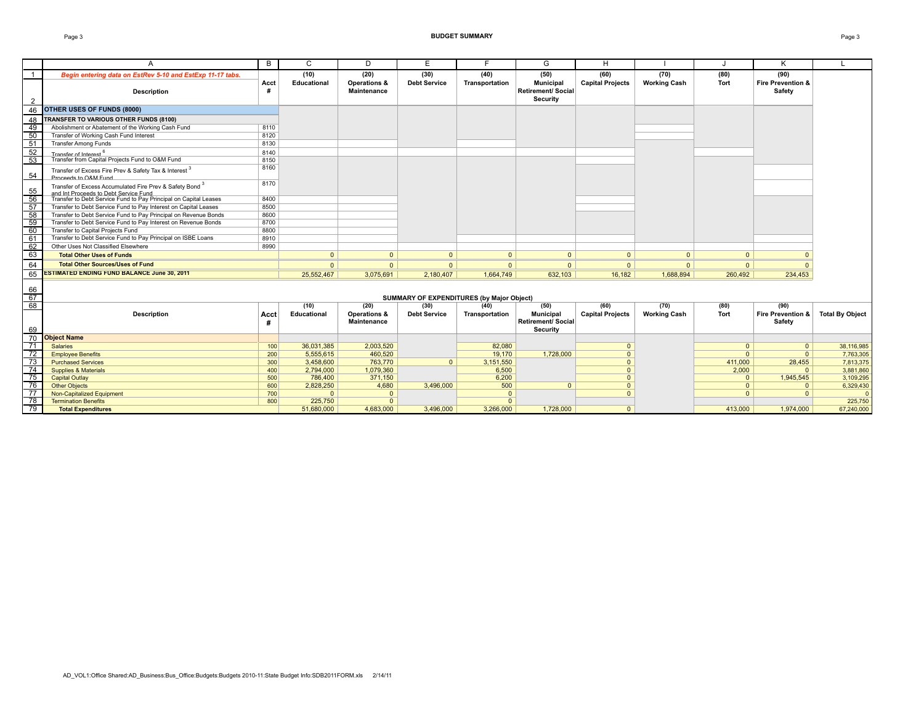#### Page 3 **BUDGET SUMMARY** Page 3

|                 | A                                                                                                            | B         | C            | D                           | E                                                | F.             | G                                                                | H                       |                     |                | Κ                                      |                        |
|-----------------|--------------------------------------------------------------------------------------------------------------|-----------|--------------|-----------------------------|--------------------------------------------------|----------------|------------------------------------------------------------------|-------------------------|---------------------|----------------|----------------------------------------|------------------------|
| $\overline{1}$  | Begin entering data on EstRev 5-10 and EstExp 11-17 tabs.                                                    |           | (10)         | (20)                        | (30)                                             | (40)           | (50)                                                             | (60)                    | (70)                | (80)           | (90)                                   |                        |
| $\overline{2}$  | <b>Description</b>                                                                                           | Acct      | Educational  | Operations &<br>Maintenance | <b>Debt Service</b>                              | Transportation | <b>Municipal</b><br><b>Retirement/ Social</b><br><b>Security</b> | <b>Capital Projects</b> | <b>Working Cash</b> | Tort           | <b>Fire Prevention &amp;</b><br>Safety |                        |
|                 | 46 OTHER USES OF FUNDS (8000)                                                                                |           |              |                             |                                                  |                |                                                                  |                         |                     |                |                                        |                        |
| 48              | TRANSFER TO VARIOUS OTHER FUNDS (8100)                                                                       |           |              |                             |                                                  |                |                                                                  |                         |                     |                |                                        |                        |
| 49              | Abolishment or Abatement of the Working Cash Fund                                                            | 8110      |              |                             |                                                  |                |                                                                  |                         |                     |                |                                        |                        |
| 50              | Transfer of Working Cash Fund Interest                                                                       | 8120      |              |                             |                                                  |                |                                                                  |                         |                     |                |                                        |                        |
| 51              | <b>Transfer Among Funds</b>                                                                                  | 8130      |              |                             |                                                  |                |                                                                  |                         |                     |                |                                        |                        |
| 52              | Transfer of Interest 6                                                                                       | 8140      |              |                             |                                                  |                |                                                                  |                         |                     |                |                                        |                        |
| 53              | Transfer from Capital Projects Fund to O&M Fund                                                              | 8150      |              |                             |                                                  |                |                                                                  |                         |                     |                |                                        |                        |
| 54              | Transfer of Excess Fire Prev & Safety Tax & Interest 3<br>Proceeds to O&M Fund                               | 8160      |              |                             |                                                  |                |                                                                  |                         |                     |                |                                        |                        |
| 55              | Transfer of Excess Accumulated Fire Prev & Safety Bond <sup>3</sup><br>and Int Proceeds to Debt Service Fund | 8170      |              |                             |                                                  |                |                                                                  |                         |                     |                |                                        |                        |
| $\overline{56}$ | Transfer to Debt Service Fund to Pay Principal on Capital Leases                                             | 8400      |              |                             |                                                  |                |                                                                  |                         |                     |                |                                        |                        |
| 57              | Transfer to Debt Service Fund to Pay Interest on Capital Leases                                              | 8500      |              |                             |                                                  |                |                                                                  |                         |                     |                |                                        |                        |
| 58              | Transfer to Debt Service Fund to Pay Principal on Revenue Bonds                                              | 8600      |              |                             |                                                  |                |                                                                  |                         |                     |                |                                        |                        |
| 59              | Transfer to Debt Service Fund to Pay Interest on Revenue Bonds                                               | 8700      |              |                             |                                                  |                |                                                                  |                         |                     |                |                                        |                        |
| 60              | Transfer to Capital Projects Fund                                                                            | 8800      |              |                             |                                                  |                |                                                                  |                         |                     |                |                                        |                        |
| 61              | Transfer to Debt Service Fund to Pay Principal on ISBE Loans                                                 | 8910      |              |                             |                                                  |                |                                                                  |                         |                     |                |                                        |                        |
| 62              | Other Uses Not Classified Elsewhere                                                                          | 8990      |              |                             |                                                  |                |                                                                  |                         |                     |                |                                        |                        |
| 63              | <b>Total Other Uses of Funds</b>                                                                             |           | $\Omega$     | $\mathbf{0}$                | $\Omega$                                         | $\mathbf{0}$   | $\Omega$                                                         | $\mathbf{0}$            | $\overline{0}$      | $\Omega$       |                                        |                        |
| 64              | <b>Total Other Sources/Uses of Fund</b>                                                                      |           | $\mathbf{0}$ | $\Omega$                    | $\Omega$                                         | $\Omega$       | $\mathbf{0}$                                                     | $\mathbf{0}$            | $\Omega$            | $\overline{0}$ | $\Omega$                               |                        |
| 65              | <b>ESTIMATED ENDING FUND BALANCE June 30, 2011</b>                                                           |           | 25.552.467   | 3,075,691                   | 2,180,407                                        | 1.664.749      | 632.103                                                          | 16.182                  | 1.688.894           | 260,492        | 234,453                                |                        |
| 66<br>67        |                                                                                                              |           |              |                             | <b>SUMMARY OF EXPENDITURES (by Major Object)</b> |                |                                                                  |                         |                     |                |                                        |                        |
| 68              |                                                                                                              |           | (10)         | (20)                        | (30)                                             | (40)           | (50)                                                             | (60)                    | (70)                | (80)           | (90)                                   |                        |
| 69              | <b>Description</b>                                                                                           | Acct<br># | Educational  | Operations &<br>Maintenance | <b>Debt Service</b>                              | Transportation | <b>Municipal</b><br><b>Retirement/ Social</b><br>Security        | <b>Capital Projects</b> | <b>Working Cash</b> | Tort           | Fire Prevention &<br>Safety            | <b>Total By Object</b> |
| 70              | <b>Object Name</b>                                                                                           |           |              |                             |                                                  |                |                                                                  |                         |                     |                |                                        |                        |
| 71              | <b>Salaries</b>                                                                                              | 100       | 36.031.385   | 2,003,520                   |                                                  | 82,080         |                                                                  | $\Omega$                |                     | $\Omega$       | $\Omega$                               | 38,116,985             |
| $\overline{72}$ | <b>Employee Benefits</b>                                                                                     | 200       | 5.555.615    | 460,520                     |                                                  | 19,170         | 1.728.000                                                        | $\Omega$                |                     | $\Omega$       | $\Omega$                               | 7,763,305              |
| $\overline{73}$ | <b>Purchased Services</b>                                                                                    | 300       | 3,458,600    | 763,770                     | $\Omega$                                         | 3,151,550      |                                                                  | $\Omega$                |                     | 411,000        | 28,455                                 | 7,813,375              |
| 74              | <b>Supplies &amp; Materials</b>                                                                              | 400       | 2,794,000    | 1,079,360                   |                                                  | 6,500          |                                                                  | $\Omega$                |                     | 2,000          | $\Omega$                               | 3,881,860              |
| $\overline{75}$ | <b>Capital Outlay</b>                                                                                        | 500       | 786,400      | 371.150                     |                                                  | 6,200          |                                                                  | $\Omega$                |                     | $\Omega$       | 1,945,545                              | 3.109.295              |
| $\overline{76}$ | <b>Other Objects</b>                                                                                         | 600       | 2,828,250    | 4,680                       | 3,496,000                                        | 500            | $\Omega$                                                         | $\Omega$                |                     | $\Omega$       | $\Omega$                               | 6,329,430              |
| 77              | <b>Non-Capitalized Equipment</b>                                                                             | 700       | $\Omega$     | $\mathbf{0}$                |                                                  | $\Omega$       |                                                                  | $\Omega$                |                     | $\Omega$       | $\Omega$                               | $\Omega$               |
| 78              | <b>Termination Benefits</b>                                                                                  | 800       | 225,750      | $\Omega$                    |                                                  | $\Omega$       |                                                                  |                         |                     |                |                                        | 225,750                |
| 79              | <b>Total Expenditures</b>                                                                                    |           | 51,680,000   | 4.683.000                   | 3.496.000                                        | 3.266.000      | 1.728.000                                                        | $\Omega$                |                     | 413.000        | 1.974.000                              | 67,240,000             |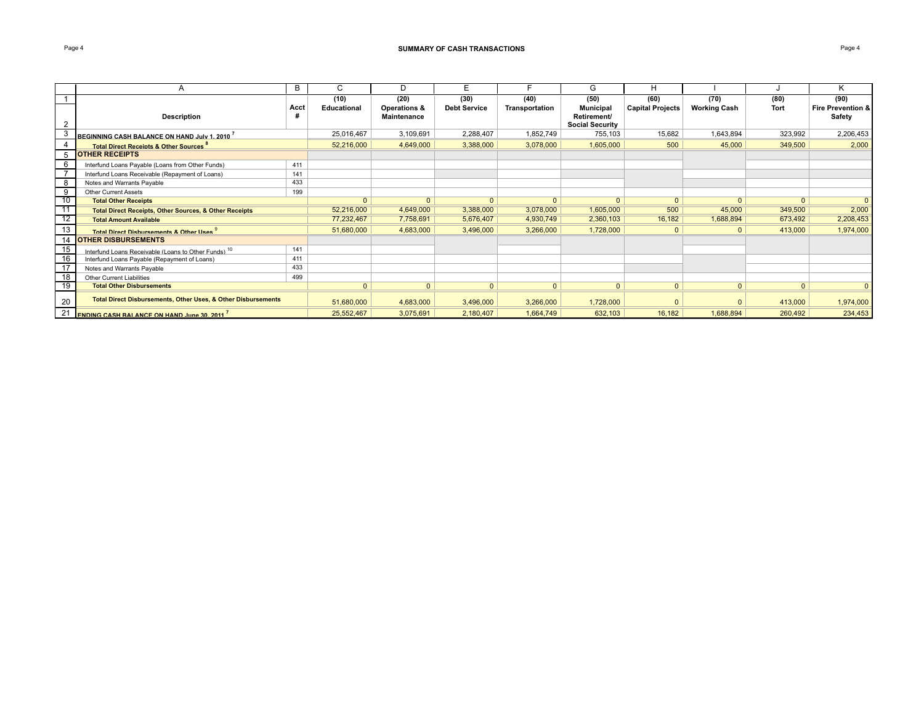### **Page 4 SUMMARY OF CASH TRANSACTIONS Page 4 Page 4 Page 4 Page 4 Page 4 Page 4 Page 4 Page 4 Page 4 Page 4 Page 4 Page 4 Page 4 Page 4 Page 4 Page 4 Page 4 Page 4 Page 4 Page 4 P**

|    | A                                                                 | B    | C            |                    | Е                   |                | G                      | н                       |                     |                | ĸ.                |
|----|-------------------------------------------------------------------|------|--------------|--------------------|---------------------|----------------|------------------------|-------------------------|---------------------|----------------|-------------------|
|    |                                                                   |      | (10)         | (20)               | (30)                | (40)           | (50)                   | (60)                    | (70)                | (80)           | (90)              |
|    |                                                                   | Acct | Educational  | Operations &       | <b>Debt Service</b> | Transportation | <b>Municipal</b>       | <b>Capital Projects</b> | <b>Working Cash</b> | <b>Tort</b>    | Fire Prevention & |
|    | Description                                                       | #    |              | <b>Maintenance</b> |                     |                | <b>Retirement/</b>     |                         |                     |                | Safety            |
| 2  |                                                                   |      |              |                    |                     |                | <b>Social Security</b> |                         |                     |                |                   |
|    | BEGINNING CASH BALANCE ON HAND July 1, 2010 <sup>7</sup>          |      | 25,016,467   | 3,109,691          | 2,288,407           | 1,852,749      | 755,103                | 15,682                  | 1,643,894           | 323,992        | 2,206,453         |
|    | <b>Total Direct Receipts &amp; Other Sources</b>                  |      | 52,216,000   | 4,649,000          | 3,388,000           | 3,078,000      | 1,605,000              | 500                     | 45,000              | 349,500        | 2,000             |
|    | <b>OTHER RECEIPTS</b>                                             |      |              |                    |                     |                |                        |                         |                     |                |                   |
| 6  | Interfund Loans Payable (Loans from Other Funds)                  | 411  |              |                    |                     |                |                        |                         |                     |                |                   |
|    | Interfund Loans Receivable (Repayment of Loans)                   | 141  |              |                    |                     |                |                        |                         |                     |                |                   |
| 8  | Notes and Warrants Payable                                        | 433  |              |                    |                     |                |                        |                         |                     |                |                   |
| 9  | <b>Other Current Assets</b>                                       | 199  |              |                    |                     |                |                        |                         |                     |                |                   |
| 10 | <b>Total Other Receipts</b>                                       |      | $\Omega$     | $\Omega$           | $\Omega$            | $\Omega$       | $\Omega$               | $\Omega$                | $\Omega$            | $\Omega$       | $\Omega$          |
|    | <b>Total Direct Receipts, Other Sources, &amp; Other Receipts</b> |      | 52,216,000   | 4,649,000          | 3,388,000           | 3,078,000      | 1,605,000              | 500                     | 45,000              | 349,500        | 2,000             |
| 12 | <b>Total Amount Available</b>                                     |      | 77,232,467   | 7,758,691          | 5,676,407           | 4,930,749      | 2,360,103              | 16,182                  | 1,688,894           | 673,492        | 2,208,453         |
| 13 | Total Direct Disbursements & Other Uses                           |      | 51,680,000   | 4,683,000          | 3,496,000           | 3,266,000      | 1,728,000              | $\Omega$                | $\Omega$            | 413,000        | 1,974,000         |
| 14 | <b>OTHER DISBURSEMENTS</b>                                        |      |              |                    |                     |                |                        |                         |                     |                |                   |
| 15 | Interfund Loans Receivable (Loans to Other Funds). <sup>10</sup>  | 141  |              |                    |                     |                |                        |                         |                     |                |                   |
| 16 | Interfund Loans Payable (Repayment of Loans)                      | 411  |              |                    |                     |                |                        |                         |                     |                |                   |
| 17 | Notes and Warrants Pavable                                        | 433  |              |                    |                     |                |                        |                         |                     |                |                   |
| 18 | <b>Other Current Liabilities</b>                                  | 499  |              |                    |                     |                |                        |                         |                     |                |                   |
| 19 | <b>Total Other Disbursements</b>                                  |      | $\mathbf{0}$ | 0 <sup>1</sup>     | $\overline{0}$      | 0 <sup>1</sup> | $\mathbf{0}$           | 0 <sup>1</sup>          | $\mathbf{0}$        | 0 <sup>1</sup> | $\mathbf{0}$      |
| 20 | Total Direct Disbursements, Other Uses, & Other Disbursements     |      | 51,680,000   | 4,683,000          | 3,496,000           | 3,266,000      | 1,728,000              | $\Omega$                | $\Omega$            | 413,000        | 1,974,000         |
| 21 | <b>FNDING CASH RAI ANCE ON HAND June 30 2011</b>                  |      | 25,552,467   | 3,075,691          | 2,180,407           | 1,664,749      | 632,103                | 16,182                  | 1,688,894           | 260,492        | 234,453           |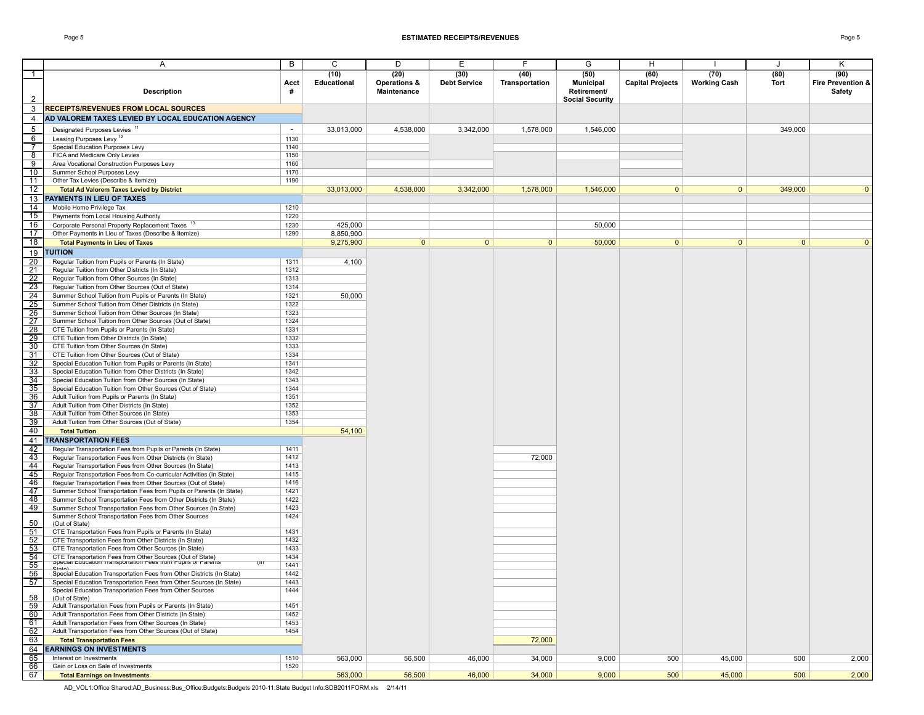#### Page 5 **ESTIMATED RECEIPTS/REVENUES** Page 5

|                                  | Α                                                                                                    | В            | C                          | D                                   | Ε                           | F                      | G                                                                 | H                               |                             | J            | Κ                                   |
|----------------------------------|------------------------------------------------------------------------------------------------------|--------------|----------------------------|-------------------------------------|-----------------------------|------------------------|-------------------------------------------------------------------|---------------------------------|-----------------------------|--------------|-------------------------------------|
| $\mathbf{1}$<br>$\overline{2}$   | <b>Description</b>                                                                                   | Acct<br>#    | (10)<br><b>Educational</b> | (20)<br>Operations &<br>Maintenance | (30)<br><b>Debt Service</b> | (40)<br>Transportation | (50)<br><b>Municipal</b><br>Retirement/<br><b>Social Security</b> | (60)<br><b>Capital Projects</b> | (70)<br><b>Working Cash</b> | (80)<br>Tort | (90)<br>Fire Prevention &<br>Safety |
| 3                                | <b>RECEIPTS/REVENUES FROM LOCAL SOURCES</b>                                                          |              |                            |                                     |                             |                        |                                                                   |                                 |                             |              |                                     |
| 4                                | AD VALOREM TAXES LEVIED BY LOCAL EDUCATION AGENCY                                                    |              |                            |                                     |                             |                        |                                                                   |                                 |                             |              |                                     |
|                                  |                                                                                                      | $\sim$       |                            |                                     |                             |                        |                                                                   |                                 |                             |              |                                     |
| 5                                | Designated Purposes Levies <sup>11</sup>                                                             |              | 33,013,000                 | 4,538,000                           | 3,342,000                   | 1,578,000              | 1,546,000                                                         |                                 |                             | 349,000      |                                     |
| 6                                | Leasing Purposes Levy <sup>12</sup>                                                                  | 1130         |                            |                                     |                             |                        |                                                                   |                                 |                             |              |                                     |
| $\overline{7}$                   | Special Education Purposes Levy<br>FICA and Medicare Only Levies                                     | 1140<br>1150 |                            |                                     |                             |                        |                                                                   |                                 |                             |              |                                     |
| $\overline{8}$<br>$\overline{9}$ |                                                                                                      | 1160         |                            |                                     |                             |                        |                                                                   |                                 |                             |              |                                     |
| 10                               | Area Vocational Construction Purposes Levy<br>Summer School Purposes Levy                            | 1170         |                            |                                     |                             |                        |                                                                   |                                 |                             |              |                                     |
| 11                               | Other Tax Levies (Describe & Itemize)                                                                | 1190         |                            |                                     |                             |                        |                                                                   |                                 |                             |              |                                     |
| 12                               | <b>Total Ad Valorem Taxes Levied by District</b>                                                     |              | 33,013,000                 | 4,538,000                           | 3,342,000                   | 1,578,000              | 1,546,000                                                         | $\mathbf{0}$                    | $\overline{0}$              | 349,000      | $\Omega$                            |
| 13                               | PAYMENTS IN LIEU OF TAXES                                                                            |              |                            |                                     |                             |                        |                                                                   |                                 |                             |              |                                     |
| 14                               | Mobile Home Privilege Tax                                                                            | 1210         |                            |                                     |                             |                        |                                                                   |                                 |                             |              |                                     |
| 15                               | Payments from Local Housing Authority                                                                | 1220         |                            |                                     |                             |                        |                                                                   |                                 |                             |              |                                     |
| 16                               | Corporate Personal Property Replacement Taxes 13                                                     | 1230         | 425,000                    |                                     |                             |                        | 50,000                                                            |                                 |                             |              |                                     |
| $\overline{17}$                  | Other Payments in Lieu of Taxes (Describe & Itemize)                                                 | 1290         | 8,850,900                  |                                     |                             |                        |                                                                   |                                 |                             |              |                                     |
| 18                               | <b>Total Payments in Lieu of Taxes</b>                                                               |              | 9,275,900                  | 0                                   | 0                           | $\mathbf{0}$           | 50,000                                                            | $\mathbf{0}$                    | $\overline{0}$              | $\mathbf{0}$ | $\Omega$                            |
|                                  | <b>TUITION</b>                                                                                       |              |                            |                                     |                             |                        |                                                                   |                                 |                             |              |                                     |
| 19<br>$\overline{20}$            |                                                                                                      | 1311         |                            |                                     |                             |                        |                                                                   |                                 |                             |              |                                     |
| $\overline{21}$                  | Regular Tuition from Pupils or Parents (In State)<br>Regular Tuition from Other Districts (In State) | 1312         | 4,100                      |                                     |                             |                        |                                                                   |                                 |                             |              |                                     |
| 22                               | Regular Tuition from Other Sources (In State)                                                        | 1313         |                            |                                     |                             |                        |                                                                   |                                 |                             |              |                                     |
| 23                               | Regular Tuition from Other Sources (Out of State)                                                    | 1314         |                            |                                     |                             |                        |                                                                   |                                 |                             |              |                                     |
|                                  | Summer School Tuition from Pupils or Parents (In State)                                              | 1321         |                            |                                     |                             |                        |                                                                   |                                 |                             |              |                                     |
| $\frac{24}{25}$ $\frac{25}{26}$  | Summer School Tuition from Other Districts (In State)                                                | 1322         | 50,000                     |                                     |                             |                        |                                                                   |                                 |                             |              |                                     |
|                                  | Summer School Tuition from Other Sources (In State)                                                  | 1323         |                            |                                     |                             |                        |                                                                   |                                 |                             |              |                                     |
| $\overline{27}$                  | Summer School Tuition from Other Sources (Out of State)                                              | 1324         |                            |                                     |                             |                        |                                                                   |                                 |                             |              |                                     |
| 28                               | CTE Tuition from Pupils or Parents (In State)                                                        | 1331         |                            |                                     |                             |                        |                                                                   |                                 |                             |              |                                     |
| $\frac{29}{29}$                  | CTE Tuition from Other Districts (In State)                                                          | 1332         |                            |                                     |                             |                        |                                                                   |                                 |                             |              |                                     |
| $\overline{30}$                  | CTE Tuition from Other Sources (In State)                                                            | 1333         |                            |                                     |                             |                        |                                                                   |                                 |                             |              |                                     |
| 31                               | CTE Tuition from Other Sources (Out of State)                                                        | 1334         |                            |                                     |                             |                        |                                                                   |                                 |                             |              |                                     |
| $\frac{1}{32}$                   | Special Education Tuition from Pupils or Parents (In State)                                          | 1341         |                            |                                     |                             |                        |                                                                   |                                 |                             |              |                                     |
| 33                               | Special Education Tuition from Other Districts (In State)                                            | 1342         |                            |                                     |                             |                        |                                                                   |                                 |                             |              |                                     |
| 34                               | Special Education Tuition from Other Sources (In State)                                              | 1343         |                            |                                     |                             |                        |                                                                   |                                 |                             |              |                                     |
| $\overline{35}$                  | Special Education Tuition from Other Sources (Out of State)                                          | 1344         |                            |                                     |                             |                        |                                                                   |                                 |                             |              |                                     |
| 36                               | Adult Tuition from Pupils or Parents (In State)                                                      | 1351         |                            |                                     |                             |                        |                                                                   |                                 |                             |              |                                     |
| $\overline{37}$                  | Adult Tuition from Other Districts (In State)                                                        | 1352         |                            |                                     |                             |                        |                                                                   |                                 |                             |              |                                     |
| 38                               | Adult Tuition from Other Sources (In State)                                                          | 1353         |                            |                                     |                             |                        |                                                                   |                                 |                             |              |                                     |
| 39                               | Adult Tuition from Other Sources (Out of State)                                                      | 1354         |                            |                                     |                             |                        |                                                                   |                                 |                             |              |                                     |
| 40                               | <b>Total Tuition</b>                                                                                 |              | 54,100                     |                                     |                             |                        |                                                                   |                                 |                             |              |                                     |
| 41                               | <b>TRANSPORTATION FEES</b>                                                                           |              |                            |                                     |                             |                        |                                                                   |                                 |                             |              |                                     |
| 42                               | Regular Transportation Fees from Pupils or Parents (In State)                                        | 1411         |                            |                                     |                             |                        |                                                                   |                                 |                             |              |                                     |
| 43                               | Regular Transportation Fees from Other Districts (In State)                                          | 1412         |                            |                                     |                             | 72,000                 |                                                                   |                                 |                             |              |                                     |
| 44                               | Regular Transportation Fees from Other Sources (In State)                                            | 1413         |                            |                                     |                             |                        |                                                                   |                                 |                             |              |                                     |
| 45                               | Regular Transportation Fees from Co-curricular Activities (In State)                                 | 1415         |                            |                                     |                             |                        |                                                                   |                                 |                             |              |                                     |
| 46                               | Regular Transportation Fees from Other Sources (Out of State)                                        | 1416         |                            |                                     |                             |                        |                                                                   |                                 |                             |              |                                     |
| 47                               | Summer School Transportation Fees from Pupils or Parents (In State)                                  | 1421         |                            |                                     |                             |                        |                                                                   |                                 |                             |              |                                     |
| 48                               | Summer School Transportation Fees from Other Districts (In State)                                    | 1422         |                            |                                     |                             |                        |                                                                   |                                 |                             |              |                                     |
| 49                               | Summer School Transportation Fees from Other Sources (In State)                                      | 1423         |                            |                                     |                             |                        |                                                                   |                                 |                             |              |                                     |
| 50                               | Summer School Transportation Fees from Other Sources<br>(Out of State)                               | 1424         |                            |                                     |                             |                        |                                                                   |                                 |                             |              |                                     |
| 51                               | CTE Transportation Fees from Pupils or Parents (In State)                                            | 1431         |                            |                                     |                             |                        |                                                                   |                                 |                             |              |                                     |
| 52                               | CTE Transportation Fees from Other Districts (In State)                                              | 1432         |                            |                                     |                             |                        |                                                                   |                                 |                             |              |                                     |
| $\overline{53}$                  | CTE Transportation Fees from Other Sources (In State)                                                | 1433         |                            |                                     |                             |                        |                                                                   |                                 |                             |              |                                     |
| 54                               | CTE Transportation Fees from Other Sources (Out of State)                                            | 1434         |                            |                                     |                             |                        |                                                                   |                                 |                             |              |                                     |
| 55                               | opecial Education Transportation nees nominaplis or Harerits                                         | 1441         |                            |                                     |                             |                        |                                                                   |                                 |                             |              |                                     |
| 56                               | $C+nt-1$<br>Special Education Transportation Fees from Other Districts (In State)                    | 1442         |                            |                                     |                             |                        |                                                                   |                                 |                             |              |                                     |
| 57                               | Special Education Transportation Fees from Other Sources (In State)                                  | 1443         |                            |                                     |                             |                        |                                                                   |                                 |                             |              |                                     |
|                                  | Special Education Transportation Fees from Other Sources                                             | 1444         |                            |                                     |                             |                        |                                                                   |                                 |                             |              |                                     |
| 58                               | (Out of State)                                                                                       |              |                            |                                     |                             |                        |                                                                   |                                 |                             |              |                                     |
| 59                               | Adult Transportation Fees from Pupils or Parents (In State)                                          | 1451         |                            |                                     |                             |                        |                                                                   |                                 |                             |              |                                     |
| 60                               | Adult Transportation Fees from Other Districts (In State)                                            | 1452         |                            |                                     |                             |                        |                                                                   |                                 |                             |              |                                     |
| 61                               | Adult Transportation Fees from Other Sources (In State)                                              | 1453         |                            |                                     |                             |                        |                                                                   |                                 |                             |              |                                     |
| 62                               | Adult Transportation Fees from Other Sources (Out of State)                                          | 1454         |                            |                                     |                             |                        |                                                                   |                                 |                             |              |                                     |
| 63                               | <b>Total Transportation Fees</b>                                                                     |              |                            |                                     |                             | 72,000                 |                                                                   |                                 |                             |              |                                     |
| 64                               | <b>EARNINGS ON INVESTMENTS</b>                                                                       |              |                            |                                     |                             |                        |                                                                   |                                 |                             |              |                                     |
| 65                               | Interest on Investments                                                                              | 1510         | 563,000                    | 56,500                              | 46,000                      | 34,000                 | 9,000                                                             | 500                             | 45,000                      | 500          | 2,000                               |
| 66                               | Gain or Loss on Sale of Investments                                                                  | 1520         |                            |                                     |                             |                        |                                                                   |                                 |                             |              |                                     |
| 67                               | <b>Total Earnings on Investments</b>                                                                 |              | 563,000                    | 56,500                              | 46,000                      | 34,000                 | 9,000                                                             | 500                             | 45,000                      | 500          | 2,000                               |

AD\_VOL1:Office Shared:AD\_Business:Bus\_Office:Budgets:Budgets 2010-11:State Budget Info:SDB2011FORM.xls 2/14/11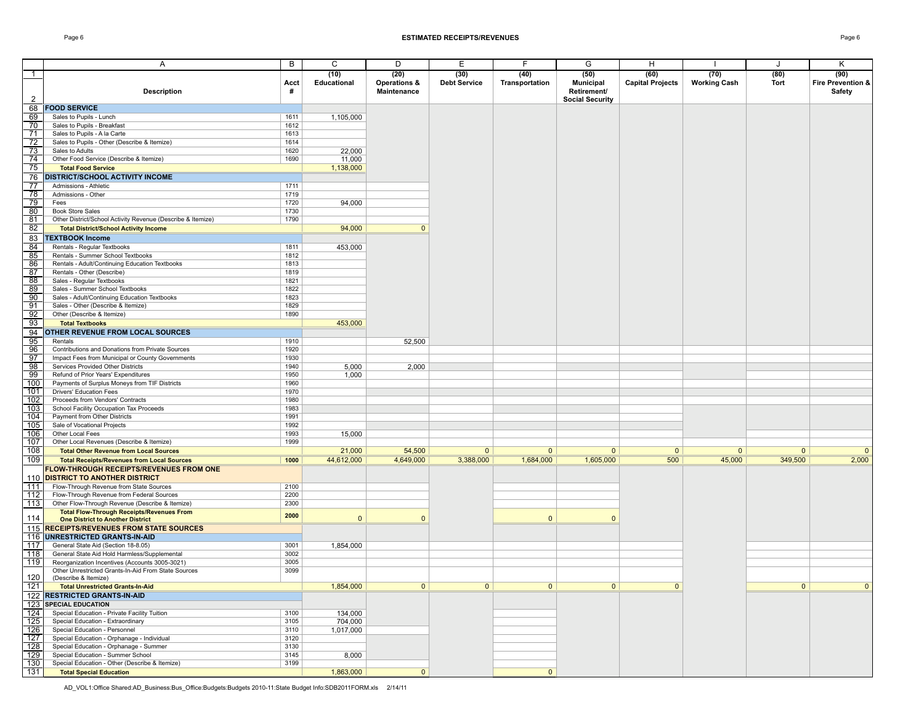#### Page 6 **ESTIMATED RECEIPTS/REVENUES** Page 6

|                  | A                                                                        | B    | С            | D                       | Ε                   | F.             | G                      | H                       |                     | J              | Κ                 |
|------------------|--------------------------------------------------------------------------|------|--------------|-------------------------|---------------------|----------------|------------------------|-------------------------|---------------------|----------------|-------------------|
| $\mathbf{1}$     |                                                                          |      | (10)         | (20)                    | (30)                | (40)           | (50)                   | (60)                    | (70)                | (80)           | (90)              |
|                  |                                                                          | Acct | Educational  | <b>Operations &amp;</b> | <b>Debt Service</b> | Transportation | <b>Municipal</b>       | <b>Capital Projects</b> | <b>Working Cash</b> | Tort           | Fire Prevention & |
|                  | <b>Description</b>                                                       | #    |              | Maintenance             |                     |                | Retirement/            |                         |                     |                | Safety            |
| $\mathcal{P}$    |                                                                          |      |              |                         |                     |                | <b>Social Security</b> |                         |                     |                |                   |
|                  | 68   FOOD SERVICE                                                        |      |              |                         |                     |                |                        |                         |                     |                |                   |
| 69               | Sales to Pupils - Lunch                                                  | 1611 | 1.105.000    |                         |                     |                |                        |                         |                     |                |                   |
| 70               | Sales to Pupils - Breakfast                                              | 1612 |              |                         |                     |                |                        |                         |                     |                |                   |
| 71               | Sales to Pupils - A la Carte                                             | 1613 |              |                         |                     |                |                        |                         |                     |                |                   |
| 72               | Sales to Pupils - Other (Describe & Itemize)                             | 1614 |              |                         |                     |                |                        |                         |                     |                |                   |
| 73               | Sales to Adults                                                          | 1620 | 22,000       |                         |                     |                |                        |                         |                     |                |                   |
| 74               | Other Food Service (Describe & Itemize)                                  | 1690 | 11,000       |                         |                     |                |                        |                         |                     |                |                   |
| 75               | <b>Total Food Service</b>                                                |      | 1,138,000    |                         |                     |                |                        |                         |                     |                |                   |
|                  |                                                                          |      |              |                         |                     |                |                        |                         |                     |                |                   |
| 76               | <b>DISTRICT/SCHOOL ACTIVITY INCOME</b>                                   |      |              |                         |                     |                |                        |                         |                     |                |                   |
| 77               | Admissions - Athletic                                                    | 1711 |              |                         |                     |                |                        |                         |                     |                |                   |
| 78               | Admissions - Other                                                       | 1719 |              |                         |                     |                |                        |                         |                     |                |                   |
| 79               | Fees                                                                     | 1720 | 94,000       |                         |                     |                |                        |                         |                     |                |                   |
| 80               | <b>Book Store Sales</b>                                                  | 1730 |              |                         |                     |                |                        |                         |                     |                |                   |
| 81               | Other District/School Activity Revenue (Describe & Itemize)              | 1790 |              |                         |                     |                |                        |                         |                     |                |                   |
| 82               | <b>Total District/School Activity Income</b>                             |      | 94,000       | $\mathbf{0}$            |                     |                |                        |                         |                     |                |                   |
| 83               | <b>TEXTBOOK Income</b>                                                   |      |              |                         |                     |                |                        |                         |                     |                |                   |
| 84               | Rentals - Regular Textbooks                                              | 1811 | 453,000      |                         |                     |                |                        |                         |                     |                |                   |
| 85               | Rentals - Summer School Textbooks                                        | 1812 |              |                         |                     |                |                        |                         |                     |                |                   |
| 86               | Rentals - Adult/Continuing Education Textbooks                           | 1813 |              |                         |                     |                |                        |                         |                     |                |                   |
| 87               | Rentals - Other (Describe)                                               | 1819 |              |                         |                     |                |                        |                         |                     |                |                   |
| 88               | Sales - Regular Textbooks                                                | 1821 |              |                         |                     |                |                        |                         |                     |                |                   |
| 89               | Sales - Summer School Textbooks                                          | 1822 |              |                         |                     |                |                        |                         |                     |                |                   |
| 90               | Sales - Adult/Continuing Education Textbooks                             | 1823 |              |                         |                     |                |                        |                         |                     |                |                   |
| 91               | Sales - Other (Describe & Itemize)                                       | 1829 |              |                         |                     |                |                        |                         |                     |                |                   |
| 92               | Other (Describe & Itemize)                                               | 1890 |              |                         |                     |                |                        |                         |                     |                |                   |
| 93               | <b>Total Textbooks</b>                                                   |      | 453,000      |                         |                     |                |                        |                         |                     |                |                   |
| 94               | OTHER REVENUE FROM LOCAL SOURCES                                         |      |              |                         |                     |                |                        |                         |                     |                |                   |
| 95               | Rentals                                                                  | 1910 |              | 52,500                  |                     |                |                        |                         |                     |                |                   |
| 96               | Contributions and Donations from Private Sources                         | 1920 |              |                         |                     |                |                        |                         |                     |                |                   |
| 97               |                                                                          | 1930 |              |                         |                     |                |                        |                         |                     |                |                   |
|                  | Impact Fees from Municipal or County Governments                         | 1940 |              |                         |                     |                |                        |                         |                     |                |                   |
| 98               | Services Provided Other Districts<br>Refund of Prior Years' Expenditures |      | 5,000        | 2,000                   |                     |                |                        |                         |                     |                |                   |
| 99               |                                                                          | 1950 | 1,000        |                         |                     |                |                        |                         |                     |                |                   |
| 100              | Payments of Surplus Moneys from TIF Districts                            | 1960 |              |                         |                     |                |                        |                         |                     |                |                   |
| 101              | <b>Drivers' Education Fees</b>                                           | 1970 |              |                         |                     |                |                        |                         |                     |                |                   |
| 102              | Proceeds from Vendors' Contracts                                         | 1980 |              |                         |                     |                |                        |                         |                     |                |                   |
| 103              | School Facility Occupation Tax Proceeds                                  | 1983 |              |                         |                     |                |                        |                         |                     |                |                   |
| 104              | Payment from Other Districts                                             | 1991 |              |                         |                     |                |                        |                         |                     |                |                   |
| 105              | Sale of Vocational Projects                                              | 1992 |              |                         |                     |                |                        |                         |                     |                |                   |
| 106              | Other Local Fees                                                         | 1993 | 15,000       |                         |                     |                |                        |                         |                     |                |                   |
| 107              | Other Local Revenues (Describe & Itemize)                                | 1999 |              |                         |                     |                |                        |                         |                     |                |                   |
| 108              | <b>Total Other Revenue from Local Sources</b>                            |      | 21,000       | 54,500                  | $\mathbf{0}$        | $\mathbf{0}$   | $\mathbf{0}$           | $\mathbf{0}$            | $\overline{0}$      | $\mathbf{0}$   | $\mathbf{0}$      |
| 109              | <b>Total Receipts/Revenues from Local Sources</b>                        | 1000 | 44,612,000   | 4,649,000               | 3,388,000           | 1,684,000      | 1,605,000              | 500                     | 45,000              | 349,500        | 2,000             |
|                  | <b>FLOW-THROUGH RECEIPTS/REVENUES FROM ONE</b>                           |      |              |                         |                     |                |                        |                         |                     |                |                   |
|                  | 110 DISTRICT TO ANOTHER DISTRICT                                         |      |              |                         |                     |                |                        |                         |                     |                |                   |
| 111              | Flow-Through Revenue from State Sources                                  | 2100 |              |                         |                     |                |                        |                         |                     |                |                   |
| 112              | Flow-Through Revenue from Federal Sources                                | 2200 |              |                         |                     |                |                        |                         |                     |                |                   |
| 113              | Other Flow-Through Revenue (Describe & Itemize)                          | 2300 |              |                         |                     |                |                        |                         |                     |                |                   |
|                  | <b>Total Flow-Through Receipts/Revenues From</b>                         | 2000 |              |                         |                     |                |                        |                         |                     |                |                   |
| 114              | <b>One District to Another District</b>                                  |      | $\mathbf{0}$ |                         |                     | $\mathbf{0}$   | $\Omega$               |                         |                     |                |                   |
|                  | 115 RECEIPTS/REVENUES FROM STATE SOURCES                                 |      |              |                         |                     |                |                        |                         |                     |                |                   |
|                  | 116 UNRESTRICTED GRANTS-IN-AID                                           |      |              |                         |                     |                |                        |                         |                     |                |                   |
| 117              | General State Aid (Section 18-8.05)                                      | 3001 | 1,854,000    |                         |                     |                |                        |                         |                     |                |                   |
| 118              | General State Aid Hold Harmless/Supplemental                             | 3002 |              |                         |                     |                |                        |                         |                     |                |                   |
| 119              | Reorganization Incentives (Accounts 3005-3021)                           | 3005 |              |                         |                     |                |                        |                         |                     |                |                   |
|                  | Other Unrestricted Grants-In-Aid From State Sources                      | 3099 |              |                         |                     |                |                        |                         |                     |                |                   |
| 120              | (Describe & Itemize)                                                     |      |              |                         |                     |                |                        |                         |                     |                |                   |
| $\sqrt{121}$     | <b>Total Unrestricted Grants-In-Aid</b>                                  |      | 1,854,000    | $\overline{0}$          | 0                   | $\mathbf{0}$   | 0                      | $\overline{0}$          |                     | 0 <sup>1</sup> | $\mathbf{0}$      |
|                  | 122 RESTRICTED GRANTS-IN-AID                                             |      |              |                         |                     |                |                        |                         |                     |                |                   |
| $\overline{123}$ | <b>SPECIAL EDUCATION</b>                                                 |      |              |                         |                     |                |                        |                         |                     |                |                   |
| 124              | Special Education - Private Facility Tuition                             | 3100 | 134,000      |                         |                     |                |                        |                         |                     |                |                   |
| 125              | Special Education - Extraordinary                                        | 3105 | 704,000      |                         |                     |                |                        |                         |                     |                |                   |
| 126              | Special Education - Personnel                                            | 3110 | 1,017,000    |                         |                     |                |                        |                         |                     |                |                   |
| $\sqrt{127}$     | Special Education - Orphanage - Individual                               | 3120 |              |                         |                     |                |                        |                         |                     |                |                   |
| 128              | Special Education - Orphanage - Summer                                   | 3130 |              |                         |                     |                |                        |                         |                     |                |                   |
| 129              | Special Education - Summer School                                        | 3145 | 8,000        |                         |                     |                |                        |                         |                     |                |                   |
| 130              | Special Education - Other (Describe & Itemize)                           | 3199 |              |                         |                     |                |                        |                         |                     |                |                   |
| 131              | <b>Total Special Education</b>                                           |      | 1,863,000    | $\mathbf{0}$            |                     | $\mathbf{0}$   |                        |                         |                     |                |                   |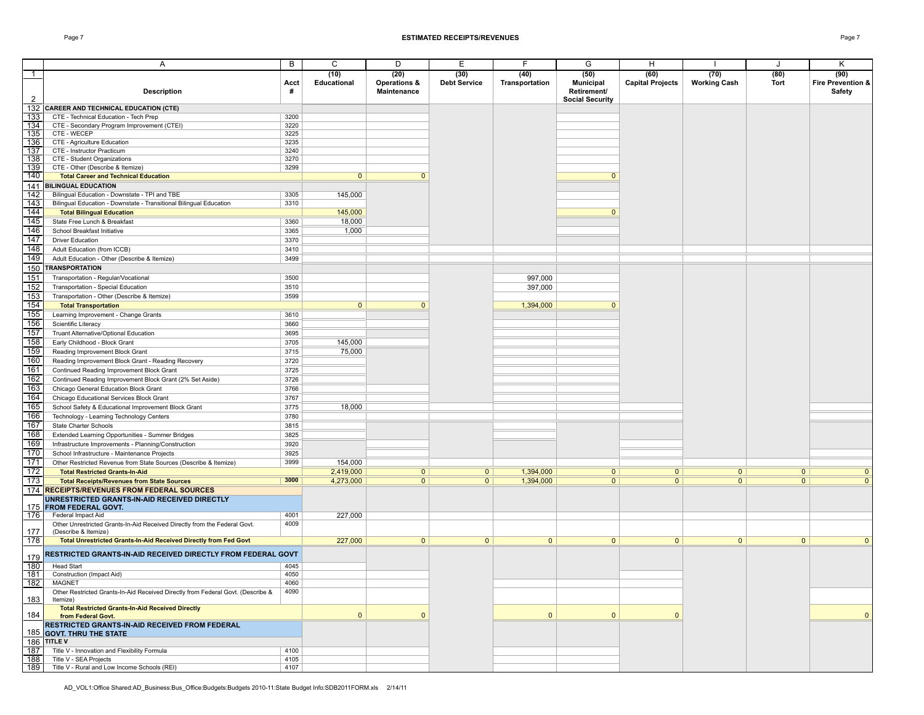#### Page 7 **ESTIMATED RECEIPTS/REVENUES** Page 7

|                | A                                                                               | В    | С              | D                       | Е                   | F              | G                      | H                       |                     | J            | Κ                 |
|----------------|---------------------------------------------------------------------------------|------|----------------|-------------------------|---------------------|----------------|------------------------|-------------------------|---------------------|--------------|-------------------|
| $\mathbf{1}$   |                                                                                 |      | (10)           | (20)                    | (30)                | (40)           | (50)                   | (60)                    | (70)                | (80)         | (90)              |
|                |                                                                                 | Acct | Educational    | <b>Operations &amp;</b> | <b>Debt Service</b> | Transportation | <b>Municipal</b>       | <b>Capital Projects</b> | <b>Working Cash</b> | Tort         | Fire Prevention & |
|                | <b>Description</b>                                                              | #    |                | <b>Maintenance</b>      |                     |                | Retirement/            |                         |                     |              | Safety            |
| $\overline{2}$ |                                                                                 |      |                |                         |                     |                | <b>Social Security</b> |                         |                     |              |                   |
|                |                                                                                 |      |                |                         |                     |                |                        |                         |                     |              |                   |
|                | 132 CAREER AND TECHNICAL EDUCATION (CTE)                                        |      |                |                         |                     |                |                        |                         |                     |              |                   |
| 133            | CTE - Technical Education - Tech Prep                                           | 3200 |                |                         |                     |                |                        |                         |                     |              |                   |
| 134            | CTE - Secondary Program Improvement (CTEI)                                      | 3220 |                |                         |                     |                |                        |                         |                     |              |                   |
| 135            | CTE - WECEP                                                                     | 3225 |                |                         |                     |                |                        |                         |                     |              |                   |
| 136            | CTE - Agriculture Education                                                     | 3235 |                |                         |                     |                |                        |                         |                     |              |                   |
| 137            | CTE - Instructor Practicum                                                      | 3240 |                |                         |                     |                |                        |                         |                     |              |                   |
| 138            | CTE - Student Organizations                                                     | 3270 |                |                         |                     |                |                        |                         |                     |              |                   |
| 139            | CTE - Other (Describe & Itemize)                                                | 3299 |                |                         |                     |                |                        |                         |                     |              |                   |
| 140            | <b>Total Career and Technical Education</b>                                     |      | $\mathbf{0}$   | $\mathbf{0}$            |                     |                | $\mathbf{0}$           |                         |                     |              |                   |
|                | 141 BILINGUAL EDUCATION                                                         |      |                |                         |                     |                |                        |                         |                     |              |                   |
| 142            | Bilingual Education - Downstate - TPI and TBE                                   | 3305 | 145,000        |                         |                     |                |                        |                         |                     |              |                   |
| 143            | Bilingual Education - Downstate - Transitional Bilingual Education              | 3310 |                |                         |                     |                |                        |                         |                     |              |                   |
| 144            | <b>Total Bilingual Education</b>                                                |      | 145,000        |                         |                     |                | $\mathbf{0}$           |                         |                     |              |                   |
| 145            | State Free Lunch & Breakfast                                                    | 3360 | 18,000         |                         |                     |                |                        |                         |                     |              |                   |
| 146            |                                                                                 | 3365 |                |                         |                     |                |                        |                         |                     |              |                   |
|                | School Breakfast Initiative                                                     |      | 1,000          |                         |                     |                |                        |                         |                     |              |                   |
| 147            | <b>Driver Education</b>                                                         | 3370 |                |                         |                     |                |                        |                         |                     |              |                   |
| 148            | Adult Education (from ICCB)                                                     | 3410 |                |                         |                     |                |                        |                         |                     |              |                   |
| 149            | Adult Education - Other (Describe & Itemize)                                    | 3499 |                |                         |                     |                |                        |                         |                     |              |                   |
| 150            | <b>TRANSPORTATION</b>                                                           |      |                |                         |                     |                |                        |                         |                     |              |                   |
| 151            | Transportation - Regular/Vocational                                             | 3500 |                |                         |                     | 997,000        |                        |                         |                     |              |                   |
|                | Transportation - Special Education                                              | 3510 |                |                         |                     |                |                        |                         |                     |              |                   |
| 152            |                                                                                 |      |                |                         |                     | 397,000        |                        |                         |                     |              |                   |
| 153            | Transportation - Other (Describe & Itemize)                                     | 3599 |                |                         |                     |                |                        |                         |                     |              |                   |
| 154            | <b>Total Transportation</b>                                                     |      | 0 <sup>1</sup> | $\mathbf{0}$            |                     | 1,394,000      | $\mathbf{0}$           |                         |                     |              |                   |
| 155            | Learning Improvement - Change Grants                                            | 3610 |                |                         |                     |                |                        |                         |                     |              |                   |
| 156            | Scientific Literacy                                                             | 3660 |                |                         |                     |                |                        |                         |                     |              |                   |
| 157            | Truant Alternative/Optional Education                                           | 3695 |                |                         |                     |                |                        |                         |                     |              |                   |
| 158            | Early Childhood - Block Grant                                                   | 3705 | 145,000        |                         |                     |                |                        |                         |                     |              |                   |
| 159            | Reading Improvement Block Grant                                                 | 3715 | 75,000         |                         |                     |                |                        |                         |                     |              |                   |
|                |                                                                                 |      |                |                         |                     |                |                        |                         |                     |              |                   |
| 160            | Reading Improvement Block Grant - Reading Recovery                              | 3720 |                |                         |                     |                |                        |                         |                     |              |                   |
| 161            | Continued Reading Improvement Block Grant                                       | 3725 |                |                         |                     |                |                        |                         |                     |              |                   |
| 162            | Continued Reading Improvement Block Grant (2% Set Aside)                        | 3726 |                |                         |                     |                |                        |                         |                     |              |                   |
| 163            | Chicago General Education Block Grant                                           | 3766 |                |                         |                     |                |                        |                         |                     |              |                   |
| 164            | Chicago Educational Services Block Grant                                        | 3767 |                |                         |                     |                |                        |                         |                     |              |                   |
| 165            | School Safety & Educational Improvement Block Grant                             | 3775 | 18,000         |                         |                     |                |                        |                         |                     |              |                   |
| 166            | Technology - Learning Technology Centers                                        | 3780 |                |                         |                     |                |                        |                         |                     |              |                   |
|                |                                                                                 |      |                |                         |                     |                |                        |                         |                     |              |                   |
| 167            | State Charter Schools                                                           | 3815 |                |                         |                     |                |                        |                         |                     |              |                   |
| 168            | Extended Learning Opportunities - Summer Bridges                                | 3825 |                |                         |                     |                |                        |                         |                     |              |                   |
| 169            | Infrastructure Improvements - Planning/Construction                             | 3920 |                |                         |                     |                |                        |                         |                     |              |                   |
| 170            | School Infrastructure - Maintenance Projects                                    | 3925 |                |                         |                     |                |                        |                         |                     |              |                   |
| 171            | Other Restricted Revenue from State Sources (Describe & Itemize)                | 3999 | 154,000        |                         |                     |                |                        |                         |                     |              |                   |
| 172            | <b>Total Restricted Grants-In-Aid</b>                                           |      | 2,419,000      | $\overline{0}$          | $\overline{0}$      | 1,394,000      | $\overline{0}$         | $\overline{0}$          | $\overline{0}$      | 0            | $\mathbf{0}$      |
| 173            |                                                                                 | 3000 | 4,273,000      | $\overline{0}$          | 0                   | 1,394,000      | 0                      | $\overline{0}$          | $\overline{0}$      | 0            | $\overline{0}$    |
|                | <b>Total Receipts/Revenues from State Sources</b>                               |      |                |                         |                     |                |                        |                         |                     |              |                   |
|                | 174 RECEIPTS/REVENUES FROM FEDERAL SOURCES                                      |      |                |                         |                     |                |                        |                         |                     |              |                   |
|                | UNRESTRICTED GRANTS-IN-AID RECEIVED DIRECTLY                                    |      |                |                         |                     |                |                        |                         |                     |              |                   |
|                | 175 FROM FEDERAL GOVT.                                                          |      |                |                         |                     |                |                        |                         |                     |              |                   |
| 176            | Federal Impact Aid                                                              | 4001 | 227,000        |                         |                     |                |                        |                         |                     |              |                   |
|                | Other Unrestricted Grants-In-Aid Received Directly from the Federal Govt.       | 4009 |                |                         |                     |                |                        |                         |                     |              |                   |
| 177            | (Describe & Itemize)                                                            |      |                |                         |                     |                |                        |                         |                     |              |                   |
| 178            | Total Unrestricted Grants-In-Aid Received Directly from Fed Govt                |      | 227,000        | $\mathbf{0}$            | $\mathbf{0}$        | $\mathbf{0}$   | $\mathbf{0}$           | $\mathbf{0}$            | $\overline{0}$      | $\mathbf{0}$ | $\mathbf{0}$      |
|                | RESTRICTED GRANTS-IN-AID RECEIVED DIRECTLY FROM FEDERAL GOVT                    |      |                |                         |                     |                |                        |                         |                     |              |                   |
| 179            |                                                                                 |      |                |                         |                     |                |                        |                         |                     |              |                   |
| 180            | <b>Head Start</b>                                                               | 4045 |                |                         |                     |                |                        |                         |                     |              |                   |
| 181            | Construction (Impact Aid)                                                       | 4050 |                |                         |                     |                |                        |                         |                     |              |                   |
| 182            | MAGNET                                                                          | 4060 |                |                         |                     |                |                        |                         |                     |              |                   |
|                | Other Restricted Grants-In-Aid Received Directly from Federal Govt. (Describe & | 4090 |                |                         |                     |                |                        |                         |                     |              |                   |
| 183            | Itemize)                                                                        |      |                |                         |                     |                |                        |                         |                     |              |                   |
|                | <b>Total Restricted Grants-In-Aid Received Directly</b>                         |      |                |                         |                     |                |                        |                         |                     |              |                   |
| 184            | from Federal Govt.                                                              |      | $\mathbf{0}$   | $\Omega$                |                     | $\mathbf{0}$   | $\Omega$               | $\mathbf{0}$            |                     |              | $\mathbf{0}$      |
|                | RESTRICTED GRANTS IN AID RECEIVED FROM FEDERAL                                  |      |                |                         |                     |                |                        |                         |                     |              |                   |
|                | 185 GOVT. THRU THE STATE                                                        |      |                |                         |                     |                |                        |                         |                     |              |                   |
|                | 186 TITLE V                                                                     |      |                |                         |                     |                |                        |                         |                     |              |                   |
| 187            | Title V - Innovation and Flexibility Formula                                    | 4100 |                |                         |                     |                |                        |                         |                     |              |                   |
| 188            | Title V - SEA Projects                                                          | 4105 |                |                         |                     |                |                        |                         |                     |              |                   |
| 189            | Title V - Rural and Low Income Schools (REI)                                    | 4107 |                |                         |                     |                |                        |                         |                     |              |                   |
|                |                                                                                 |      |                |                         |                     |                |                        |                         |                     |              |                   |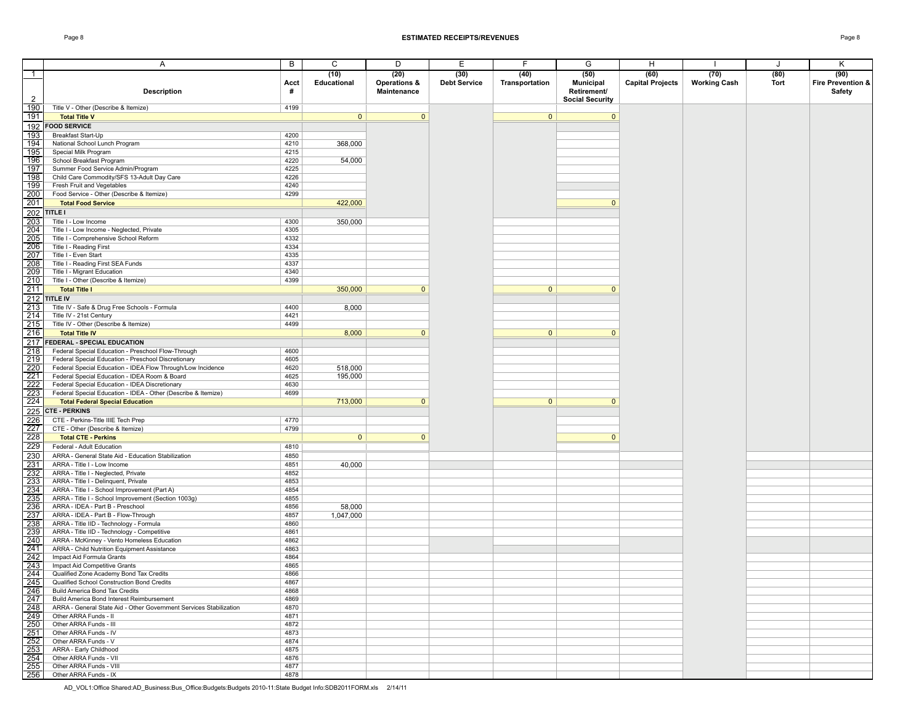|                                   | A                                                                                                               | $\overline{B}$ | С                   | D                                              | Ε                           | F.                     | G                                       | H                               |                             | J            | Κ                                          |
|-----------------------------------|-----------------------------------------------------------------------------------------------------------------|----------------|---------------------|------------------------------------------------|-----------------------------|------------------------|-----------------------------------------|---------------------------------|-----------------------------|--------------|--------------------------------------------|
| $\overline{1}$                    | <b>Description</b>                                                                                              | Acct<br>#      | (10)<br>Educational | (20)<br><b>Operations &amp;</b><br>Maintenance | (30)<br><b>Debt Service</b> | (40)<br>Transportation | (50)<br><b>Municipal</b><br>Retirement/ | (60)<br><b>Capital Projects</b> | (70)<br><b>Working Cash</b> | (80)<br>Tort | (90)<br>Fire Prevention &<br><b>Safety</b> |
| $\overline{2}$<br>190             | Title V - Other (Describe & Itemize)                                                                            | 4199           |                     |                                                |                             |                        | <b>Social Security</b>                  |                                 |                             |              |                                            |
| 191                               | <b>Total Title V</b>                                                                                            |                | $\mathbf{0}$        | $\mathbf{0}$                                   |                             | $\mathbf{0}$           | $\mathbf{0}$                            |                                 |                             |              |                                            |
|                                   | 192 FOOD SERVICE                                                                                                |                |                     |                                                |                             |                        |                                         |                                 |                             |              |                                            |
| 193                               | <b>Breakfast Start-Up</b>                                                                                       | 4200           |                     |                                                |                             |                        |                                         |                                 |                             |              |                                            |
| 194                               | National School Lunch Program                                                                                   | 4210           | 368,000             |                                                |                             |                        |                                         |                                 |                             |              |                                            |
| 195                               | Special Milk Program                                                                                            | 4215           |                     |                                                |                             |                        |                                         |                                 |                             |              |                                            |
| 196                               | School Breakfast Program                                                                                        | 4220           | 54,000              |                                                |                             |                        |                                         |                                 |                             |              |                                            |
| $\boxed{197}$                     | Summer Food Service Admin/Program                                                                               | 4225           |                     |                                                |                             |                        |                                         |                                 |                             |              |                                            |
| 198<br>199                        | Child Care Commodity/SFS 13-Adult Day Care<br>Fresh Fruit and Vegetables                                        | 4226<br>4240   |                     |                                                |                             |                        |                                         |                                 |                             |              |                                            |
| 200                               | Food Service - Other (Describe & Itemize)                                                                       | 4299           |                     |                                                |                             |                        |                                         |                                 |                             |              |                                            |
| 201                               | <b>Total Food Service</b>                                                                                       |                | 422,000             |                                                |                             |                        | $\mathbf{0}$                            |                                 |                             |              |                                            |
|                                   | $\sqrt{202}$ TITLE I                                                                                            |                |                     |                                                |                             |                        |                                         |                                 |                             |              |                                            |
| 203                               | Title I - Low Income                                                                                            | 4300           | 350,000             |                                                |                             |                        |                                         |                                 |                             |              |                                            |
| 204                               | Title I - Low Income - Neglected, Private                                                                       | 4305           |                     |                                                |                             |                        |                                         |                                 |                             |              |                                            |
| 205                               | Title I - Comprehensive School Reform                                                                           | 4332           |                     |                                                |                             |                        |                                         |                                 |                             |              |                                            |
| 206<br>$\overline{207}$           | Title I - Reading First<br>Title I - Even Start                                                                 | 4334<br>4335   |                     |                                                |                             |                        |                                         |                                 |                             |              |                                            |
| 208                               | Title I - Reading First SEA Funds                                                                               | 4337           |                     |                                                |                             |                        |                                         |                                 |                             |              |                                            |
| 209                               | Title I - Migrant Education                                                                                     | 4340           |                     |                                                |                             |                        |                                         |                                 |                             |              |                                            |
| $\overline{210}$                  | Title I - Other (Describe & Itemize)                                                                            | 4399           |                     |                                                |                             |                        |                                         |                                 |                             |              |                                            |
| $\sqrt{211}$                      | <b>Total Title I</b>                                                                                            |                | 350,000             | $\mathbf{0}$                                   |                             | $\mathbf{0}$           | $\mathbf{0}$                            |                                 |                             |              |                                            |
|                                   | $212$ TITLE IV                                                                                                  |                |                     |                                                |                             |                        |                                         |                                 |                             |              |                                            |
| 213                               | Title IV - Safe & Drug Free Schools - Formula                                                                   | 4400           | 8,000               |                                                |                             |                        |                                         |                                 |                             |              |                                            |
| $\overline{214}$<br>$\boxed{215}$ | Title IV - 21st Century<br>Title IV - Other (Describe & Itemize)                                                | 4421<br>4499   |                     |                                                |                             |                        |                                         |                                 |                             |              |                                            |
| 216                               | <b>Total Title IV</b>                                                                                           |                | 8,000               | $\mathbf{0}$                                   |                             | $\mathbf{0}$           | $\mathbf{0}$                            |                                 |                             |              |                                            |
|                                   | 217 FEDERAL - SPECIAL EDUCATION                                                                                 |                |                     |                                                |                             |                        |                                         |                                 |                             |              |                                            |
| 218                               | Federal Special Education - Preschool Flow-Through                                                              | 4600           |                     |                                                |                             |                        |                                         |                                 |                             |              |                                            |
| $\frac{219}{220}$                 | Federal Special Education - Preschool Discretionary                                                             | 4605           |                     |                                                |                             |                        |                                         |                                 |                             |              |                                            |
|                                   | Federal Special Education - IDEA Flow Through/Low Incidence                                                     | 4620           | 518,000             |                                                |                             |                        |                                         |                                 |                             |              |                                            |
| 221<br>$\frac{1}{222}$            | Federal Special Education - IDEA Room & Board                                                                   | 4625           | 195,000             |                                                |                             |                        |                                         |                                 |                             |              |                                            |
| $\overline{223}$                  | Federal Special Education - IDEA Discretionary<br>Federal Special Education - IDEA - Other (Describe & Itemize) | 4630<br>4699   |                     |                                                |                             |                        |                                         |                                 |                             |              |                                            |
| 224                               | <b>Total Federal Special Education</b>                                                                          |                | 713,000             | $\mathbf{0}$                                   |                             | $\mathbf{0}$           | $\mathbf{0}$                            |                                 |                             |              |                                            |
|                                   | 225 CTE - PERKINS                                                                                               |                |                     |                                                |                             |                        |                                         |                                 |                             |              |                                            |
| 226                               | CTE - Perkins-Title IIIE Tech Prep                                                                              | 4770           |                     |                                                |                             |                        |                                         |                                 |                             |              |                                            |
| 227                               | CTE - Other (Describe & Itemize)                                                                                | 4799           |                     |                                                |                             |                        |                                         |                                 |                             |              |                                            |
| 228                               | <b>Total CTE - Perkins</b>                                                                                      |                | 0                   | $\mathbf{0}$                                   |                             |                        | $\mathbf{0}$                            |                                 |                             |              |                                            |
| 229                               | Federal - Adult Education                                                                                       | 4810           |                     |                                                |                             |                        |                                         |                                 |                             |              |                                            |
| $\overline{230}$                  | ARRA - General State Aid - Education Stabilization                                                              | 4850           |                     |                                                |                             |                        |                                         |                                 |                             |              |                                            |
| $\frac{231}{232}$                 | ARRA - Title I - Low Income<br>ARRA - Title I - Neglected, Private                                              | 4851<br>4852   | 40,000              |                                                |                             |                        |                                         |                                 |                             |              |                                            |
| 233                               | ARRA - Title I - Delinquent, Private                                                                            | 4853           |                     |                                                |                             |                        |                                         |                                 |                             |              |                                            |
| 234                               | ARRA - Title I - School Improvement (Part A)                                                                    | 4854           |                     |                                                |                             |                        |                                         |                                 |                             |              |                                            |
| $\boxed{235}$                     | ARRA - Title I - School Improvement (Section 1003g)                                                             | 4855           |                     |                                                |                             |                        |                                         |                                 |                             |              |                                            |
| 236<br>$\overline{237}$           | ARRA - IDEA - Part B - Preschool                                                                                | 4856<br>4857   | 58,000              |                                                |                             |                        |                                         |                                 |                             |              |                                            |
| 238                               | ARRA - IDEA - Part B - Flow-Through<br>ARRA - Title IID - Technology - Formula                                  | 4860           | 1,047,000           |                                                |                             |                        |                                         |                                 |                             |              |                                            |
| 239                               | ARRA - Title IID - Technology - Competitive                                                                     | 4861           |                     |                                                |                             |                        |                                         |                                 |                             |              |                                            |
| 240                               | ARRA - McKinney - Vento Homeless Education                                                                      | 4862           |                     |                                                |                             |                        |                                         |                                 |                             |              |                                            |
| $\frac{241}{242}$                 | ARRA - Child Nutrition Equipment Assistance                                                                     | 4863           |                     |                                                |                             |                        |                                         |                                 |                             |              |                                            |
|                                   | Impact Aid Formula Grants                                                                                       | 4864           |                     |                                                |                             |                        |                                         |                                 |                             |              |                                            |
| 243<br>244                        | Impact Aid Competitive Grants<br>Qualified Zone Academy Bond Tax Credits                                        | 4865<br>4866   |                     |                                                |                             |                        |                                         |                                 |                             |              |                                            |
| $\sqrt{245}$                      | Qualified School Construction Bond Credits                                                                      | 4867           |                     |                                                |                             |                        |                                         |                                 |                             |              |                                            |
|                                   | 246 Build America Bond Tax Credits                                                                              | 4868           |                     |                                                |                             |                        |                                         |                                 |                             |              |                                            |
|                                   | 247 Build America Bond Interest Reimbursement                                                                   | 4869           |                     |                                                |                             |                        |                                         |                                 |                             |              |                                            |
| 248                               | ARRA - General State Aid - Other Government Services Stabilization                                              | 4870           |                     |                                                |                             |                        |                                         |                                 |                             |              |                                            |
| 249                               | Other ARRA Funds - II                                                                                           | 4871           |                     |                                                |                             |                        |                                         |                                 |                             |              |                                            |
|                                   | 250 Other ARRA Funds - III                                                                                      | 4872<br>4873   |                     |                                                |                             |                        |                                         |                                 |                             |              |                                            |
|                                   | 251 Other ARRA Funds - IV<br>252 Other ARRA Funds - V                                                           | 4874           |                     |                                                |                             |                        |                                         |                                 |                             |              |                                            |
| $\sqrt{253}$                      | ARRA - Early Childhood                                                                                          | 4875           |                     |                                                |                             |                        |                                         |                                 |                             |              |                                            |
| $\overline{254}$                  | Other ARRA Funds - VII                                                                                          | 4876           |                     |                                                |                             |                        |                                         |                                 |                             |              |                                            |
| $\boxed{255}$                     | Other ARRA Funds - VIII                                                                                         | 4877           |                     |                                                |                             |                        |                                         |                                 |                             |              |                                            |
|                                   | 256 Other ARRA Funds - IX                                                                                       | 4878           |                     |                                                |                             |                        |                                         |                                 |                             |              |                                            |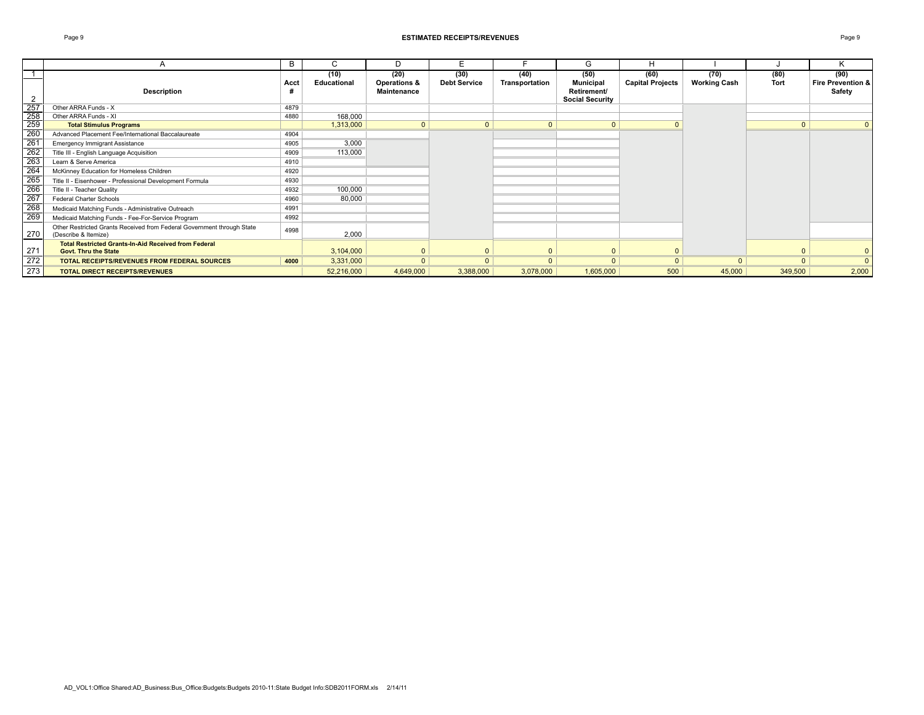#### Page 9 **ESTIMATED RECEIPTS/REVENUES** Page 9

|                  | A                                                                                              | B    | Ō                   | D                                              | Е                           |                        | G                                                                 | н                               |                             |              | n.                                  |
|------------------|------------------------------------------------------------------------------------------------|------|---------------------|------------------------------------------------|-----------------------------|------------------------|-------------------------------------------------------------------|---------------------------------|-----------------------------|--------------|-------------------------------------|
|                  | <b>Description</b>                                                                             | Acct | (10)<br>Educational | (20)<br><b>Operations &amp;</b><br>Maintenance | (30)<br><b>Debt Service</b> | (40)<br>Transportation | (50)<br><b>Municipal</b><br>Retirement/<br><b>Social Security</b> | (60)<br><b>Capital Projects</b> | (70)<br><b>Working Cash</b> | (80)<br>Tort | (90)<br>Fire Prevention &<br>Safety |
| 257              | Other ARRA Funds - X                                                                           | 4879 |                     |                                                |                             |                        |                                                                   |                                 |                             |              |                                     |
| 258              | Other ARRA Funds - XI                                                                          | 4880 | 168,000             |                                                |                             |                        |                                                                   |                                 |                             |              |                                     |
| $\overline{259}$ | <b>Total Stimulus Programs</b>                                                                 |      | 1,313,000           | $\mathbf{0}$                                   | $\Omega$                    | $\mathbf{0}$           | 0 <sub>1</sub>                                                    |                                 |                             | $\mathbf{0}$ |                                     |
| 260              | Advanced Placement Fee/International Baccalaureate                                             | 4904 |                     |                                                |                             |                        |                                                                   |                                 |                             |              |                                     |
| 261              | <b>Emergency Immigrant Assistance</b>                                                          | 4905 | 3,000               |                                                |                             |                        |                                                                   |                                 |                             |              |                                     |
| 262              | Title III - English Language Acquisition                                                       | 4909 | 113,000             |                                                |                             |                        |                                                                   |                                 |                             |              |                                     |
| 263              | Learn & Serve America                                                                          | 4910 |                     |                                                |                             |                        |                                                                   |                                 |                             |              |                                     |
| $\overline{264}$ | McKinney Education for Homeless Children                                                       | 4920 |                     |                                                |                             |                        |                                                                   |                                 |                             |              |                                     |
| 265              | Title II - Eisenhower - Professional Development Formula                                       | 4930 |                     |                                                |                             |                        |                                                                   |                                 |                             |              |                                     |
| 266              | Title II - Teacher Quality                                                                     | 4932 | 100,000             |                                                |                             |                        |                                                                   |                                 |                             |              |                                     |
| $\overline{267}$ | Federal Charter Schools                                                                        | 4960 | 80,000              |                                                |                             |                        |                                                                   |                                 |                             |              |                                     |
| 268              | Medicaid Matching Funds - Administrative Outreach                                              | 4991 |                     |                                                |                             |                        |                                                                   |                                 |                             |              |                                     |
| 269              | Medicaid Matching Funds - Fee-For-Service Program                                              | 4992 |                     |                                                |                             |                        |                                                                   |                                 |                             |              |                                     |
| 270              | Other Restricted Grants Received from Federal Government through State<br>(Describe & Itemize) | 4998 | 2,000               |                                                |                             |                        |                                                                   |                                 |                             |              |                                     |
| 27'              | <b>Total Restricted Grants-In-Aid Received from Federal</b><br><b>Govt. Thru the State</b>     |      | 3,104,000           |                                                |                             |                        | $\overline{0}$                                                    | $\overline{0}$                  |                             | $\Omega$     |                                     |
| 272              | <b>TOTAL RECEIPTS/REVENUES FROM FEDERAL SOURCES</b>                                            | 4000 | 3,331,000           | $\mathbf{0}$                                   | $\Omega$                    | $\Omega$               | $\Omega$                                                          | $\Omega$                        | $\Omega$                    | $\Omega$     |                                     |
| 273              | <b>TOTAL DIRECT RECEIPTS/REVENUES</b>                                                          |      | 52,216,000          | 4,649,000                                      | 3,388,000                   | 3,078,000              | 1,605,000                                                         | 500                             | 45,000                      | 349,500      | 2,000                               |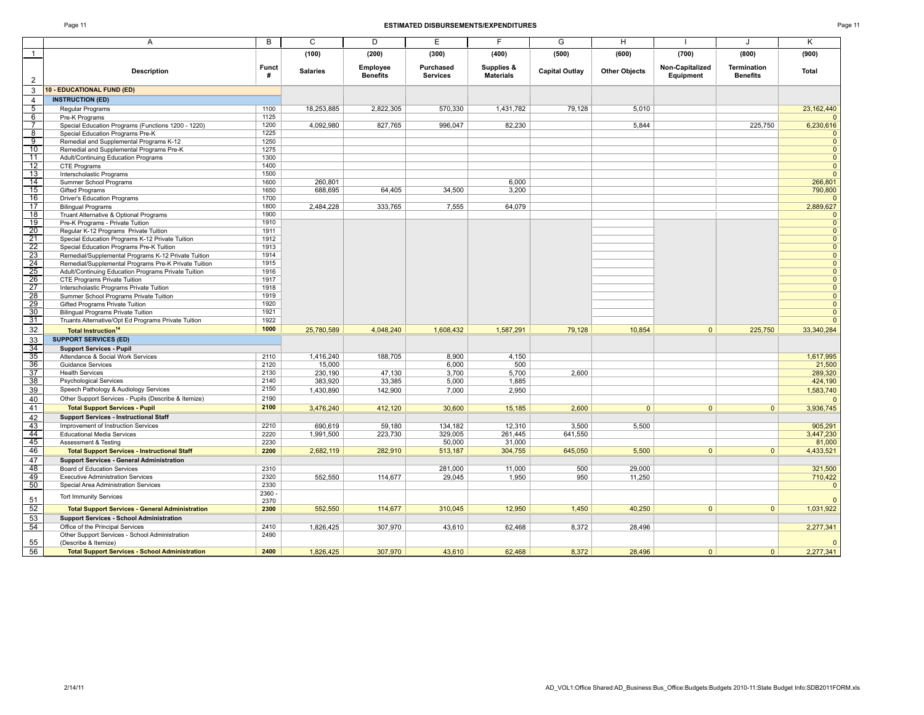### Page 11 **ESTIMATED DISBURSEMENTS/EXPENDITURES** Page 11

| ır |  |
|----|--|
|    |  |

| $\mathbf{1}$<br>(300)<br>(100)<br>(200)<br>(400)<br>(500)<br>(600)<br>(700)<br>(800)<br>(900)<br>Employee<br>Purchased<br>Supplies &<br>Non-Capitalized<br><b>Funct</b><br>Termination<br><b>Description</b><br><b>Salaries</b><br><b>Capital Outlay</b><br><b>Other Objects</b><br><b>Total</b><br><b>Services</b><br><b>Materials</b><br>#<br><b>Benefits</b><br>Equipment<br><b>Benefits</b><br>2<br>3<br>10 - EDUCATIONAL FUND (ED)<br><b>INSTRUCTION (ED)</b><br>4<br>$\overline{5}$<br>1100<br>18,253,885<br>2,822,305<br>570,330<br>79,128<br>23, 162, 440<br>Regular Programs<br>1,431,782<br>5,010<br>6<br>1125<br>Pre-K Programs<br>$\overline{7}$<br>1200<br>4,092,980<br>827,765<br>996,047<br>82,230<br>5,844<br>225,750<br>6,230,616<br>Special Education Programs (Functions 1200 - 1220)<br>$\overline{8}$<br>1225<br>Special Education Programs Pre-K<br>$\mathbf 0$<br>$\overline{9}$<br>$\overline{0}$<br>1250<br>Remedial and Supplemental Programs K-12<br>10<br>1275<br>$\overline{0}$<br>Remedial and Supplemental Programs Pre-K<br>11<br>1300<br>$\overline{0}$<br>Adult/Continuing Education Programs<br>$\overline{12}$<br>1400<br>$\overline{0}$<br>CTE Programs<br>13<br>1500<br>$\overline{0}$<br>Interscholastic Programs<br>14<br>1600<br>6.000<br>266,801<br>Summer School Programs<br>260.801<br>15<br>34,500<br>688,695<br>64,405<br>3,200<br>790,800<br><b>Gifted Programs</b><br>1650<br>16<br>1700<br>Driver's Education Programs<br>$\Omega$<br>17<br>333,765<br>64,079<br>2,889,627<br>2,484,228<br>7,555<br><b>Bilingual Programs</b><br>1800<br>18<br>1900<br>$\overline{0}$<br>Truant Alternative & Optional Programs<br>19<br>$\overline{\mathbf{0}}$<br>1910<br>Pre-K Programs - Private Tuition<br>20<br>$\overline{0}$<br>1911<br>Regular K-12 Programs Private Tuition<br>$\frac{21}{22}$<br>1912<br>$\mathbf 0$<br>Special Education Programs K-12 Private Tuition<br>$\overline{\mathbf{0}}$<br>1913<br>Special Education Programs Pre-K Tuition<br>$\frac{23}{24}$<br>$\overline{0}$<br>Remedial/Supplemental Programs K-12 Private Tuition<br>1914<br>$\overline{\mathbf{0}}$<br>Remedial/Supplemental Programs Pre-K Private Tuition<br>1915<br>$\frac{25}{26}$<br>$\overline{0}$<br>1916<br>Adult/Continuing Education Programs Private Tuition<br>$\overline{\mathbf{0}}$<br>CTE Programs Private Tuition<br>1917<br>27<br>$\overline{0}$<br>Interscholastic Programs Private Tuition<br>1918<br>$\overline{28}$<br>1919<br>$\mathbf 0$<br>Summer School Programs Private Tuition<br>29<br>$\overline{0}$<br>1920<br>Gifted Programs Private Tuition<br>30<br>1921<br>$\mathbf{0}$<br>Bilingual Programs Private Tuition<br>31<br>$\overline{0}$<br>Truants Alternative/Opt Ed Programs Private Tuition<br>1922<br>32<br>1000<br>1,608,432<br>1,587,291<br>79,128<br>10,854<br>$\mathbf{0}$<br>225,750<br>33,340,284<br>25,780,589<br>4,048,240<br><b>Total Instruction<sup>14</sup></b><br>33<br><b>SUPPORT SERVICES (ED)</b><br>$\frac{34}{35}$<br><b>Support Services - Pupil</b><br>188,705<br>1,617,995<br>1,416,240<br>8,900<br>4,150<br>Attendance & Social Work Services<br>2110<br>36<br>2120<br>500<br>21,500<br><b>Guidance Services</b><br>15,000<br>6,000<br>$\overline{37}$<br>5,700<br>2,600<br>289,320<br><b>Health Services</b><br>2130<br>230,190<br>47,130<br>3,700<br>38<br>383,920<br>33,385<br>5,000<br>1,885<br>424,190<br><b>Psychological Services</b><br>2140<br>39<br>2150<br>Speech Pathology & Audiology Services<br>1,430,890<br>142,900<br>7,000<br>2,950<br>1,583,740<br>40<br>2190<br>Other Support Services - Pupils (Describe & Itemize)<br>$\overline{0}$<br>41<br>2100<br>412,120<br>30,600<br>2,600<br>3,936,745<br>3,476,240<br>15,185<br> 0 <br>$\mathbf{0}$<br>$\mathbf{0}$<br><b>Total Support Services - Pupil</b><br>42<br><b>Support Services - Instructional Staff</b><br>43<br>134,182<br>12,310<br>3,500<br>5,500<br>905,291<br>Improvement of Instruction Services<br>2210<br>690,619<br>59,180<br>44<br><b>Educational Media Services</b><br>2220<br>1,991,500<br>223,730<br>329,005<br>261,445<br>641,550<br>3,447,230<br>45<br>31,000<br>2230<br>50,000<br>81,000<br>Assessment & Testing<br>46<br>2200<br>282,910<br>513,187<br>304,755<br>645,050<br>5,500<br>$\overline{0}$<br>4,433,521<br>2,682,119<br>$\overline{0}$<br><b>Total Support Services - Instructional Staff</b><br>47<br><b>Support Services - General Administration</b><br>48<br>2310<br>11,000<br>500<br>29,000<br>321,500<br>Board of Education Services<br>281,000<br>49<br>710,422<br><b>Executive Administration Services</b><br>2320<br>552,550<br>114,677<br>29,045<br>1,950<br>950<br>11,250<br>50<br>2330<br>$\overline{0}$<br>Special Area Administration Services<br>2360 -<br><b>Tort Immunity Services</b><br>51<br>2370<br>$\overline{0}$<br>52<br>552,550<br>114,677<br>12,950<br>1,450<br>40,250<br><b>Total Support Services - General Administration</b><br>2300<br>310,045<br>$\mathbf{0}$<br>$\overline{0}$<br>1,031,922<br>53<br><b>Support Services - School Administration</b><br>54<br>Office of the Principal Services<br>2410<br>1,826,425<br>307,970<br>43,610<br>62,468<br>8,372<br>28,496<br>2,277,341<br>2490<br>Other Support Services - School Administration<br>55<br>$\mathbf{0}$<br>(Describe & Itemize)<br>56<br>2,277,341<br><b>Total Support Services - School Administration</b><br>2400<br>1,826,425<br>307,970<br>43,610<br>62,468<br>8,372<br>28,496<br>$\overline{0}$<br>$\mathbf{0}$ | A | $\overline{B}$ | $\overline{c}$ | $\overline{D}$ | E | F | $\overline{G}$ | $\overline{H}$ | $\mathbf{J}$ | K |
|-----------------------------------------------------------------------------------------------------------------------------------------------------------------------------------------------------------------------------------------------------------------------------------------------------------------------------------------------------------------------------------------------------------------------------------------------------------------------------------------------------------------------------------------------------------------------------------------------------------------------------------------------------------------------------------------------------------------------------------------------------------------------------------------------------------------------------------------------------------------------------------------------------------------------------------------------------------------------------------------------------------------------------------------------------------------------------------------------------------------------------------------------------------------------------------------------------------------------------------------------------------------------------------------------------------------------------------------------------------------------------------------------------------------------------------------------------------------------------------------------------------------------------------------------------------------------------------------------------------------------------------------------------------------------------------------------------------------------------------------------------------------------------------------------------------------------------------------------------------------------------------------------------------------------------------------------------------------------------------------------------------------------------------------------------------------------------------------------------------------------------------------------------------------------------------------------------------------------------------------------------------------------------------------------------------------------------------------------------------------------------------------------------------------------------------------------------------------------------------------------------------------------------------------------------------------------------------------------------------------------------------------------------------------------------------------------------------------------------------------------------------------------------------------------------------------------------------------------------------------------------------------------------------------------------------------------------------------------------------------------------------------------------------------------------------------------------------------------------------------------------------------------------------------------------------------------------------------------------------------------------------------------------------------------------------------------------------------------------------------------------------------------------------------------------------------------------------------------------------------------------------------------------------------------------------------------------------------------------------------------------------------------------------------------------------------------------------------------------------------------------------------------------------------------------------------------------------------------------------------------------------------------------------------------------------------------------------------------------------------------------------------------------------------------------------------------------------------------------------------------------------------------------------------------------------------------------------------------------------------------------------------------------------------------------------------------------------------------------------------------------------------------------------------------------------------------------------------------------------------------------------------------------------------------------------------------------------------------------------------------------------------------------------------------------------------------------------------------------------------------------------------------------------------------------------------------------------------------------------------------------------------------------------------------------------------------------------------------------------------------------------------------------------------------------------------------------------------------------------------------------------------------------------------------------------------------------------------------------------------------------------------------------------------------------------------------------------------------------------------------------------------------------------------------------------------------------------------------------------------------------------------|---|----------------|----------------|----------------|---|---|----------------|----------------|--------------|---|
|                                                                                                                                                                                                                                                                                                                                                                                                                                                                                                                                                                                                                                                                                                                                                                                                                                                                                                                                                                                                                                                                                                                                                                                                                                                                                                                                                                                                                                                                                                                                                                                                                                                                                                                                                                                                                                                                                                                                                                                                                                                                                                                                                                                                                                                                                                                                                                                                                                                                                                                                                                                                                                                                                                                                                                                                                                                                                                                                                                                                                                                                                                                                                                                                                                                                                                                                                                                                                                                                                                                                                                                                                                                                                                                                                                                                                                                                                                                                                                                                                                                                                                                                                                                                                                                                                                                                                                                                                                                                                                                                                                                                                                                                                                                                                                                                                                                                                                                                                                                                                                                                                                                                                                                                                                                                                                                                                                                                                                                                                                                 |   |                |                |                |   |   |                |                |              |   |
|                                                                                                                                                                                                                                                                                                                                                                                                                                                                                                                                                                                                                                                                                                                                                                                                                                                                                                                                                                                                                                                                                                                                                                                                                                                                                                                                                                                                                                                                                                                                                                                                                                                                                                                                                                                                                                                                                                                                                                                                                                                                                                                                                                                                                                                                                                                                                                                                                                                                                                                                                                                                                                                                                                                                                                                                                                                                                                                                                                                                                                                                                                                                                                                                                                                                                                                                                                                                                                                                                                                                                                                                                                                                                                                                                                                                                                                                                                                                                                                                                                                                                                                                                                                                                                                                                                                                                                                                                                                                                                                                                                                                                                                                                                                                                                                                                                                                                                                                                                                                                                                                                                                                                                                                                                                                                                                                                                                                                                                                                                                 |   |                |                |                |   |   |                |                |              |   |
|                                                                                                                                                                                                                                                                                                                                                                                                                                                                                                                                                                                                                                                                                                                                                                                                                                                                                                                                                                                                                                                                                                                                                                                                                                                                                                                                                                                                                                                                                                                                                                                                                                                                                                                                                                                                                                                                                                                                                                                                                                                                                                                                                                                                                                                                                                                                                                                                                                                                                                                                                                                                                                                                                                                                                                                                                                                                                                                                                                                                                                                                                                                                                                                                                                                                                                                                                                                                                                                                                                                                                                                                                                                                                                                                                                                                                                                                                                                                                                                                                                                                                                                                                                                                                                                                                                                                                                                                                                                                                                                                                                                                                                                                                                                                                                                                                                                                                                                                                                                                                                                                                                                                                                                                                                                                                                                                                                                                                                                                                                                 |   |                |                |                |   |   |                |                |              |   |
|                                                                                                                                                                                                                                                                                                                                                                                                                                                                                                                                                                                                                                                                                                                                                                                                                                                                                                                                                                                                                                                                                                                                                                                                                                                                                                                                                                                                                                                                                                                                                                                                                                                                                                                                                                                                                                                                                                                                                                                                                                                                                                                                                                                                                                                                                                                                                                                                                                                                                                                                                                                                                                                                                                                                                                                                                                                                                                                                                                                                                                                                                                                                                                                                                                                                                                                                                                                                                                                                                                                                                                                                                                                                                                                                                                                                                                                                                                                                                                                                                                                                                                                                                                                                                                                                                                                                                                                                                                                                                                                                                                                                                                                                                                                                                                                                                                                                                                                                                                                                                                                                                                                                                                                                                                                                                                                                                                                                                                                                                                                 |   |                |                |                |   |   |                |                |              |   |
|                                                                                                                                                                                                                                                                                                                                                                                                                                                                                                                                                                                                                                                                                                                                                                                                                                                                                                                                                                                                                                                                                                                                                                                                                                                                                                                                                                                                                                                                                                                                                                                                                                                                                                                                                                                                                                                                                                                                                                                                                                                                                                                                                                                                                                                                                                                                                                                                                                                                                                                                                                                                                                                                                                                                                                                                                                                                                                                                                                                                                                                                                                                                                                                                                                                                                                                                                                                                                                                                                                                                                                                                                                                                                                                                                                                                                                                                                                                                                                                                                                                                                                                                                                                                                                                                                                                                                                                                                                                                                                                                                                                                                                                                                                                                                                                                                                                                                                                                                                                                                                                                                                                                                                                                                                                                                                                                                                                                                                                                                                                 |   |                |                |                |   |   |                |                |              |   |
|                                                                                                                                                                                                                                                                                                                                                                                                                                                                                                                                                                                                                                                                                                                                                                                                                                                                                                                                                                                                                                                                                                                                                                                                                                                                                                                                                                                                                                                                                                                                                                                                                                                                                                                                                                                                                                                                                                                                                                                                                                                                                                                                                                                                                                                                                                                                                                                                                                                                                                                                                                                                                                                                                                                                                                                                                                                                                                                                                                                                                                                                                                                                                                                                                                                                                                                                                                                                                                                                                                                                                                                                                                                                                                                                                                                                                                                                                                                                                                                                                                                                                                                                                                                                                                                                                                                                                                                                                                                                                                                                                                                                                                                                                                                                                                                                                                                                                                                                                                                                                                                                                                                                                                                                                                                                                                                                                                                                                                                                                                                 |   |                |                |                |   |   |                |                |              |   |
|                                                                                                                                                                                                                                                                                                                                                                                                                                                                                                                                                                                                                                                                                                                                                                                                                                                                                                                                                                                                                                                                                                                                                                                                                                                                                                                                                                                                                                                                                                                                                                                                                                                                                                                                                                                                                                                                                                                                                                                                                                                                                                                                                                                                                                                                                                                                                                                                                                                                                                                                                                                                                                                                                                                                                                                                                                                                                                                                                                                                                                                                                                                                                                                                                                                                                                                                                                                                                                                                                                                                                                                                                                                                                                                                                                                                                                                                                                                                                                                                                                                                                                                                                                                                                                                                                                                                                                                                                                                                                                                                                                                                                                                                                                                                                                                                                                                                                                                                                                                                                                                                                                                                                                                                                                                                                                                                                                                                                                                                                                                 |   |                |                |                |   |   |                |                |              |   |
|                                                                                                                                                                                                                                                                                                                                                                                                                                                                                                                                                                                                                                                                                                                                                                                                                                                                                                                                                                                                                                                                                                                                                                                                                                                                                                                                                                                                                                                                                                                                                                                                                                                                                                                                                                                                                                                                                                                                                                                                                                                                                                                                                                                                                                                                                                                                                                                                                                                                                                                                                                                                                                                                                                                                                                                                                                                                                                                                                                                                                                                                                                                                                                                                                                                                                                                                                                                                                                                                                                                                                                                                                                                                                                                                                                                                                                                                                                                                                                                                                                                                                                                                                                                                                                                                                                                                                                                                                                                                                                                                                                                                                                                                                                                                                                                                                                                                                                                                                                                                                                                                                                                                                                                                                                                                                                                                                                                                                                                                                                                 |   |                |                |                |   |   |                |                |              |   |
|                                                                                                                                                                                                                                                                                                                                                                                                                                                                                                                                                                                                                                                                                                                                                                                                                                                                                                                                                                                                                                                                                                                                                                                                                                                                                                                                                                                                                                                                                                                                                                                                                                                                                                                                                                                                                                                                                                                                                                                                                                                                                                                                                                                                                                                                                                                                                                                                                                                                                                                                                                                                                                                                                                                                                                                                                                                                                                                                                                                                                                                                                                                                                                                                                                                                                                                                                                                                                                                                                                                                                                                                                                                                                                                                                                                                                                                                                                                                                                                                                                                                                                                                                                                                                                                                                                                                                                                                                                                                                                                                                                                                                                                                                                                                                                                                                                                                                                                                                                                                                                                                                                                                                                                                                                                                                                                                                                                                                                                                                                                 |   |                |                |                |   |   |                |                |              |   |
|                                                                                                                                                                                                                                                                                                                                                                                                                                                                                                                                                                                                                                                                                                                                                                                                                                                                                                                                                                                                                                                                                                                                                                                                                                                                                                                                                                                                                                                                                                                                                                                                                                                                                                                                                                                                                                                                                                                                                                                                                                                                                                                                                                                                                                                                                                                                                                                                                                                                                                                                                                                                                                                                                                                                                                                                                                                                                                                                                                                                                                                                                                                                                                                                                                                                                                                                                                                                                                                                                                                                                                                                                                                                                                                                                                                                                                                                                                                                                                                                                                                                                                                                                                                                                                                                                                                                                                                                                                                                                                                                                                                                                                                                                                                                                                                                                                                                                                                                                                                                                                                                                                                                                                                                                                                                                                                                                                                                                                                                                                                 |   |                |                |                |   |   |                |                |              |   |
|                                                                                                                                                                                                                                                                                                                                                                                                                                                                                                                                                                                                                                                                                                                                                                                                                                                                                                                                                                                                                                                                                                                                                                                                                                                                                                                                                                                                                                                                                                                                                                                                                                                                                                                                                                                                                                                                                                                                                                                                                                                                                                                                                                                                                                                                                                                                                                                                                                                                                                                                                                                                                                                                                                                                                                                                                                                                                                                                                                                                                                                                                                                                                                                                                                                                                                                                                                                                                                                                                                                                                                                                                                                                                                                                                                                                                                                                                                                                                                                                                                                                                                                                                                                                                                                                                                                                                                                                                                                                                                                                                                                                                                                                                                                                                                                                                                                                                                                                                                                                                                                                                                                                                                                                                                                                                                                                                                                                                                                                                                                 |   |                |                |                |   |   |                |                |              |   |
|                                                                                                                                                                                                                                                                                                                                                                                                                                                                                                                                                                                                                                                                                                                                                                                                                                                                                                                                                                                                                                                                                                                                                                                                                                                                                                                                                                                                                                                                                                                                                                                                                                                                                                                                                                                                                                                                                                                                                                                                                                                                                                                                                                                                                                                                                                                                                                                                                                                                                                                                                                                                                                                                                                                                                                                                                                                                                                                                                                                                                                                                                                                                                                                                                                                                                                                                                                                                                                                                                                                                                                                                                                                                                                                                                                                                                                                                                                                                                                                                                                                                                                                                                                                                                                                                                                                                                                                                                                                                                                                                                                                                                                                                                                                                                                                                                                                                                                                                                                                                                                                                                                                                                                                                                                                                                                                                                                                                                                                                                                                 |   |                |                |                |   |   |                |                |              |   |
|                                                                                                                                                                                                                                                                                                                                                                                                                                                                                                                                                                                                                                                                                                                                                                                                                                                                                                                                                                                                                                                                                                                                                                                                                                                                                                                                                                                                                                                                                                                                                                                                                                                                                                                                                                                                                                                                                                                                                                                                                                                                                                                                                                                                                                                                                                                                                                                                                                                                                                                                                                                                                                                                                                                                                                                                                                                                                                                                                                                                                                                                                                                                                                                                                                                                                                                                                                                                                                                                                                                                                                                                                                                                                                                                                                                                                                                                                                                                                                                                                                                                                                                                                                                                                                                                                                                                                                                                                                                                                                                                                                                                                                                                                                                                                                                                                                                                                                                                                                                                                                                                                                                                                                                                                                                                                                                                                                                                                                                                                                                 |   |                |                |                |   |   |                |                |              |   |
|                                                                                                                                                                                                                                                                                                                                                                                                                                                                                                                                                                                                                                                                                                                                                                                                                                                                                                                                                                                                                                                                                                                                                                                                                                                                                                                                                                                                                                                                                                                                                                                                                                                                                                                                                                                                                                                                                                                                                                                                                                                                                                                                                                                                                                                                                                                                                                                                                                                                                                                                                                                                                                                                                                                                                                                                                                                                                                                                                                                                                                                                                                                                                                                                                                                                                                                                                                                                                                                                                                                                                                                                                                                                                                                                                                                                                                                                                                                                                                                                                                                                                                                                                                                                                                                                                                                                                                                                                                                                                                                                                                                                                                                                                                                                                                                                                                                                                                                                                                                                                                                                                                                                                                                                                                                                                                                                                                                                                                                                                                                 |   |                |                |                |   |   |                |                |              |   |
|                                                                                                                                                                                                                                                                                                                                                                                                                                                                                                                                                                                                                                                                                                                                                                                                                                                                                                                                                                                                                                                                                                                                                                                                                                                                                                                                                                                                                                                                                                                                                                                                                                                                                                                                                                                                                                                                                                                                                                                                                                                                                                                                                                                                                                                                                                                                                                                                                                                                                                                                                                                                                                                                                                                                                                                                                                                                                                                                                                                                                                                                                                                                                                                                                                                                                                                                                                                                                                                                                                                                                                                                                                                                                                                                                                                                                                                                                                                                                                                                                                                                                                                                                                                                                                                                                                                                                                                                                                                                                                                                                                                                                                                                                                                                                                                                                                                                                                                                                                                                                                                                                                                                                                                                                                                                                                                                                                                                                                                                                                                 |   |                |                |                |   |   |                |                |              |   |
|                                                                                                                                                                                                                                                                                                                                                                                                                                                                                                                                                                                                                                                                                                                                                                                                                                                                                                                                                                                                                                                                                                                                                                                                                                                                                                                                                                                                                                                                                                                                                                                                                                                                                                                                                                                                                                                                                                                                                                                                                                                                                                                                                                                                                                                                                                                                                                                                                                                                                                                                                                                                                                                                                                                                                                                                                                                                                                                                                                                                                                                                                                                                                                                                                                                                                                                                                                                                                                                                                                                                                                                                                                                                                                                                                                                                                                                                                                                                                                                                                                                                                                                                                                                                                                                                                                                                                                                                                                                                                                                                                                                                                                                                                                                                                                                                                                                                                                                                                                                                                                                                                                                                                                                                                                                                                                                                                                                                                                                                                                                 |   |                |                |                |   |   |                |                |              |   |
|                                                                                                                                                                                                                                                                                                                                                                                                                                                                                                                                                                                                                                                                                                                                                                                                                                                                                                                                                                                                                                                                                                                                                                                                                                                                                                                                                                                                                                                                                                                                                                                                                                                                                                                                                                                                                                                                                                                                                                                                                                                                                                                                                                                                                                                                                                                                                                                                                                                                                                                                                                                                                                                                                                                                                                                                                                                                                                                                                                                                                                                                                                                                                                                                                                                                                                                                                                                                                                                                                                                                                                                                                                                                                                                                                                                                                                                                                                                                                                                                                                                                                                                                                                                                                                                                                                                                                                                                                                                                                                                                                                                                                                                                                                                                                                                                                                                                                                                                                                                                                                                                                                                                                                                                                                                                                                                                                                                                                                                                                                                 |   |                |                |                |   |   |                |                |              |   |
|                                                                                                                                                                                                                                                                                                                                                                                                                                                                                                                                                                                                                                                                                                                                                                                                                                                                                                                                                                                                                                                                                                                                                                                                                                                                                                                                                                                                                                                                                                                                                                                                                                                                                                                                                                                                                                                                                                                                                                                                                                                                                                                                                                                                                                                                                                                                                                                                                                                                                                                                                                                                                                                                                                                                                                                                                                                                                                                                                                                                                                                                                                                                                                                                                                                                                                                                                                                                                                                                                                                                                                                                                                                                                                                                                                                                                                                                                                                                                                                                                                                                                                                                                                                                                                                                                                                                                                                                                                                                                                                                                                                                                                                                                                                                                                                                                                                                                                                                                                                                                                                                                                                                                                                                                                                                                                                                                                                                                                                                                                                 |   |                |                |                |   |   |                |                |              |   |
|                                                                                                                                                                                                                                                                                                                                                                                                                                                                                                                                                                                                                                                                                                                                                                                                                                                                                                                                                                                                                                                                                                                                                                                                                                                                                                                                                                                                                                                                                                                                                                                                                                                                                                                                                                                                                                                                                                                                                                                                                                                                                                                                                                                                                                                                                                                                                                                                                                                                                                                                                                                                                                                                                                                                                                                                                                                                                                                                                                                                                                                                                                                                                                                                                                                                                                                                                                                                                                                                                                                                                                                                                                                                                                                                                                                                                                                                                                                                                                                                                                                                                                                                                                                                                                                                                                                                                                                                                                                                                                                                                                                                                                                                                                                                                                                                                                                                                                                                                                                                                                                                                                                                                                                                                                                                                                                                                                                                                                                                                                                 |   |                |                |                |   |   |                |                |              |   |
|                                                                                                                                                                                                                                                                                                                                                                                                                                                                                                                                                                                                                                                                                                                                                                                                                                                                                                                                                                                                                                                                                                                                                                                                                                                                                                                                                                                                                                                                                                                                                                                                                                                                                                                                                                                                                                                                                                                                                                                                                                                                                                                                                                                                                                                                                                                                                                                                                                                                                                                                                                                                                                                                                                                                                                                                                                                                                                                                                                                                                                                                                                                                                                                                                                                                                                                                                                                                                                                                                                                                                                                                                                                                                                                                                                                                                                                                                                                                                                                                                                                                                                                                                                                                                                                                                                                                                                                                                                                                                                                                                                                                                                                                                                                                                                                                                                                                                                                                                                                                                                                                                                                                                                                                                                                                                                                                                                                                                                                                                                                 |   |                |                |                |   |   |                |                |              |   |
|                                                                                                                                                                                                                                                                                                                                                                                                                                                                                                                                                                                                                                                                                                                                                                                                                                                                                                                                                                                                                                                                                                                                                                                                                                                                                                                                                                                                                                                                                                                                                                                                                                                                                                                                                                                                                                                                                                                                                                                                                                                                                                                                                                                                                                                                                                                                                                                                                                                                                                                                                                                                                                                                                                                                                                                                                                                                                                                                                                                                                                                                                                                                                                                                                                                                                                                                                                                                                                                                                                                                                                                                                                                                                                                                                                                                                                                                                                                                                                                                                                                                                                                                                                                                                                                                                                                                                                                                                                                                                                                                                                                                                                                                                                                                                                                                                                                                                                                                                                                                                                                                                                                                                                                                                                                                                                                                                                                                                                                                                                                 |   |                |                |                |   |   |                |                |              |   |
|                                                                                                                                                                                                                                                                                                                                                                                                                                                                                                                                                                                                                                                                                                                                                                                                                                                                                                                                                                                                                                                                                                                                                                                                                                                                                                                                                                                                                                                                                                                                                                                                                                                                                                                                                                                                                                                                                                                                                                                                                                                                                                                                                                                                                                                                                                                                                                                                                                                                                                                                                                                                                                                                                                                                                                                                                                                                                                                                                                                                                                                                                                                                                                                                                                                                                                                                                                                                                                                                                                                                                                                                                                                                                                                                                                                                                                                                                                                                                                                                                                                                                                                                                                                                                                                                                                                                                                                                                                                                                                                                                                                                                                                                                                                                                                                                                                                                                                                                                                                                                                                                                                                                                                                                                                                                                                                                                                                                                                                                                                                 |   |                |                |                |   |   |                |                |              |   |
|                                                                                                                                                                                                                                                                                                                                                                                                                                                                                                                                                                                                                                                                                                                                                                                                                                                                                                                                                                                                                                                                                                                                                                                                                                                                                                                                                                                                                                                                                                                                                                                                                                                                                                                                                                                                                                                                                                                                                                                                                                                                                                                                                                                                                                                                                                                                                                                                                                                                                                                                                                                                                                                                                                                                                                                                                                                                                                                                                                                                                                                                                                                                                                                                                                                                                                                                                                                                                                                                                                                                                                                                                                                                                                                                                                                                                                                                                                                                                                                                                                                                                                                                                                                                                                                                                                                                                                                                                                                                                                                                                                                                                                                                                                                                                                                                                                                                                                                                                                                                                                                                                                                                                                                                                                                                                                                                                                                                                                                                                                                 |   |                |                |                |   |   |                |                |              |   |
|                                                                                                                                                                                                                                                                                                                                                                                                                                                                                                                                                                                                                                                                                                                                                                                                                                                                                                                                                                                                                                                                                                                                                                                                                                                                                                                                                                                                                                                                                                                                                                                                                                                                                                                                                                                                                                                                                                                                                                                                                                                                                                                                                                                                                                                                                                                                                                                                                                                                                                                                                                                                                                                                                                                                                                                                                                                                                                                                                                                                                                                                                                                                                                                                                                                                                                                                                                                                                                                                                                                                                                                                                                                                                                                                                                                                                                                                                                                                                                                                                                                                                                                                                                                                                                                                                                                                                                                                                                                                                                                                                                                                                                                                                                                                                                                                                                                                                                                                                                                                                                                                                                                                                                                                                                                                                                                                                                                                                                                                                                                 |   |                |                |                |   |   |                |                |              |   |
|                                                                                                                                                                                                                                                                                                                                                                                                                                                                                                                                                                                                                                                                                                                                                                                                                                                                                                                                                                                                                                                                                                                                                                                                                                                                                                                                                                                                                                                                                                                                                                                                                                                                                                                                                                                                                                                                                                                                                                                                                                                                                                                                                                                                                                                                                                                                                                                                                                                                                                                                                                                                                                                                                                                                                                                                                                                                                                                                                                                                                                                                                                                                                                                                                                                                                                                                                                                                                                                                                                                                                                                                                                                                                                                                                                                                                                                                                                                                                                                                                                                                                                                                                                                                                                                                                                                                                                                                                                                                                                                                                                                                                                                                                                                                                                                                                                                                                                                                                                                                                                                                                                                                                                                                                                                                                                                                                                                                                                                                                                                 |   |                |                |                |   |   |                |                |              |   |
|                                                                                                                                                                                                                                                                                                                                                                                                                                                                                                                                                                                                                                                                                                                                                                                                                                                                                                                                                                                                                                                                                                                                                                                                                                                                                                                                                                                                                                                                                                                                                                                                                                                                                                                                                                                                                                                                                                                                                                                                                                                                                                                                                                                                                                                                                                                                                                                                                                                                                                                                                                                                                                                                                                                                                                                                                                                                                                                                                                                                                                                                                                                                                                                                                                                                                                                                                                                                                                                                                                                                                                                                                                                                                                                                                                                                                                                                                                                                                                                                                                                                                                                                                                                                                                                                                                                                                                                                                                                                                                                                                                                                                                                                                                                                                                                                                                                                                                                                                                                                                                                                                                                                                                                                                                                                                                                                                                                                                                                                                                                 |   |                |                |                |   |   |                |                |              |   |
|                                                                                                                                                                                                                                                                                                                                                                                                                                                                                                                                                                                                                                                                                                                                                                                                                                                                                                                                                                                                                                                                                                                                                                                                                                                                                                                                                                                                                                                                                                                                                                                                                                                                                                                                                                                                                                                                                                                                                                                                                                                                                                                                                                                                                                                                                                                                                                                                                                                                                                                                                                                                                                                                                                                                                                                                                                                                                                                                                                                                                                                                                                                                                                                                                                                                                                                                                                                                                                                                                                                                                                                                                                                                                                                                                                                                                                                                                                                                                                                                                                                                                                                                                                                                                                                                                                                                                                                                                                                                                                                                                                                                                                                                                                                                                                                                                                                                                                                                                                                                                                                                                                                                                                                                                                                                                                                                                                                                                                                                                                                 |   |                |                |                |   |   |                |                |              |   |
|                                                                                                                                                                                                                                                                                                                                                                                                                                                                                                                                                                                                                                                                                                                                                                                                                                                                                                                                                                                                                                                                                                                                                                                                                                                                                                                                                                                                                                                                                                                                                                                                                                                                                                                                                                                                                                                                                                                                                                                                                                                                                                                                                                                                                                                                                                                                                                                                                                                                                                                                                                                                                                                                                                                                                                                                                                                                                                                                                                                                                                                                                                                                                                                                                                                                                                                                                                                                                                                                                                                                                                                                                                                                                                                                                                                                                                                                                                                                                                                                                                                                                                                                                                                                                                                                                                                                                                                                                                                                                                                                                                                                                                                                                                                                                                                                                                                                                                                                                                                                                                                                                                                                                                                                                                                                                                                                                                                                                                                                                                                 |   |                |                |                |   |   |                |                |              |   |
|                                                                                                                                                                                                                                                                                                                                                                                                                                                                                                                                                                                                                                                                                                                                                                                                                                                                                                                                                                                                                                                                                                                                                                                                                                                                                                                                                                                                                                                                                                                                                                                                                                                                                                                                                                                                                                                                                                                                                                                                                                                                                                                                                                                                                                                                                                                                                                                                                                                                                                                                                                                                                                                                                                                                                                                                                                                                                                                                                                                                                                                                                                                                                                                                                                                                                                                                                                                                                                                                                                                                                                                                                                                                                                                                                                                                                                                                                                                                                                                                                                                                                                                                                                                                                                                                                                                                                                                                                                                                                                                                                                                                                                                                                                                                                                                                                                                                                                                                                                                                                                                                                                                                                                                                                                                                                                                                                                                                                                                                                                                 |   |                |                |                |   |   |                |                |              |   |
|                                                                                                                                                                                                                                                                                                                                                                                                                                                                                                                                                                                                                                                                                                                                                                                                                                                                                                                                                                                                                                                                                                                                                                                                                                                                                                                                                                                                                                                                                                                                                                                                                                                                                                                                                                                                                                                                                                                                                                                                                                                                                                                                                                                                                                                                                                                                                                                                                                                                                                                                                                                                                                                                                                                                                                                                                                                                                                                                                                                                                                                                                                                                                                                                                                                                                                                                                                                                                                                                                                                                                                                                                                                                                                                                                                                                                                                                                                                                                                                                                                                                                                                                                                                                                                                                                                                                                                                                                                                                                                                                                                                                                                                                                                                                                                                                                                                                                                                                                                                                                                                                                                                                                                                                                                                                                                                                                                                                                                                                                                                 |   |                |                |                |   |   |                |                |              |   |
|                                                                                                                                                                                                                                                                                                                                                                                                                                                                                                                                                                                                                                                                                                                                                                                                                                                                                                                                                                                                                                                                                                                                                                                                                                                                                                                                                                                                                                                                                                                                                                                                                                                                                                                                                                                                                                                                                                                                                                                                                                                                                                                                                                                                                                                                                                                                                                                                                                                                                                                                                                                                                                                                                                                                                                                                                                                                                                                                                                                                                                                                                                                                                                                                                                                                                                                                                                                                                                                                                                                                                                                                                                                                                                                                                                                                                                                                                                                                                                                                                                                                                                                                                                                                                                                                                                                                                                                                                                                                                                                                                                                                                                                                                                                                                                                                                                                                                                                                                                                                                                                                                                                                                                                                                                                                                                                                                                                                                                                                                                                 |   |                |                |                |   |   |                |                |              |   |
|                                                                                                                                                                                                                                                                                                                                                                                                                                                                                                                                                                                                                                                                                                                                                                                                                                                                                                                                                                                                                                                                                                                                                                                                                                                                                                                                                                                                                                                                                                                                                                                                                                                                                                                                                                                                                                                                                                                                                                                                                                                                                                                                                                                                                                                                                                                                                                                                                                                                                                                                                                                                                                                                                                                                                                                                                                                                                                                                                                                                                                                                                                                                                                                                                                                                                                                                                                                                                                                                                                                                                                                                                                                                                                                                                                                                                                                                                                                                                                                                                                                                                                                                                                                                                                                                                                                                                                                                                                                                                                                                                                                                                                                                                                                                                                                                                                                                                                                                                                                                                                                                                                                                                                                                                                                                                                                                                                                                                                                                                                                 |   |                |                |                |   |   |                |                |              |   |
|                                                                                                                                                                                                                                                                                                                                                                                                                                                                                                                                                                                                                                                                                                                                                                                                                                                                                                                                                                                                                                                                                                                                                                                                                                                                                                                                                                                                                                                                                                                                                                                                                                                                                                                                                                                                                                                                                                                                                                                                                                                                                                                                                                                                                                                                                                                                                                                                                                                                                                                                                                                                                                                                                                                                                                                                                                                                                                                                                                                                                                                                                                                                                                                                                                                                                                                                                                                                                                                                                                                                                                                                                                                                                                                                                                                                                                                                                                                                                                                                                                                                                                                                                                                                                                                                                                                                                                                                                                                                                                                                                                                                                                                                                                                                                                                                                                                                                                                                                                                                                                                                                                                                                                                                                                                                                                                                                                                                                                                                                                                 |   |                |                |                |   |   |                |                |              |   |
|                                                                                                                                                                                                                                                                                                                                                                                                                                                                                                                                                                                                                                                                                                                                                                                                                                                                                                                                                                                                                                                                                                                                                                                                                                                                                                                                                                                                                                                                                                                                                                                                                                                                                                                                                                                                                                                                                                                                                                                                                                                                                                                                                                                                                                                                                                                                                                                                                                                                                                                                                                                                                                                                                                                                                                                                                                                                                                                                                                                                                                                                                                                                                                                                                                                                                                                                                                                                                                                                                                                                                                                                                                                                                                                                                                                                                                                                                                                                                                                                                                                                                                                                                                                                                                                                                                                                                                                                                                                                                                                                                                                                                                                                                                                                                                                                                                                                                                                                                                                                                                                                                                                                                                                                                                                                                                                                                                                                                                                                                                                 |   |                |                |                |   |   |                |                |              |   |
|                                                                                                                                                                                                                                                                                                                                                                                                                                                                                                                                                                                                                                                                                                                                                                                                                                                                                                                                                                                                                                                                                                                                                                                                                                                                                                                                                                                                                                                                                                                                                                                                                                                                                                                                                                                                                                                                                                                                                                                                                                                                                                                                                                                                                                                                                                                                                                                                                                                                                                                                                                                                                                                                                                                                                                                                                                                                                                                                                                                                                                                                                                                                                                                                                                                                                                                                                                                                                                                                                                                                                                                                                                                                                                                                                                                                                                                                                                                                                                                                                                                                                                                                                                                                                                                                                                                                                                                                                                                                                                                                                                                                                                                                                                                                                                                                                                                                                                                                                                                                                                                                                                                                                                                                                                                                                                                                                                                                                                                                                                                 |   |                |                |                |   |   |                |                |              |   |
|                                                                                                                                                                                                                                                                                                                                                                                                                                                                                                                                                                                                                                                                                                                                                                                                                                                                                                                                                                                                                                                                                                                                                                                                                                                                                                                                                                                                                                                                                                                                                                                                                                                                                                                                                                                                                                                                                                                                                                                                                                                                                                                                                                                                                                                                                                                                                                                                                                                                                                                                                                                                                                                                                                                                                                                                                                                                                                                                                                                                                                                                                                                                                                                                                                                                                                                                                                                                                                                                                                                                                                                                                                                                                                                                                                                                                                                                                                                                                                                                                                                                                                                                                                                                                                                                                                                                                                                                                                                                                                                                                                                                                                                                                                                                                                                                                                                                                                                                                                                                                                                                                                                                                                                                                                                                                                                                                                                                                                                                                                                 |   |                |                |                |   |   |                |                |              |   |
|                                                                                                                                                                                                                                                                                                                                                                                                                                                                                                                                                                                                                                                                                                                                                                                                                                                                                                                                                                                                                                                                                                                                                                                                                                                                                                                                                                                                                                                                                                                                                                                                                                                                                                                                                                                                                                                                                                                                                                                                                                                                                                                                                                                                                                                                                                                                                                                                                                                                                                                                                                                                                                                                                                                                                                                                                                                                                                                                                                                                                                                                                                                                                                                                                                                                                                                                                                                                                                                                                                                                                                                                                                                                                                                                                                                                                                                                                                                                                                                                                                                                                                                                                                                                                                                                                                                                                                                                                                                                                                                                                                                                                                                                                                                                                                                                                                                                                                                                                                                                                                                                                                                                                                                                                                                                                                                                                                                                                                                                                                                 |   |                |                |                |   |   |                |                |              |   |
|                                                                                                                                                                                                                                                                                                                                                                                                                                                                                                                                                                                                                                                                                                                                                                                                                                                                                                                                                                                                                                                                                                                                                                                                                                                                                                                                                                                                                                                                                                                                                                                                                                                                                                                                                                                                                                                                                                                                                                                                                                                                                                                                                                                                                                                                                                                                                                                                                                                                                                                                                                                                                                                                                                                                                                                                                                                                                                                                                                                                                                                                                                                                                                                                                                                                                                                                                                                                                                                                                                                                                                                                                                                                                                                                                                                                                                                                                                                                                                                                                                                                                                                                                                                                                                                                                                                                                                                                                                                                                                                                                                                                                                                                                                                                                                                                                                                                                                                                                                                                                                                                                                                                                                                                                                                                                                                                                                                                                                                                                                                 |   |                |                |                |   |   |                |                |              |   |
|                                                                                                                                                                                                                                                                                                                                                                                                                                                                                                                                                                                                                                                                                                                                                                                                                                                                                                                                                                                                                                                                                                                                                                                                                                                                                                                                                                                                                                                                                                                                                                                                                                                                                                                                                                                                                                                                                                                                                                                                                                                                                                                                                                                                                                                                                                                                                                                                                                                                                                                                                                                                                                                                                                                                                                                                                                                                                                                                                                                                                                                                                                                                                                                                                                                                                                                                                                                                                                                                                                                                                                                                                                                                                                                                                                                                                                                                                                                                                                                                                                                                                                                                                                                                                                                                                                                                                                                                                                                                                                                                                                                                                                                                                                                                                                                                                                                                                                                                                                                                                                                                                                                                                                                                                                                                                                                                                                                                                                                                                                                 |   |                |                |                |   |   |                |                |              |   |
|                                                                                                                                                                                                                                                                                                                                                                                                                                                                                                                                                                                                                                                                                                                                                                                                                                                                                                                                                                                                                                                                                                                                                                                                                                                                                                                                                                                                                                                                                                                                                                                                                                                                                                                                                                                                                                                                                                                                                                                                                                                                                                                                                                                                                                                                                                                                                                                                                                                                                                                                                                                                                                                                                                                                                                                                                                                                                                                                                                                                                                                                                                                                                                                                                                                                                                                                                                                                                                                                                                                                                                                                                                                                                                                                                                                                                                                                                                                                                                                                                                                                                                                                                                                                                                                                                                                                                                                                                                                                                                                                                                                                                                                                                                                                                                                                                                                                                                                                                                                                                                                                                                                                                                                                                                                                                                                                                                                                                                                                                                                 |   |                |                |                |   |   |                |                |              |   |
|                                                                                                                                                                                                                                                                                                                                                                                                                                                                                                                                                                                                                                                                                                                                                                                                                                                                                                                                                                                                                                                                                                                                                                                                                                                                                                                                                                                                                                                                                                                                                                                                                                                                                                                                                                                                                                                                                                                                                                                                                                                                                                                                                                                                                                                                                                                                                                                                                                                                                                                                                                                                                                                                                                                                                                                                                                                                                                                                                                                                                                                                                                                                                                                                                                                                                                                                                                                                                                                                                                                                                                                                                                                                                                                                                                                                                                                                                                                                                                                                                                                                                                                                                                                                                                                                                                                                                                                                                                                                                                                                                                                                                                                                                                                                                                                                                                                                                                                                                                                                                                                                                                                                                                                                                                                                                                                                                                                                                                                                                                                 |   |                |                |                |   |   |                |                |              |   |
|                                                                                                                                                                                                                                                                                                                                                                                                                                                                                                                                                                                                                                                                                                                                                                                                                                                                                                                                                                                                                                                                                                                                                                                                                                                                                                                                                                                                                                                                                                                                                                                                                                                                                                                                                                                                                                                                                                                                                                                                                                                                                                                                                                                                                                                                                                                                                                                                                                                                                                                                                                                                                                                                                                                                                                                                                                                                                                                                                                                                                                                                                                                                                                                                                                                                                                                                                                                                                                                                                                                                                                                                                                                                                                                                                                                                                                                                                                                                                                                                                                                                                                                                                                                                                                                                                                                                                                                                                                                                                                                                                                                                                                                                                                                                                                                                                                                                                                                                                                                                                                                                                                                                                                                                                                                                                                                                                                                                                                                                                                                 |   |                |                |                |   |   |                |                |              |   |
|                                                                                                                                                                                                                                                                                                                                                                                                                                                                                                                                                                                                                                                                                                                                                                                                                                                                                                                                                                                                                                                                                                                                                                                                                                                                                                                                                                                                                                                                                                                                                                                                                                                                                                                                                                                                                                                                                                                                                                                                                                                                                                                                                                                                                                                                                                                                                                                                                                                                                                                                                                                                                                                                                                                                                                                                                                                                                                                                                                                                                                                                                                                                                                                                                                                                                                                                                                                                                                                                                                                                                                                                                                                                                                                                                                                                                                                                                                                                                                                                                                                                                                                                                                                                                                                                                                                                                                                                                                                                                                                                                                                                                                                                                                                                                                                                                                                                                                                                                                                                                                                                                                                                                                                                                                                                                                                                                                                                                                                                                                                 |   |                |                |                |   |   |                |                |              |   |
|                                                                                                                                                                                                                                                                                                                                                                                                                                                                                                                                                                                                                                                                                                                                                                                                                                                                                                                                                                                                                                                                                                                                                                                                                                                                                                                                                                                                                                                                                                                                                                                                                                                                                                                                                                                                                                                                                                                                                                                                                                                                                                                                                                                                                                                                                                                                                                                                                                                                                                                                                                                                                                                                                                                                                                                                                                                                                                                                                                                                                                                                                                                                                                                                                                                                                                                                                                                                                                                                                                                                                                                                                                                                                                                                                                                                                                                                                                                                                                                                                                                                                                                                                                                                                                                                                                                                                                                                                                                                                                                                                                                                                                                                                                                                                                                                                                                                                                                                                                                                                                                                                                                                                                                                                                                                                                                                                                                                                                                                                                                 |   |                |                |                |   |   |                |                |              |   |
|                                                                                                                                                                                                                                                                                                                                                                                                                                                                                                                                                                                                                                                                                                                                                                                                                                                                                                                                                                                                                                                                                                                                                                                                                                                                                                                                                                                                                                                                                                                                                                                                                                                                                                                                                                                                                                                                                                                                                                                                                                                                                                                                                                                                                                                                                                                                                                                                                                                                                                                                                                                                                                                                                                                                                                                                                                                                                                                                                                                                                                                                                                                                                                                                                                                                                                                                                                                                                                                                                                                                                                                                                                                                                                                                                                                                                                                                                                                                                                                                                                                                                                                                                                                                                                                                                                                                                                                                                                                                                                                                                                                                                                                                                                                                                                                                                                                                                                                                                                                                                                                                                                                                                                                                                                                                                                                                                                                                                                                                                                                 |   |                |                |                |   |   |                |                |              |   |
|                                                                                                                                                                                                                                                                                                                                                                                                                                                                                                                                                                                                                                                                                                                                                                                                                                                                                                                                                                                                                                                                                                                                                                                                                                                                                                                                                                                                                                                                                                                                                                                                                                                                                                                                                                                                                                                                                                                                                                                                                                                                                                                                                                                                                                                                                                                                                                                                                                                                                                                                                                                                                                                                                                                                                                                                                                                                                                                                                                                                                                                                                                                                                                                                                                                                                                                                                                                                                                                                                                                                                                                                                                                                                                                                                                                                                                                                                                                                                                                                                                                                                                                                                                                                                                                                                                                                                                                                                                                                                                                                                                                                                                                                                                                                                                                                                                                                                                                                                                                                                                                                                                                                                                                                                                                                                                                                                                                                                                                                                                                 |   |                |                |                |   |   |                |                |              |   |
|                                                                                                                                                                                                                                                                                                                                                                                                                                                                                                                                                                                                                                                                                                                                                                                                                                                                                                                                                                                                                                                                                                                                                                                                                                                                                                                                                                                                                                                                                                                                                                                                                                                                                                                                                                                                                                                                                                                                                                                                                                                                                                                                                                                                                                                                                                                                                                                                                                                                                                                                                                                                                                                                                                                                                                                                                                                                                                                                                                                                                                                                                                                                                                                                                                                                                                                                                                                                                                                                                                                                                                                                                                                                                                                                                                                                                                                                                                                                                                                                                                                                                                                                                                                                                                                                                                                                                                                                                                                                                                                                                                                                                                                                                                                                                                                                                                                                                                                                                                                                                                                                                                                                                                                                                                                                                                                                                                                                                                                                                                                 |   |                |                |                |   |   |                |                |              |   |
|                                                                                                                                                                                                                                                                                                                                                                                                                                                                                                                                                                                                                                                                                                                                                                                                                                                                                                                                                                                                                                                                                                                                                                                                                                                                                                                                                                                                                                                                                                                                                                                                                                                                                                                                                                                                                                                                                                                                                                                                                                                                                                                                                                                                                                                                                                                                                                                                                                                                                                                                                                                                                                                                                                                                                                                                                                                                                                                                                                                                                                                                                                                                                                                                                                                                                                                                                                                                                                                                                                                                                                                                                                                                                                                                                                                                                                                                                                                                                                                                                                                                                                                                                                                                                                                                                                                                                                                                                                                                                                                                                                                                                                                                                                                                                                                                                                                                                                                                                                                                                                                                                                                                                                                                                                                                                                                                                                                                                                                                                                                 |   |                |                |                |   |   |                |                |              |   |
|                                                                                                                                                                                                                                                                                                                                                                                                                                                                                                                                                                                                                                                                                                                                                                                                                                                                                                                                                                                                                                                                                                                                                                                                                                                                                                                                                                                                                                                                                                                                                                                                                                                                                                                                                                                                                                                                                                                                                                                                                                                                                                                                                                                                                                                                                                                                                                                                                                                                                                                                                                                                                                                                                                                                                                                                                                                                                                                                                                                                                                                                                                                                                                                                                                                                                                                                                                                                                                                                                                                                                                                                                                                                                                                                                                                                                                                                                                                                                                                                                                                                                                                                                                                                                                                                                                                                                                                                                                                                                                                                                                                                                                                                                                                                                                                                                                                                                                                                                                                                                                                                                                                                                                                                                                                                                                                                                                                                                                                                                                                 |   |                |                |                |   |   |                |                |              |   |
|                                                                                                                                                                                                                                                                                                                                                                                                                                                                                                                                                                                                                                                                                                                                                                                                                                                                                                                                                                                                                                                                                                                                                                                                                                                                                                                                                                                                                                                                                                                                                                                                                                                                                                                                                                                                                                                                                                                                                                                                                                                                                                                                                                                                                                                                                                                                                                                                                                                                                                                                                                                                                                                                                                                                                                                                                                                                                                                                                                                                                                                                                                                                                                                                                                                                                                                                                                                                                                                                                                                                                                                                                                                                                                                                                                                                                                                                                                                                                                                                                                                                                                                                                                                                                                                                                                                                                                                                                                                                                                                                                                                                                                                                                                                                                                                                                                                                                                                                                                                                                                                                                                                                                                                                                                                                                                                                                                                                                                                                                                                 |   |                |                |                |   |   |                |                |              |   |
|                                                                                                                                                                                                                                                                                                                                                                                                                                                                                                                                                                                                                                                                                                                                                                                                                                                                                                                                                                                                                                                                                                                                                                                                                                                                                                                                                                                                                                                                                                                                                                                                                                                                                                                                                                                                                                                                                                                                                                                                                                                                                                                                                                                                                                                                                                                                                                                                                                                                                                                                                                                                                                                                                                                                                                                                                                                                                                                                                                                                                                                                                                                                                                                                                                                                                                                                                                                                                                                                                                                                                                                                                                                                                                                                                                                                                                                                                                                                                                                                                                                                                                                                                                                                                                                                                                                                                                                                                                                                                                                                                                                                                                                                                                                                                                                                                                                                                                                                                                                                                                                                                                                                                                                                                                                                                                                                                                                                                                                                                                                 |   |                |                |                |   |   |                |                |              |   |
|                                                                                                                                                                                                                                                                                                                                                                                                                                                                                                                                                                                                                                                                                                                                                                                                                                                                                                                                                                                                                                                                                                                                                                                                                                                                                                                                                                                                                                                                                                                                                                                                                                                                                                                                                                                                                                                                                                                                                                                                                                                                                                                                                                                                                                                                                                                                                                                                                                                                                                                                                                                                                                                                                                                                                                                                                                                                                                                                                                                                                                                                                                                                                                                                                                                                                                                                                                                                                                                                                                                                                                                                                                                                                                                                                                                                                                                                                                                                                                                                                                                                                                                                                                                                                                                                                                                                                                                                                                                                                                                                                                                                                                                                                                                                                                                                                                                                                                                                                                                                                                                                                                                                                                                                                                                                                                                                                                                                                                                                                                                 |   |                |                |                |   |   |                |                |              |   |
|                                                                                                                                                                                                                                                                                                                                                                                                                                                                                                                                                                                                                                                                                                                                                                                                                                                                                                                                                                                                                                                                                                                                                                                                                                                                                                                                                                                                                                                                                                                                                                                                                                                                                                                                                                                                                                                                                                                                                                                                                                                                                                                                                                                                                                                                                                                                                                                                                                                                                                                                                                                                                                                                                                                                                                                                                                                                                                                                                                                                                                                                                                                                                                                                                                                                                                                                                                                                                                                                                                                                                                                                                                                                                                                                                                                                                                                                                                                                                                                                                                                                                                                                                                                                                                                                                                                                                                                                                                                                                                                                                                                                                                                                                                                                                                                                                                                                                                                                                                                                                                                                                                                                                                                                                                                                                                                                                                                                                                                                                                                 |   |                |                |                |   |   |                |                |              |   |
|                                                                                                                                                                                                                                                                                                                                                                                                                                                                                                                                                                                                                                                                                                                                                                                                                                                                                                                                                                                                                                                                                                                                                                                                                                                                                                                                                                                                                                                                                                                                                                                                                                                                                                                                                                                                                                                                                                                                                                                                                                                                                                                                                                                                                                                                                                                                                                                                                                                                                                                                                                                                                                                                                                                                                                                                                                                                                                                                                                                                                                                                                                                                                                                                                                                                                                                                                                                                                                                                                                                                                                                                                                                                                                                                                                                                                                                                                                                                                                                                                                                                                                                                                                                                                                                                                                                                                                                                                                                                                                                                                                                                                                                                                                                                                                                                                                                                                                                                                                                                                                                                                                                                                                                                                                                                                                                                                                                                                                                                                                                 |   |                |                |                |   |   |                |                |              |   |
|                                                                                                                                                                                                                                                                                                                                                                                                                                                                                                                                                                                                                                                                                                                                                                                                                                                                                                                                                                                                                                                                                                                                                                                                                                                                                                                                                                                                                                                                                                                                                                                                                                                                                                                                                                                                                                                                                                                                                                                                                                                                                                                                                                                                                                                                                                                                                                                                                                                                                                                                                                                                                                                                                                                                                                                                                                                                                                                                                                                                                                                                                                                                                                                                                                                                                                                                                                                                                                                                                                                                                                                                                                                                                                                                                                                                                                                                                                                                                                                                                                                                                                                                                                                                                                                                                                                                                                                                                                                                                                                                                                                                                                                                                                                                                                                                                                                                                                                                                                                                                                                                                                                                                                                                                                                                                                                                                                                                                                                                                                                 |   |                |                |                |   |   |                |                |              |   |
|                                                                                                                                                                                                                                                                                                                                                                                                                                                                                                                                                                                                                                                                                                                                                                                                                                                                                                                                                                                                                                                                                                                                                                                                                                                                                                                                                                                                                                                                                                                                                                                                                                                                                                                                                                                                                                                                                                                                                                                                                                                                                                                                                                                                                                                                                                                                                                                                                                                                                                                                                                                                                                                                                                                                                                                                                                                                                                                                                                                                                                                                                                                                                                                                                                                                                                                                                                                                                                                                                                                                                                                                                                                                                                                                                                                                                                                                                                                                                                                                                                                                                                                                                                                                                                                                                                                                                                                                                                                                                                                                                                                                                                                                                                                                                                                                                                                                                                                                                                                                                                                                                                                                                                                                                                                                                                                                                                                                                                                                                                                 |   |                |                |                |   |   |                |                |              |   |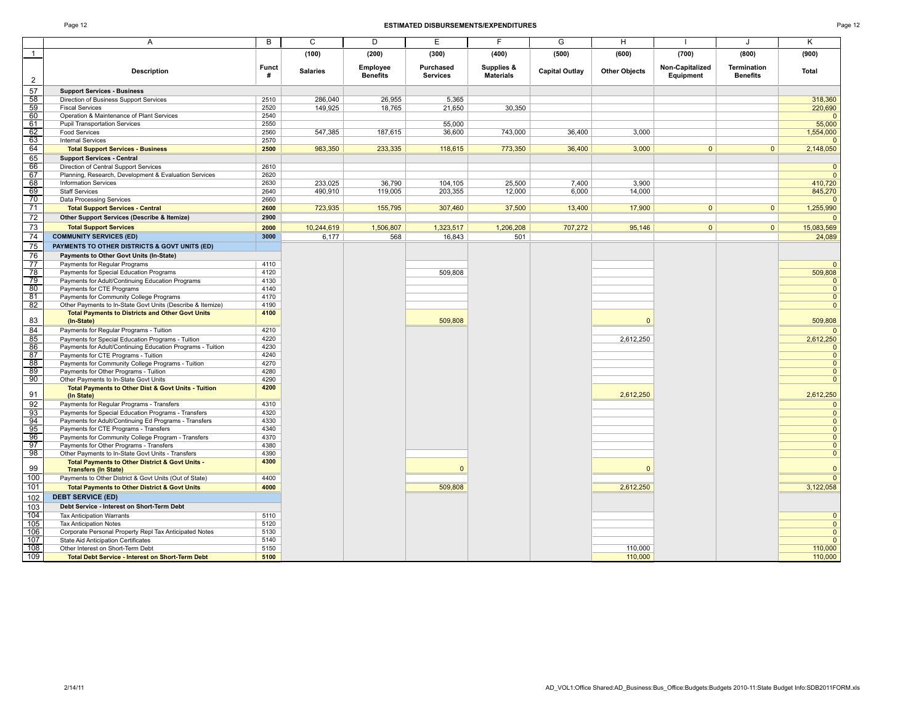### Page 12 **ESTIMATED DISBURSEMENTS/EXPENDITURES** Page 12

|                       | Α                                                                                             | В            | C               | D               | E               | F                              | G                     | н                    |                 | J                  | Κ                                |
|-----------------------|-----------------------------------------------------------------------------------------------|--------------|-----------------|-----------------|-----------------|--------------------------------|-----------------------|----------------------|-----------------|--------------------|----------------------------------|
| $\mathbf{1}$          |                                                                                               |              | (100)           | (200)           | (300)           | (400)                          | (500)                 | (600)                | (700)           | (800)              | (900)                            |
|                       |                                                                                               | <b>Funct</b> |                 | Employee        | Purchased       |                                |                       |                      | Non-Capitalized | <b>Termination</b> |                                  |
| $\overline{c}$        | <b>Description</b>                                                                            | #            | <b>Salaries</b> | <b>Benefits</b> | <b>Services</b> | Supplies &<br><b>Materials</b> | <b>Capital Outlay</b> | <b>Other Objects</b> | Equipment       | <b>Benefits</b>    | <b>Total</b>                     |
| 57                    | <b>Support Services - Business</b>                                                            |              |                 |                 |                 |                                |                       |                      |                 |                    |                                  |
| 58                    | Direction of Business Support Services                                                        | 2510         | 286,040         | 26,955          | 5,365           |                                |                       |                      |                 |                    | 318,360                          |
| 59                    | <b>Fiscal Services</b>                                                                        | 2520         | 149,925         | 18,765          | 21,650          | 30,350                         |                       |                      |                 |                    | 220,690                          |
| 60                    | Operation & Maintenance of Plant Services                                                     | 2540         |                 |                 |                 |                                |                       |                      |                 |                    | $\overline{0}$                   |
| 61                    | <b>Pupil Transportation Services</b>                                                          | 2550         |                 |                 | 55.000          |                                |                       |                      |                 |                    | 55,000                           |
| 62                    | <b>Food Services</b>                                                                          | 2560         | 547,385         | 187,615         | 36,600          | 743,000                        | 36.400                | 3.000                |                 |                    | 1,554,000                        |
| $\frac{8}{63}$        | <b>Internal Services</b>                                                                      | 2570         |                 |                 |                 |                                |                       |                      |                 |                    | $\overline{0}$                   |
| 64                    | <b>Total Support Services - Business</b>                                                      | 2500         | 983,350         | 233,335         | 118,615         | 773,350                        | 36,400                | 3,000                | $\mathbf{0}$    | $\mathbf{0}$       | 2,148,050                        |
| 65                    | <b>Support Services - Central</b>                                                             |              |                 |                 |                 |                                |                       |                      |                 |                    |                                  |
| 66<br>67              | Direction of Central Support Services                                                         | 2610         |                 |                 |                 |                                |                       |                      |                 |                    | $\mathbf{0}$<br>$\overline{0}$   |
| 68                    | Planning, Research, Development & Evaluation Services<br><b>Information Services</b>          | 2620<br>2630 | 233,025         | 36.790          | 104,105         | 25,500                         | 7.400                 | 3.900                |                 |                    | 410,720                          |
| 69                    | <b>Staff Services</b>                                                                         | 2640         | 490,910         | 119,005         | 203,355         | 12,000                         | 6,000                 | 14,000               |                 |                    | 845,270                          |
| $\overline{70}$       | Data Processing Services                                                                      | 2660         |                 |                 |                 |                                |                       |                      |                 |                    | $\Omega$                         |
| 71                    | <b>Total Support Services - Central</b>                                                       | 2600         | 723,935         | 155,795         | 307,460         | 37,500                         | 13,400                | 17,900               | $\mathbf{0}$    | $\mathbf{0}$       | 1,255,990                        |
| 72                    | Other Support Services (Describe & Itemize)                                                   | 2900         |                 |                 |                 |                                |                       |                      |                 |                    | $\Omega$                         |
| $\overline{73}$       | <b>Total Support Services</b>                                                                 | 2000         | 10,244,619      | 1,506,807       | 1,323,517       | 1,206,208                      | 707,272               | 95,146               | $\overline{0}$  | $\overline{0}$     | 15,083,569                       |
| 74                    | <b>COMMUNITY SERVICES (ED)</b>                                                                | 3000         | 6,177           | 568             | 16.843          | 501                            |                       |                      |                 |                    | 24.089                           |
| 75                    |                                                                                               |              |                 |                 |                 |                                |                       |                      |                 |                    |                                  |
|                       | PAYMENTS TO OTHER DISTRICTS & GOVT UNITS (ED)                                                 |              |                 |                 |                 |                                |                       |                      |                 |                    |                                  |
| 76                    | Payments to Other Govt Units (In-State)                                                       |              |                 |                 |                 |                                |                       |                      |                 |                    |                                  |
| 77<br>$\overline{78}$ | Payments for Regular Programs                                                                 | 4110<br>4120 |                 |                 | 509,808         |                                |                       |                      |                 |                    | $\mathbf{0}$<br>509,808          |
| 79                    | Payments for Special Education Programs<br>Payments for Adult/Continuing Education Programs   | 4130         |                 |                 |                 |                                |                       |                      |                 |                    | $\overline{0}$                   |
| 80                    | Payments for CTE Programs                                                                     | 4140         |                 |                 |                 |                                |                       |                      |                 |                    | $\overline{0}$                   |
| 81                    | Payments for Community College Programs                                                       | 4170         |                 |                 |                 |                                |                       |                      |                 |                    | $\overline{0}$                   |
| 82                    | Other Payments to In-State Govt Units (Describe & Itemize)                                    | 4190         |                 |                 |                 |                                |                       |                      |                 |                    | $\mathbf{0}$                     |
|                       | <b>Total Payments to Districts and Other Govt Units</b>                                       | 4100         |                 |                 |                 |                                |                       |                      |                 |                    |                                  |
| 83                    | (In-State)                                                                                    |              |                 |                 | 509,808         |                                |                       | $\Omega$             |                 |                    | 509,808                          |
| 84                    | Payments for Regular Programs - Tuition                                                       | 4210         |                 |                 |                 |                                |                       |                      |                 |                    | $\Omega$                         |
| 85                    | Payments for Special Education Programs - Tuition                                             | 4220         |                 |                 |                 |                                |                       | 2.612.250            |                 |                    | 2,612,250                        |
| $\frac{86}{87}$       | Payments for Adult/Continuing Education Programs - Tuition                                    | 4230         |                 |                 |                 |                                |                       |                      |                 |                    | $\mathbf{0}$                     |
|                       | Payments for CTE Programs - Tuition                                                           | 4240         |                 |                 |                 |                                |                       |                      |                 |                    | $\overline{0}$                   |
| 88                    | Payments for Community College Programs - Tuition                                             | 4270         |                 |                 |                 |                                |                       |                      |                 |                    | $\mathbf{0}$                     |
| 89                    | Payments for Other Programs - Tuition                                                         | 4280         |                 |                 |                 |                                |                       |                      |                 |                    | $\overline{0}$                   |
| 90                    | Other Payments to In-State Govt Units                                                         | 4290         |                 |                 |                 |                                |                       |                      |                 |                    | $\overline{0}$                   |
| 91                    | Total Payments to Other Dist & Govt Units - Tuition<br>(In State)                             | 4200         |                 |                 |                 |                                |                       | 2,612,250            |                 |                    | 2,612,250                        |
| 92                    | Payments for Regular Programs - Transfers                                                     | 4310         |                 |                 |                 |                                |                       |                      |                 |                    | $\mathbf 0$                      |
| 93                    | Payments for Special Education Programs - Transfers                                           | 4320         |                 |                 |                 |                                |                       |                      |                 |                    | $\mathbf{0}$                     |
| $\frac{94}{95}$       | Payments for Adult/Continuing Ed Programs - Transfers                                         | 4330         |                 |                 |                 |                                |                       |                      |                 |                    | $\mathbf{0}$                     |
|                       | Payments for CTE Programs - Transfers                                                         | 4340         |                 |                 |                 |                                |                       |                      |                 |                    | $\overline{0}$                   |
| 96<br>97              | Payments for Community College Program - Transfers<br>Payments for Other Programs - Transfers | 4370<br>4380 |                 |                 |                 |                                |                       |                      |                 |                    | $\overline{0}$<br>$\overline{0}$ |
| 98                    | Other Payments to In-State Govt Units - Transfers                                             | 4390         |                 |                 |                 |                                |                       |                      |                 |                    | $\overline{0}$                   |
|                       | Total Payments to Other District & Govt Units -                                               | 4300         |                 |                 |                 |                                |                       |                      |                 |                    |                                  |
| 99                    | <b>Transfers (In State)</b>                                                                   |              |                 |                 | $\Omega$        |                                |                       | $\Omega$             |                 |                    | $\mathbf{0}$                     |
| 100                   | Payments to Other District & Govt Units (Out of State)                                        | 4400         |                 |                 |                 |                                |                       |                      |                 |                    | $\overline{0}$                   |
| 101                   | <b>Total Payments to Other District &amp; Govt Units</b>                                      | 4000         |                 |                 | 509,808         |                                |                       | 2,612,250            |                 |                    | 3,122,058                        |
| 102                   | <b>DEBT SERVICE (ED)</b>                                                                      |              |                 |                 |                 |                                |                       |                      |                 |                    |                                  |
| 103                   | Debt Service - Interest on Short-Term Debt                                                    |              |                 |                 |                 |                                |                       |                      |                 |                    |                                  |
| 104                   | <b>Tax Anticipation Warrants</b>                                                              | 5110         |                 |                 |                 |                                |                       |                      |                 |                    | $\mathbf{0}$                     |
| 105                   | <b>Tax Anticipation Notes</b>                                                                 | 5120         |                 |                 |                 |                                |                       |                      |                 |                    | $\overline{0}$                   |
| 106                   | Corporate Personal Property Repl Tax Anticipated Notes                                        | 5130         |                 |                 |                 |                                |                       |                      |                 |                    | $\overline{0}$                   |
| 107                   | <b>State Aid Anticipation Certificates</b>                                                    | 5140         |                 |                 |                 |                                |                       |                      |                 |                    | $\overline{0}$                   |
| 108                   | Other Interest on Short-Term Debt                                                             | 5150         |                 |                 |                 |                                |                       | 110,000              |                 |                    | 110,000                          |
| 109                   | <b>Total Debt Service - Interest on Short-Term Debt</b>                                       | 5100         |                 |                 |                 |                                |                       | 110,000              |                 |                    | 110,000                          |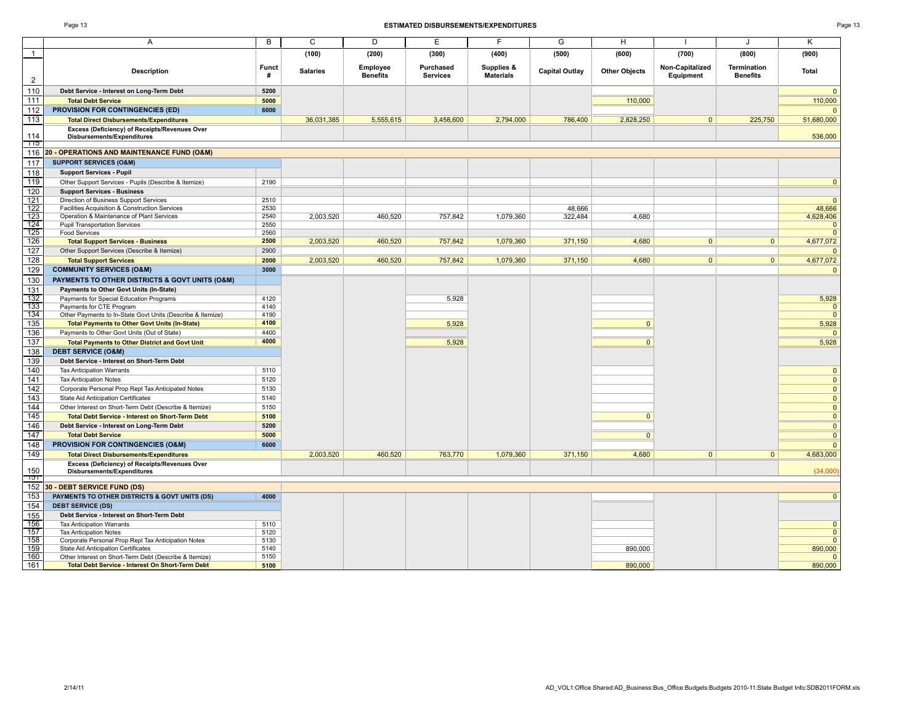| ۰. |  |  |
|----|--|--|
|----|--|--|

|                | Α                                                                                    | B            | C               | D                           | Е                            | F                              | G              | H                    |                              | J                              | Κ                            |
|----------------|--------------------------------------------------------------------------------------|--------------|-----------------|-----------------------------|------------------------------|--------------------------------|----------------|----------------------|------------------------------|--------------------------------|------------------------------|
| $\mathbf{1}$   |                                                                                      |              | (100)           | (200)                       | (300)                        | (400)                          | (500)          | (600)                | (700)                        | (800)                          | (900)                        |
| $\overline{2}$ | <b>Description</b>                                                                   | Funct<br>#   | <b>Salaries</b> | Employee<br><b>Benefits</b> | Purchased<br><b>Services</b> | Supplies &<br><b>Materials</b> | Capital Outlay | <b>Other Objects</b> | Non-Capitalized<br>Equipment | Termination<br><b>Benefits</b> | <b>Total</b>                 |
| 110            | Debt Service - Interest on Long-Term Debt                                            | 5200         |                 |                             |                              |                                |                |                      |                              |                                | $\mathbf{0}$                 |
| 111            | <b>Total Debt Service</b>                                                            | 5000         |                 |                             |                              |                                |                | 110,000              |                              |                                | 110,000                      |
| 112            | PROVISION FOR CONTINGENCIES (ED)                                                     | 6000         |                 |                             |                              |                                |                |                      |                              |                                |                              |
| 113            | <b>Total Direct Disbursements/Expenditures</b>                                       |              | 36,031,385      | 5.555.615                   | 3.458.600                    | 2,794,000                      | 786,400        | 2,828,250            | 0                            | 225,750                        | 51,680,000                   |
|                | Excess (Deficiency) of Receipts/Revenues Over                                        |              |                 |                             |                              |                                |                |                      |                              |                                |                              |
| 114            | Disbursements/Expenditures                                                           |              |                 |                             |                              |                                |                |                      |                              |                                | 536,000                      |
| -115<br>116    | 20 - OPERATIONS AND MAINTENANCE FUND (O&M)                                           |              |                 |                             |                              |                                |                |                      |                              |                                |                              |
| 117            | <b>SUPPORT SERVICES (O&amp;M)</b>                                                    |              |                 |                             |                              |                                |                |                      |                              |                                |                              |
| 118            | <b>Support Services - Pupil</b>                                                      |              |                 |                             |                              |                                |                |                      |                              |                                |                              |
| 119            | Other Support Services - Pupils (Describe & Itemize)                                 | 2190         |                 |                             |                              |                                |                |                      |                              |                                | $\mathbf{0}$                 |
| 120            | <b>Support Services - Business</b>                                                   |              |                 |                             |                              |                                |                |                      |                              |                                |                              |
| 121            | Direction of Business Support Services                                               | 2510         |                 |                             |                              |                                |                |                      |                              |                                | $\overline{0}$               |
| 122            | Facilities Acquisition & Construction Services                                       | 2530         |                 |                             |                              |                                | 48,666         |                      |                              |                                | 48,666                       |
| 123            | Operation & Maintenance of Plant Services                                            | 2540         | 2.003.520       | 460.520                     | 757.842                      | 1,079,360                      | 322.484        | 4.680                |                              |                                | 4,628,406                    |
| 124            | <b>Pupil Transportation Services</b>                                                 | 2550         |                 |                             |                              |                                |                |                      |                              |                                | $\mathbf{0}$                 |
| 125<br>126     | <b>Food Services</b>                                                                 | 2560<br>2500 |                 | 460.520                     | 757,842                      |                                |                | 4.680                | 0                            | 0 <sup>1</sup>                 | $\Omega$                     |
|                | <b>Total Support Services - Business</b>                                             |              | 2,003,520       |                             |                              | 1,079,360                      | 371,150        |                      |                              |                                | 4,677,072                    |
| 127<br>128     | Other Support Services (Describe & Itemize)<br><b>Total Support Services</b>         | 2900<br>2000 | 2,003,520       | 460,520                     | 757,842                      | 1,079,360                      | 371,150        | 4,680                | $\overline{0}$               | $\overline{0}$                 | $\mathbf{0}$<br>4,677,072    |
| 129            | <b>COMMUNITY SERVICES (O&amp;M)</b>                                                  | 3000         |                 |                             |                              |                                |                |                      |                              |                                |                              |
|                |                                                                                      |              |                 |                             |                              |                                |                |                      |                              |                                | $\mathbf{0}$                 |
| 130            | PAYMENTS TO OTHER DISTRICTS & GOVT UNITS (O&M)                                       |              |                 |                             |                              |                                |                |                      |                              |                                |                              |
| 131<br>132     | Payments to Other Govt Units (In-State)<br>Payments for Special Education Programs   | 4120         |                 |                             | 5,928                        |                                |                |                      |                              |                                | 5,928                        |
| 133            | Payments for CTE Program                                                             | 4140         |                 |                             |                              |                                |                |                      |                              |                                | $\mathbf{0}$                 |
| 134            | Other Payments to In-State Govt Units (Describe & Itemize)                           | 4190         |                 |                             |                              |                                |                |                      |                              |                                | $\mathbf{0}$                 |
| 135            | <b>Total Payments to Other Govt Units (In-State)</b>                                 | 4100         |                 |                             | 5,928                        |                                |                | $\mathbf{0}$         |                              |                                | 5,928                        |
| 136            | Payments to Other Govt Units (Out of State)                                          | 4400         |                 |                             |                              |                                |                |                      |                              |                                | $\Omega$                     |
| 137            | <b>Total Payments to Other District and Govt Unit</b>                                | 4000         |                 |                             | 5,928                        |                                |                | $\mathbf{0}$         |                              |                                | 5,928                        |
| 138            | <b>DEBT SERVICE (O&amp;M)</b>                                                        |              |                 |                             |                              |                                |                |                      |                              |                                |                              |
| 139            | Debt Service - Interest on Short-Term Debt                                           |              |                 |                             |                              |                                |                |                      |                              |                                |                              |
| 140            | <b>Tax Anticipation Warrants</b>                                                     | 5110         |                 |                             |                              |                                |                |                      |                              |                                | $\mathbf{0}$                 |
| 141            | <b>Tax Anticipation Notes</b>                                                        | 5120         |                 |                             |                              |                                |                |                      |                              |                                | $\Omega$                     |
| 142            | Corporate Personal Prop Repl Tax Anticipated Notes                                   | 5130         |                 |                             |                              |                                |                |                      |                              |                                | $\mathbf{0}$                 |
| 143            | <b>State Aid Anticipation Certificates</b>                                           | 5140         |                 |                             |                              |                                |                |                      |                              |                                | $\Omega$                     |
| 144            | Other Interest on Short-Term Debt (Describe & Itemize)                               | 5150         |                 |                             |                              |                                |                |                      |                              |                                | $\mathbf{0}$                 |
| 145            | <b>Total Debt Service - Interest on Short-Term Debt</b>                              | 5100         |                 |                             |                              |                                |                | $\Omega$             |                              |                                | $\mathbf{0}$                 |
| 146            | Debt Service - Interest on Long-Term Debt                                            | 5200         |                 |                             |                              |                                |                |                      |                              |                                | $\mathbf{0}$                 |
| 147            | <b>Total Debt Service</b>                                                            | 5000<br>6000 |                 |                             |                              |                                |                | $\overline{0}$       |                              |                                | $\overline{0}$               |
| 148<br>149     | <b>PROVISION FOR CONTINGENCIES (O&amp;M)</b>                                         |              |                 | 460,520                     | 763,770                      |                                |                | 4,680                | $\mathbf{0}$                 |                                | $\Omega$<br>4,683,000        |
|                | <b>Total Direct Disbursements/Expenditures</b>                                       |              | 2,003,520       |                             |                              | 1,079,360                      | 371,150        |                      |                              | 0                              |                              |
| 150            | Excess (Deficiency) of Receipts/Revenues Over<br><b>Disbursements/Expenditures</b>   |              |                 |                             |                              |                                |                |                      |                              |                                | (34,000)                     |
| ाञा            |                                                                                      |              |                 |                             |                              |                                |                |                      |                              |                                |                              |
| 152            | 30 - DEBT SERVICE FUND (DS)                                                          |              |                 |                             |                              |                                |                |                      |                              |                                |                              |
| 153            | PAYMENTS TO OTHER DISTRICTS & GOVT UNITS (DS)                                        | 4000         |                 |                             |                              |                                |                |                      |                              |                                | $\Omega$                     |
| 154            | <b>DEBT SERVICE (DS)</b>                                                             |              |                 |                             |                              |                                |                |                      |                              |                                |                              |
| 155            | Debt Service - Interest on Short-Term Debt                                           |              |                 |                             |                              |                                |                |                      |                              |                                |                              |
| 156<br>157     | <b>Tax Anticipation Warrants</b>                                                     | 5110<br>5120 |                 |                             |                              |                                |                |                      |                              |                                | $\mathbf{0}$<br>$\mathbf{0}$ |
| 158            | <b>Tax Anticipation Notes</b><br>Corporate Personal Prop Repl Tax Anticipation Notes | 5130         |                 |                             |                              |                                |                |                      |                              |                                | $\Omega$                     |
| 159            | State Aid Anticipation Certificates                                                  | 5140         |                 |                             |                              |                                |                | 890,000              |                              |                                | 890,000                      |
| 160            | Other Interest on Short-Term Debt (Describe & Itemize)                               | 5150         |                 |                             |                              |                                |                |                      |                              |                                | $\Omega$                     |
| 161            | <b>Total Debt Service - Interest On Short-Term Debt</b>                              | 5100         |                 |                             |                              |                                |                | 890,000              |                              |                                | 890,000                      |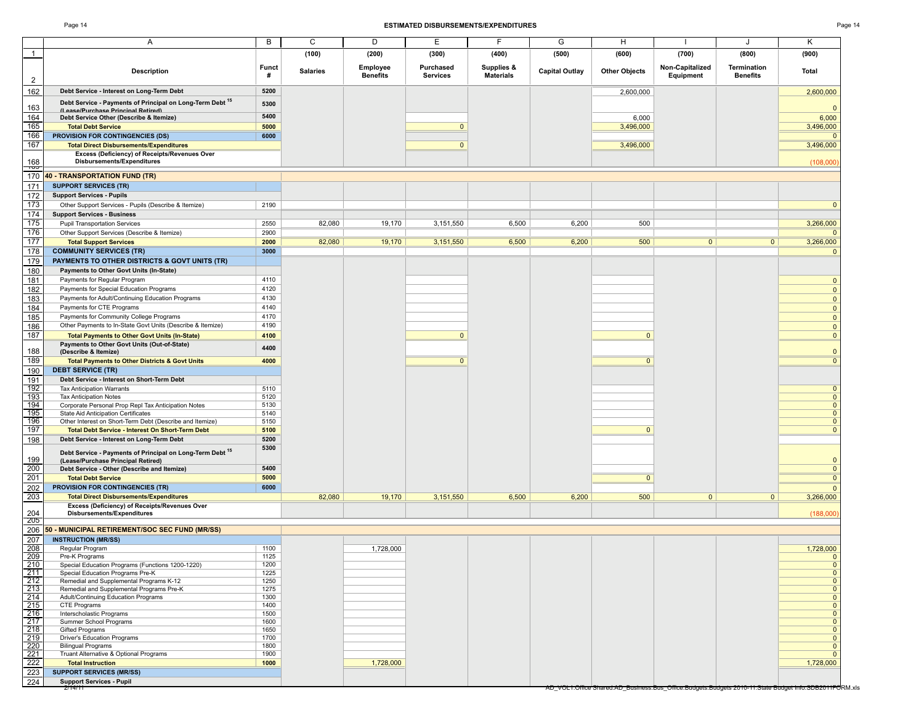### Page 14 **ESTIMATED DISBURSEMENTS/EXPENDITURES** Page 14

| эτ |  |
|----|--|
|----|--|

| $\overline{1}$<br><b>Description</b><br>$\overline{\mathbf{c}}$<br>162<br>Debt Service - Interest on Long-Term Debt<br>Debt Service - Payments of Principal on Long-Term Debt 15<br>163<br>(I asca/Purchaca Princinal Ratirad)<br>164<br>Debt Service Other (Describe & Itemize)<br>165<br><b>Total Debt Service</b><br>166<br><b>PROVISION FOR CONTINGENCIES (DS)</b><br>167<br><b>Total Direct Disbursements/Expenditures</b><br>Excess (Deficiency) of Receipts/Revenues Over<br>168<br>Disbursements/Expenditures<br>᠇ᡂ<br>170<br><b>40 - TRANSPORTATION FUND (TR)</b><br>171<br><b>SUPPORT SERVICES (TR)</b> | <b>Funct</b><br>#<br>5200<br>5300<br>5400 | (100)<br><b>Salaries</b> | (200)<br>Employee<br><b>Benefits</b> | (300)<br>Purchased<br><b>Services</b> | (400)<br>Supplies &<br><b>Materials</b> | (500)<br><b>Capital Outlay</b> | (600)<br><b>Other Objects</b> | (700)<br>Non-Capitalized<br>Equipment                                                                  | (800)<br>Termination<br><b>Benefits</b> | (900)<br><b>Total</b>        |
|-------------------------------------------------------------------------------------------------------------------------------------------------------------------------------------------------------------------------------------------------------------------------------------------------------------------------------------------------------------------------------------------------------------------------------------------------------------------------------------------------------------------------------------------------------------------------------------------------------------------|-------------------------------------------|--------------------------|--------------------------------------|---------------------------------------|-----------------------------------------|--------------------------------|-------------------------------|--------------------------------------------------------------------------------------------------------|-----------------------------------------|------------------------------|
|                                                                                                                                                                                                                                                                                                                                                                                                                                                                                                                                                                                                                   |                                           |                          |                                      |                                       |                                         |                                |                               |                                                                                                        |                                         |                              |
|                                                                                                                                                                                                                                                                                                                                                                                                                                                                                                                                                                                                                   |                                           |                          |                                      |                                       |                                         |                                |                               |                                                                                                        |                                         |                              |
|                                                                                                                                                                                                                                                                                                                                                                                                                                                                                                                                                                                                                   |                                           |                          |                                      |                                       |                                         |                                |                               |                                                                                                        |                                         |                              |
|                                                                                                                                                                                                                                                                                                                                                                                                                                                                                                                                                                                                                   |                                           |                          |                                      |                                       |                                         |                                | 2,600,000                     |                                                                                                        |                                         | 2,600,000                    |
|                                                                                                                                                                                                                                                                                                                                                                                                                                                                                                                                                                                                                   |                                           |                          |                                      |                                       |                                         |                                |                               |                                                                                                        |                                         |                              |
|                                                                                                                                                                                                                                                                                                                                                                                                                                                                                                                                                                                                                   |                                           |                          |                                      |                                       |                                         |                                | 6,000                         |                                                                                                        |                                         | $\Omega$<br>6,000            |
|                                                                                                                                                                                                                                                                                                                                                                                                                                                                                                                                                                                                                   | 5000                                      |                          |                                      | $\mathbf{0}$                          |                                         |                                | 3,496,000                     |                                                                                                        |                                         | 3,496,000                    |
|                                                                                                                                                                                                                                                                                                                                                                                                                                                                                                                                                                                                                   | 6000                                      |                          |                                      |                                       |                                         |                                |                               |                                                                                                        |                                         | $\Omega$                     |
|                                                                                                                                                                                                                                                                                                                                                                                                                                                                                                                                                                                                                   |                                           |                          |                                      | $\mathbf{0}$                          |                                         |                                | 3,496,000                     |                                                                                                        |                                         | 3,496,000                    |
|                                                                                                                                                                                                                                                                                                                                                                                                                                                                                                                                                                                                                   |                                           |                          |                                      |                                       |                                         |                                |                               |                                                                                                        |                                         | (108,000)                    |
|                                                                                                                                                                                                                                                                                                                                                                                                                                                                                                                                                                                                                   |                                           |                          |                                      |                                       |                                         |                                |                               |                                                                                                        |                                         |                              |
|                                                                                                                                                                                                                                                                                                                                                                                                                                                                                                                                                                                                                   |                                           |                          |                                      |                                       |                                         |                                |                               |                                                                                                        |                                         |                              |
|                                                                                                                                                                                                                                                                                                                                                                                                                                                                                                                                                                                                                   |                                           |                          |                                      |                                       |                                         |                                |                               |                                                                                                        |                                         |                              |
| 172<br><b>Support Services - Pupils</b><br>173<br>Other Support Services - Pupils (Describe & Itemize)                                                                                                                                                                                                                                                                                                                                                                                                                                                                                                            | 2190                                      |                          |                                      |                                       |                                         |                                |                               |                                                                                                        |                                         | $\overline{0}$               |
| 174<br><b>Support Services - Business</b>                                                                                                                                                                                                                                                                                                                                                                                                                                                                                                                                                                         |                                           |                          |                                      |                                       |                                         |                                |                               |                                                                                                        |                                         |                              |
| 175<br><b>Pupil Transportation Services</b>                                                                                                                                                                                                                                                                                                                                                                                                                                                                                                                                                                       | 2550                                      | 82,080                   | 19,170                               | 3,151,550                             | 6,500                                   | 6,200                          | 500                           |                                                                                                        |                                         | 3,266,000                    |
| 176<br>Other Support Services (Describe & Itemize)                                                                                                                                                                                                                                                                                                                                                                                                                                                                                                                                                                | 2900                                      |                          |                                      |                                       |                                         |                                |                               |                                                                                                        |                                         |                              |
| 177<br><b>Total Support Services</b>                                                                                                                                                                                                                                                                                                                                                                                                                                                                                                                                                                              | 2000                                      | 82,080                   | 19,170                               | 3,151,550                             | 6,500                                   | 6,200                          | 500                           | $\overline{0}$                                                                                         | 0                                       | 3,266,000                    |
| 178<br><b>COMMUNITY SERVICES (TR)</b>                                                                                                                                                                                                                                                                                                                                                                                                                                                                                                                                                                             | 3000                                      |                          |                                      |                                       |                                         |                                |                               |                                                                                                        |                                         | $\Omega$                     |
| 179<br>PAYMENTS TO OTHER DISTRICTS & GOVT UNITS (TR)<br>180<br>Payments to Other Govt Units (In-State)                                                                                                                                                                                                                                                                                                                                                                                                                                                                                                            |                                           |                          |                                      |                                       |                                         |                                |                               |                                                                                                        |                                         |                              |
| 181<br>Payments for Regular Program                                                                                                                                                                                                                                                                                                                                                                                                                                                                                                                                                                               | 4110                                      |                          |                                      |                                       |                                         |                                |                               |                                                                                                        |                                         | $\mathbf{0}$                 |
| 182<br>Payments for Special Education Programs                                                                                                                                                                                                                                                                                                                                                                                                                                                                                                                                                                    | 4120                                      |                          |                                      |                                       |                                         |                                |                               |                                                                                                        |                                         | $\mathbf{0}$                 |
| 183<br>Payments for Adult/Continuing Education Programs                                                                                                                                                                                                                                                                                                                                                                                                                                                                                                                                                           | 4130                                      |                          |                                      |                                       |                                         |                                |                               |                                                                                                        |                                         | $\mathbf{0}$                 |
| 184<br>Payments for CTE Programs                                                                                                                                                                                                                                                                                                                                                                                                                                                                                                                                                                                  | 4140                                      |                          |                                      |                                       |                                         |                                |                               |                                                                                                        |                                         | $\mathbf{0}$                 |
| 185<br>Payments for Community College Programs                                                                                                                                                                                                                                                                                                                                                                                                                                                                                                                                                                    | 4170                                      |                          |                                      |                                       |                                         |                                |                               |                                                                                                        |                                         | $\mathbf{0}$                 |
| 186<br>Other Payments to In-State Govt Units (Describe & Itemize)                                                                                                                                                                                                                                                                                                                                                                                                                                                                                                                                                 | 4190                                      |                          |                                      |                                       |                                         |                                |                               |                                                                                                        |                                         | $\mathbf{0}$                 |
| 187<br><b>Total Payments to Other Govt Units (In-State)</b><br>Payments to Other Govt Units (Out-of-State)                                                                                                                                                                                                                                                                                                                                                                                                                                                                                                        | 4100                                      |                          |                                      | $\mathbf{0}$                          |                                         |                                | $\Omega$                      |                                                                                                        |                                         | $\mathbf{0}$                 |
| 188<br>(Describe & Itemize)                                                                                                                                                                                                                                                                                                                                                                                                                                                                                                                                                                                       | 4400                                      |                          |                                      |                                       |                                         |                                |                               |                                                                                                        |                                         | $\mathbf{0}$                 |
| 189<br><b>Total Payments to Other Districts &amp; Govt Units</b>                                                                                                                                                                                                                                                                                                                                                                                                                                                                                                                                                  | 4000                                      |                          |                                      | $\mathbf{0}$                          |                                         |                                | $\mathbf{0}$                  |                                                                                                        |                                         | $\Omega$                     |
| 190<br><b>DEBT SERVICE (TR)</b>                                                                                                                                                                                                                                                                                                                                                                                                                                                                                                                                                                                   |                                           |                          |                                      |                                       |                                         |                                |                               |                                                                                                        |                                         |                              |
| 191<br>Debt Service - Interest on Short-Term Debt<br>192                                                                                                                                                                                                                                                                                                                                                                                                                                                                                                                                                          | 5110                                      |                          |                                      |                                       |                                         |                                |                               |                                                                                                        |                                         |                              |
| <b>Tax Anticipation Warrants</b><br>193<br><b>Tax Anticipation Notes</b>                                                                                                                                                                                                                                                                                                                                                                                                                                                                                                                                          | 5120                                      |                          |                                      |                                       |                                         |                                |                               |                                                                                                        |                                         | $\mathbf{0}$<br>$\mathbf{0}$ |
| $\frac{1}{194}$<br>Corporate Personal Prop Repl Tax Anticipation Notes                                                                                                                                                                                                                                                                                                                                                                                                                                                                                                                                            | 5130                                      |                          |                                      |                                       |                                         |                                |                               |                                                                                                        |                                         | $\mathbf{0}$                 |
| $\frac{195}{196}$<br>State Aid Anticipation Certificates                                                                                                                                                                                                                                                                                                                                                                                                                                                                                                                                                          | 5140                                      |                          |                                      |                                       |                                         |                                |                               |                                                                                                        |                                         | $\mathbf{0}$<br>$\mathbf{0}$ |
| Other Interest on Short-Term Debt (Describe and Itemize)<br>197<br><b>Total Debt Service - Interest On Short-Term Debt</b>                                                                                                                                                                                                                                                                                                                                                                                                                                                                                        | 5150<br>5100                              |                          |                                      |                                       |                                         |                                | $\mathbf{0}$                  |                                                                                                        |                                         | $\mathbf{0}$                 |
| 198<br>Debt Service - Interest on Long-Term Debt                                                                                                                                                                                                                                                                                                                                                                                                                                                                                                                                                                  | 5200                                      |                          |                                      |                                       |                                         |                                |                               |                                                                                                        |                                         |                              |
| Debt Service - Payments of Principal on Long-Term Debt <sup>15</sup>                                                                                                                                                                                                                                                                                                                                                                                                                                                                                                                                              | 5300                                      |                          |                                      |                                       |                                         |                                |                               |                                                                                                        |                                         |                              |
| 199<br>(Lease/Purchase Principal Retired)                                                                                                                                                                                                                                                                                                                                                                                                                                                                                                                                                                         |                                           |                          |                                      |                                       |                                         |                                |                               |                                                                                                        |                                         | $\overline{0}$               |
| 200<br>Debt Service - Other (Describe and Itemize)                                                                                                                                                                                                                                                                                                                                                                                                                                                                                                                                                                | 5400                                      |                          |                                      |                                       |                                         |                                |                               |                                                                                                        |                                         | $\mathbf{0}$                 |
| 201<br><b>Total Debt Service</b>                                                                                                                                                                                                                                                                                                                                                                                                                                                                                                                                                                                  | 5000                                      |                          |                                      |                                       |                                         |                                | $\overline{0}$                |                                                                                                        |                                         | $\overline{0}$               |
| 202<br>PROVISION FOR CONTINGENCIES (TR)<br>203<br><b>Total Direct Disbursements/Expenditures</b>                                                                                                                                                                                                                                                                                                                                                                                                                                                                                                                  | 6000                                      | 82,080                   | 19,170                               | 3,151,550                             | 6,500                                   | 6,200                          | 500                           | $\overline{0}$                                                                                         | 0                                       | 3,266,000                    |
| Excess (Deficiency) of Receipts/Revenues Over                                                                                                                                                                                                                                                                                                                                                                                                                                                                                                                                                                     |                                           |                          |                                      |                                       |                                         |                                |                               |                                                                                                        |                                         |                              |
| 204<br>Disbursements/Expenditures                                                                                                                                                                                                                                                                                                                                                                                                                                                                                                                                                                                 |                                           |                          |                                      |                                       |                                         |                                |                               |                                                                                                        |                                         | (188,000)                    |
| 705<br>206<br>50 - MUNICIPAL RETIREMENT/SOC SEC FUND (MR/SS)                                                                                                                                                                                                                                                                                                                                                                                                                                                                                                                                                      |                                           |                          |                                      |                                       |                                         |                                |                               |                                                                                                        |                                         |                              |
| 207<br><b>INSTRUCTION (MR/SS)</b>                                                                                                                                                                                                                                                                                                                                                                                                                                                                                                                                                                                 |                                           |                          |                                      |                                       |                                         |                                |                               |                                                                                                        |                                         |                              |
| 208<br>Regular Program                                                                                                                                                                                                                                                                                                                                                                                                                                                                                                                                                                                            | 1100                                      |                          | 1,728,000                            |                                       |                                         |                                |                               |                                                                                                        |                                         | 1,728,000                    |
| $\overline{209}$<br>Pre-K Programs                                                                                                                                                                                                                                                                                                                                                                                                                                                                                                                                                                                | 1125                                      |                          |                                      |                                       |                                         |                                |                               |                                                                                                        |                                         | $\mathbf{0}$                 |
| 210<br>Special Education Programs (Functions 1200-1220)<br>211                                                                                                                                                                                                                                                                                                                                                                                                                                                                                                                                                    | 1200<br>1225                              |                          |                                      |                                       |                                         |                                |                               |                                                                                                        |                                         | $\mathbf{0}$                 |
| Special Education Programs Pre-K<br>212<br>Remedial and Supplemental Programs K-12                                                                                                                                                                                                                                                                                                                                                                                                                                                                                                                                | 1250                                      |                          |                                      |                                       |                                         |                                |                               |                                                                                                        |                                         | $\mathbf{0}$<br>$\mathbf{0}$ |
| $\frac{\frac{11}{213}}{\frac{214}{215}}$<br>Remedial and Supplemental Programs Pre-K                                                                                                                                                                                                                                                                                                                                                                                                                                                                                                                              | 1275                                      |                          |                                      |                                       |                                         |                                |                               |                                                                                                        |                                         | $\mathbf{0}$                 |
| Adult/Continuing Education Programs                                                                                                                                                                                                                                                                                                                                                                                                                                                                                                                                                                               | 1300                                      |                          |                                      |                                       |                                         |                                |                               |                                                                                                        |                                         | $\overline{0}$               |
| CTE Programs<br>Interscholastic Programs                                                                                                                                                                                                                                                                                                                                                                                                                                                                                                                                                                          | 1400<br>1500                              |                          |                                      |                                       |                                         |                                |                               |                                                                                                        |                                         | $\mathbf{0}$<br>$\mathbf{0}$ |
| Summer School Programs                                                                                                                                                                                                                                                                                                                                                                                                                                                                                                                                                                                            | 1600                                      |                          |                                      |                                       |                                         |                                |                               |                                                                                                        |                                         | $\mathbf{0}$                 |
| $\frac{217}{218}$<br><b>Gifted Programs</b>                                                                                                                                                                                                                                                                                                                                                                                                                                                                                                                                                                       | 1650                                      |                          |                                      |                                       |                                         |                                |                               |                                                                                                        |                                         | $\overline{0}$               |
| 219<br>Driver's Education Programs                                                                                                                                                                                                                                                                                                                                                                                                                                                                                                                                                                                | 1700                                      |                          |                                      |                                       |                                         |                                |                               |                                                                                                        |                                         | $\mathbf{0}$                 |
| $\frac{220}{221}$<br><b>Bilingual Programs</b><br>Truant Alternative & Optional Programs                                                                                                                                                                                                                                                                                                                                                                                                                                                                                                                          | 1800<br>1900                              |                          |                                      |                                       |                                         |                                |                               |                                                                                                        |                                         | $\mathbf{0}$<br>$\mathbf{0}$ |
| $\overline{222}$<br><b>Total Instruction</b>                                                                                                                                                                                                                                                                                                                                                                                                                                                                                                                                                                      | 1000                                      |                          | 1,728,000                            |                                       |                                         |                                |                               |                                                                                                        |                                         | 1,728,000                    |
| $\overline{223}$<br><b>SUPPORT SERVICES (MR/SS)</b>                                                                                                                                                                                                                                                                                                                                                                                                                                                                                                                                                               |                                           |                          |                                      |                                       |                                         |                                |                               |                                                                                                        |                                         |                              |
| 224<br><b>Support Services - Pupil</b><br><del>2/14/11</del>                                                                                                                                                                                                                                                                                                                                                                                                                                                                                                                                                      |                                           |                          |                                      |                                       |                                         |                                |                               | AD_VOL1:Office Shared:AD_Business:Bus_Office:Budgets:Budgets 2010-11:State Budget Info:SDB2011FORM.xls |                                         |                              |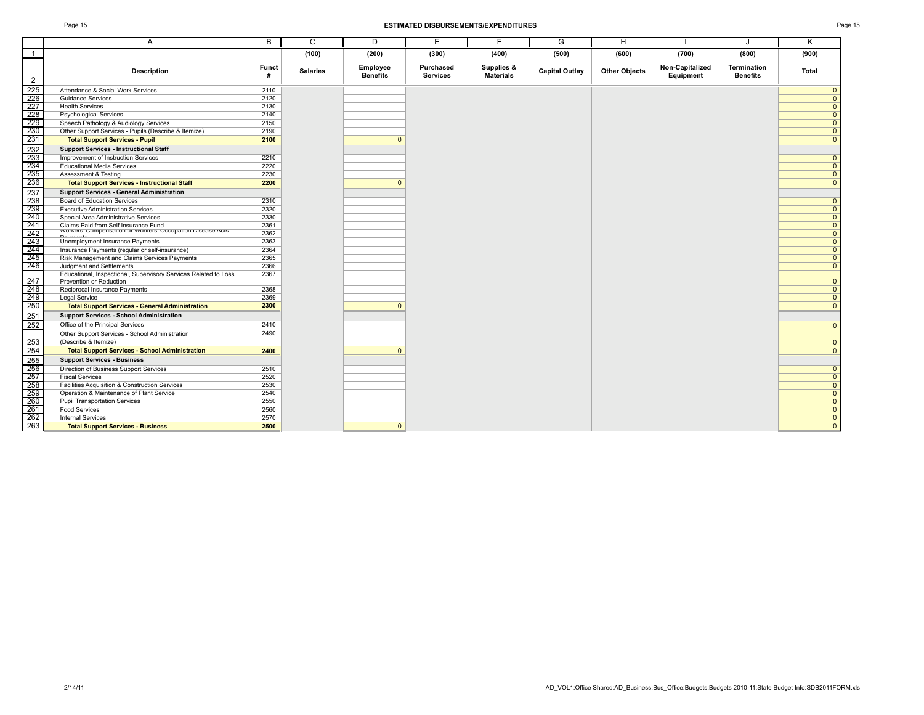### Page 15 **ESTIMATED DISBURSEMENTS/EXPENDITURES** Page 15

|                                                                          | A                                                                                                     | B          | C               | D                           | E                            | E                              | G                     | H                    |                              |                                | K            |
|--------------------------------------------------------------------------|-------------------------------------------------------------------------------------------------------|------------|-----------------|-----------------------------|------------------------------|--------------------------------|-----------------------|----------------------|------------------------------|--------------------------------|--------------|
|                                                                          |                                                                                                       |            |                 |                             |                              |                                |                       |                      |                              |                                |              |
| $\overline{1}$                                                           |                                                                                                       |            | (100)           | (200)                       | (300)                        | (400)                          | (500)                 | (600)                | (700)                        | (800)                          | (900)        |
| $\overline{2}$                                                           | <b>Description</b>                                                                                    | Funct<br># | <b>Salaries</b> | Employee<br><b>Benefits</b> | Purchased<br><b>Services</b> | Supplies &<br><b>Materials</b> | <b>Capital Outlay</b> | <b>Other Objects</b> | Non-Capitalized<br>Equipment | Termination<br><b>Benefits</b> | Total        |
| 225                                                                      | Attendance & Social Work Services                                                                     | 2110       |                 |                             |                              |                                |                       |                      |                              |                                | $\Omega$     |
| $\begin{array}{r}\n 226 \\  \hline\n 227 \\  \hline\n 228\n \end{array}$ | <b>Guidance Services</b>                                                                              | 2120       |                 |                             |                              |                                |                       |                      |                              |                                | $\Omega$     |
|                                                                          | <b>Health Services</b>                                                                                | 2130       |                 |                             |                              |                                |                       |                      |                              |                                | $\Omega$     |
|                                                                          | <b>Psychological Services</b>                                                                         | 2140       |                 |                             |                              |                                |                       |                      |                              |                                | O            |
| $\overline{229}$                                                         | Speech Pathology & Audiology Services                                                                 | 2150       |                 |                             |                              |                                |                       |                      |                              |                                |              |
| 230                                                                      | Other Support Services - Pupils (Describe & Itemize)                                                  | 2190       |                 |                             |                              |                                |                       |                      |                              |                                |              |
| 231                                                                      | <b>Total Support Services - Pupil</b>                                                                 | 2100       |                 | $\Omega$                    |                              |                                |                       |                      |                              |                                | $\Omega$     |
| 232                                                                      | <b>Support Services - Instructional Staff</b>                                                         |            |                 |                             |                              |                                |                       |                      |                              |                                |              |
|                                                                          | Improvement of Instruction Services                                                                   | 2210       |                 |                             |                              |                                |                       |                      |                              |                                | $\Omega$     |
| $\frac{233}{234}$                                                        | <b>Educational Media Services</b>                                                                     | 2220       |                 |                             |                              |                                |                       |                      |                              |                                | $\Omega$     |
| 235                                                                      | Assessment & Testing                                                                                  | 2230       |                 |                             |                              |                                |                       |                      |                              |                                | $\Omega$     |
| 236                                                                      | <b>Total Support Services - Instructional Staff</b>                                                   | 2200       |                 | $\Omega$                    |                              |                                |                       |                      |                              |                                | $\Omega$     |
| 237                                                                      | <b>Support Services - General Administration</b>                                                      |            |                 |                             |                              |                                |                       |                      |                              |                                |              |
| 238                                                                      | Board of Education Services                                                                           | 2310       |                 |                             |                              |                                |                       |                      |                              |                                | $\Omega$     |
| 239                                                                      | <b>Executive Administration Services</b>                                                              | 2320       |                 |                             |                              |                                |                       |                      |                              |                                | $\Omega$     |
| 240                                                                      | Special Area Administrative Services                                                                  | 2330       |                 |                             |                              |                                |                       |                      |                              |                                | $\Omega$     |
| 241                                                                      | Claims Paid from Self Insurance Fund<br>אוסטווסט כוחוף (שנים השתמשו המשפט השתמשו ביוסטווסט ביוסטונים) | 2361       |                 |                             |                              |                                |                       |                      |                              |                                | $\Omega$     |
| $\overline{242}$                                                         |                                                                                                       | 2362       |                 |                             |                              |                                |                       |                      |                              |                                | $\Omega$     |
| 243                                                                      | Unemployment Insurance Payments                                                                       | 2363       |                 |                             |                              |                                |                       |                      |                              |                                | $\Omega$     |
| $\overline{244}$                                                         | Insurance Payments (regular or self-insurance)                                                        | 2364       |                 |                             |                              |                                |                       |                      |                              |                                | $\Omega$     |
| 245                                                                      | Risk Management and Claims Services Payments                                                          | 2365       |                 |                             |                              |                                |                       |                      |                              |                                |              |
| 246                                                                      | Judgment and Settlements                                                                              | 2366       |                 |                             |                              |                                |                       |                      |                              |                                | $\Omega$     |
| 247                                                                      | Educational, Inspectional, Supervisory Services Related to Loss<br>Prevention or Reduction            | 2367       |                 |                             |                              |                                |                       |                      |                              |                                |              |
|                                                                          | Reciprocal Insurance Payments                                                                         | 2368       |                 |                             |                              |                                |                       |                      |                              |                                | $\Omega$     |
| $\frac{248}{249}$                                                        | Legal Service                                                                                         | 2369       |                 |                             |                              |                                |                       |                      |                              |                                | $\Omega$     |
| 250                                                                      | <b>Total Support Services - General Administration</b>                                                | 2300       |                 | $\Omega$                    |                              |                                |                       |                      |                              |                                | $\Omega$     |
| 251                                                                      | <b>Support Services - School Administration</b>                                                       |            |                 |                             |                              |                                |                       |                      |                              |                                |              |
| 252                                                                      | Office of the Principal Services                                                                      | 2410       |                 |                             |                              |                                |                       |                      |                              |                                | $\Omega$     |
| 253                                                                      | Other Support Services - School Administration<br>(Describe & Itemize)                                | 2490       |                 |                             |                              |                                |                       |                      |                              |                                |              |
| 254                                                                      | <b>Total Support Services - School Administration</b>                                                 | 2400       |                 | $\mathbf{0}$                |                              |                                |                       |                      |                              |                                | $\mathbf{0}$ |
| 255                                                                      | <b>Support Services - Business</b>                                                                    |            |                 |                             |                              |                                |                       |                      |                              |                                |              |
| 256                                                                      | Direction of Business Support Services                                                                | 2510       |                 |                             |                              |                                |                       |                      |                              |                                | O            |
| 257                                                                      | <b>Fiscal Services</b>                                                                                | 2520       |                 |                             |                              |                                |                       |                      |                              |                                | $\Omega$     |
|                                                                          | Facilities Acquisition & Construction Services                                                        | 2530       |                 |                             |                              |                                |                       |                      |                              |                                | $\Omega$     |
| $\frac{258}{259}$                                                        | Operation & Maintenance of Plant Service                                                              | 2540       |                 |                             |                              |                                |                       |                      |                              |                                | $\Omega$     |
| 260                                                                      | <b>Pupil Transportation Services</b>                                                                  | 2550       |                 |                             |                              |                                |                       |                      |                              |                                | $\Omega$     |
| $\overline{261}$                                                         | <b>Food Services</b>                                                                                  | 2560       |                 |                             |                              |                                |                       |                      |                              |                                | $\Omega$     |
| 262                                                                      | <b>Internal Services</b>                                                                              | 2570       |                 |                             |                              |                                |                       |                      |                              |                                | $\mathbf{0}$ |
| $\overline{263}$                                                         | <b>Total Support Services - Business</b>                                                              | 2500       |                 | $\mathbf{0}$                |                              |                                |                       |                      |                              |                                | $\Omega$     |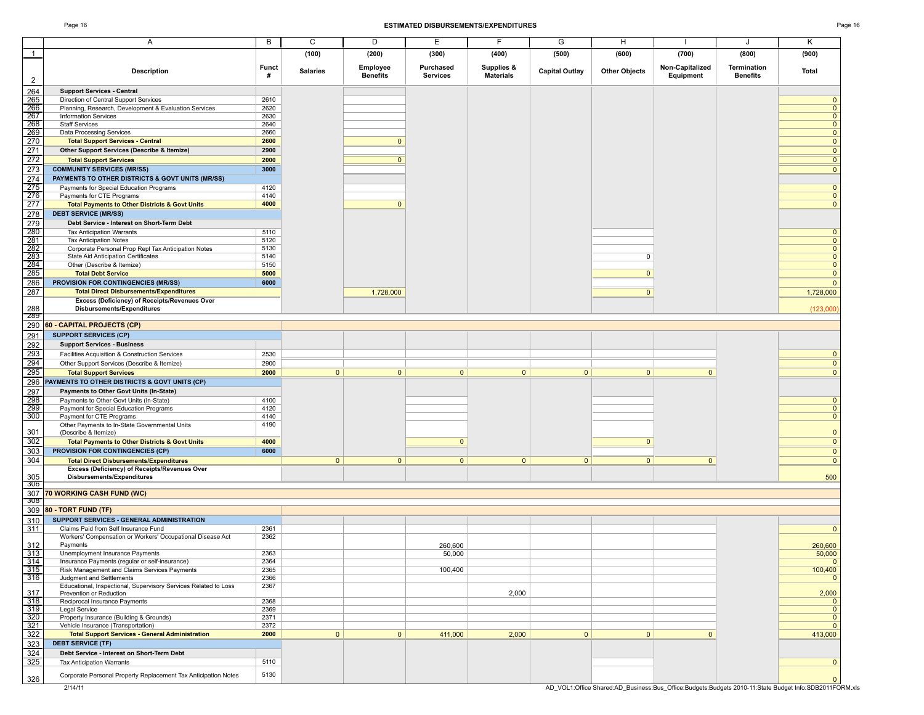### Page 16 **ESTIMATED DISBURSEMENTS/EXPENDITURES** Page 16

|                          | Α                                                                                                  | В                 | C               | D                           | Е                            | F                              | G                     | H                    |                              |                                | Κ                                                                                                      |
|--------------------------|----------------------------------------------------------------------------------------------------|-------------------|-----------------|-----------------------------|------------------------------|--------------------------------|-----------------------|----------------------|------------------------------|--------------------------------|--------------------------------------------------------------------------------------------------------|
| $\overline{1}$           |                                                                                                    |                   | (100)           | (200)                       | (300)                        | (400)                          | (500)                 | (600)                | (700)                        | (800)                          | (900)                                                                                                  |
| $\overline{2}$           | Description                                                                                        | <b>Funct</b><br># | <b>Salaries</b> | Employee<br><b>Benefits</b> | Purchased<br><b>Services</b> | Supplies &<br><b>Materials</b> | <b>Capital Outlay</b> | <b>Other Objects</b> | Non-Capitalized<br>Equipment | Termination<br><b>Benefits</b> | Total                                                                                                  |
| 264<br>265<br>266<br>267 | <b>Support Services - Central</b>                                                                  |                   |                 |                             |                              |                                |                       |                      |                              |                                |                                                                                                        |
|                          | Direction of Central Support Services                                                              | 2610              |                 |                             |                              |                                |                       |                      |                              |                                | $\mathbf{0}$                                                                                           |
|                          | Planning, Research, Development & Evaluation Services<br><b>Information Services</b>               | 2620<br>2630      |                 |                             |                              |                                |                       |                      |                              |                                | $\overline{0}$<br>$\overline{0}$                                                                       |
|                          | <b>Staff Services</b>                                                                              | 2640              |                 |                             |                              |                                |                       |                      |                              |                                | $\overline{0}$                                                                                         |
| $\frac{268}{269}$        | Data Processing Services                                                                           | 2660              |                 |                             |                              |                                |                       |                      |                              |                                | $\overline{0}$                                                                                         |
| 270                      | <b>Total Support Services - Central</b>                                                            | 2600              |                 | $\overline{0}$              |                              |                                |                       |                      |                              |                                | $\mathbf{0}$                                                                                           |
| 271                      | Other Support Services (Describe & Itemize)                                                        | 2900              |                 |                             |                              |                                |                       |                      |                              |                                | $\mathbf{0}$                                                                                           |
| 272                      | <b>Total Support Services</b>                                                                      | 2000              |                 | $\Omega$                    |                              |                                |                       |                      |                              |                                | $\mathbf{0}$                                                                                           |
| 273                      | <b>COMMUNITY SERVICES (MR/SS)</b>                                                                  | 3000              |                 |                             |                              |                                |                       |                      |                              |                                | $\overline{0}$                                                                                         |
| 274                      | PAYMENTS TO OTHER DISTRICTS & GOVT UNITS (MR/SS)                                                   |                   |                 |                             |                              |                                |                       |                      |                              |                                |                                                                                                        |
| 275                      | Payments for Special Education Programs                                                            | 4120              |                 |                             |                              |                                |                       |                      |                              |                                | $\mathbf{0}$                                                                                           |
| 276<br>277               | Payments for CTE Programs<br><b>Total Payments to Other Districts &amp; Govt Units</b>             | 4140<br>4000      |                 | $\overline{0}$              |                              |                                |                       |                      |                              |                                | $\overline{0}$<br>$\Omega$                                                                             |
| 278                      | <b>DEBT SERVICE (MR/SS)</b>                                                                        |                   |                 |                             |                              |                                |                       |                      |                              |                                |                                                                                                        |
| 279                      | Debt Service - Interest on Short-Term Debt                                                         |                   |                 |                             |                              |                                |                       |                      |                              |                                |                                                                                                        |
| $\frac{280}{ }$          | <b>Tax Anticipation Warrants</b>                                                                   | 5110              |                 |                             |                              |                                |                       |                      |                              |                                | $\mathbf 0$                                                                                            |
| 281                      | <b>Tax Anticipation Notes</b>                                                                      | 5120              |                 |                             |                              |                                |                       |                      |                              |                                | $\mathbf{0}$                                                                                           |
| 282                      | Corporate Personal Prop Repl Tax Anticipation Notes                                                | 5130              |                 |                             |                              |                                |                       |                      |                              |                                | $\overline{0}$                                                                                         |
| $\frac{283}{283}$        | State Aid Anticipation Certificates                                                                | 5140              |                 |                             |                              |                                |                       | 0                    |                              |                                | $\mathbf 0$                                                                                            |
| 284                      | Other (Describe & Itemize)                                                                         | 5150              |                 |                             |                              |                                |                       |                      |                              |                                | $\mathbf{0}$                                                                                           |
| 285                      | <b>Total Debt Service</b>                                                                          | 5000              |                 |                             |                              |                                |                       | $\mathbf{0}$         |                              |                                | $\overline{0}$                                                                                         |
| 286                      | PROVISION FOR CONTINGENCIES (MR/SS)                                                                | 6000              |                 |                             |                              |                                |                       |                      |                              |                                | $\overline{0}$                                                                                         |
| 287                      | <b>Total Direct Disbursements/Expenditures</b><br>Excess (Deficiency) of Receipts/Revenues Over    |                   |                 | 1,728,000                   |                              |                                |                       | $\overline{0}$       |                              |                                | 1,728,000                                                                                              |
| 288                      | Disbursements/Expenditures                                                                         |                   |                 |                             |                              |                                |                       |                      |                              |                                | (123,000)                                                                                              |
| -289<br>290              |                                                                                                    |                   |                 |                             |                              |                                |                       |                      |                              |                                |                                                                                                        |
|                          | 60 - CAPITAL PROJECTS (CP)                                                                         |                   |                 |                             |                              |                                |                       |                      |                              |                                |                                                                                                        |
| 291                      | <b>SUPPORT SERVICES (CP)</b><br><b>Support Services - Business</b>                                 |                   |                 |                             |                              |                                |                       |                      |                              |                                |                                                                                                        |
| 292<br>293               | Facilities Acquisition & Construction Services                                                     | 2530              |                 |                             |                              |                                |                       |                      |                              |                                |                                                                                                        |
| $\overline{294}$         | Other Support Services (Describe & Itemize)                                                        | 2900              |                 |                             |                              |                                |                       |                      |                              |                                | $\mathbf{0}$<br>$\mathbf{0}$                                                                           |
| 295                      | <b>Total Support Services</b>                                                                      | 2000              | $\overline{0}$  | $\overline{0}$              | $\mathbf{0}$                 | $\overline{0}$                 | $\mathbf{0}$          | $\overline{0}$       | $\mathbf{0}$                 |                                | $\Omega$                                                                                               |
| 296                      | PAYMENTS TO OTHER DISTRICTS & GOVT UNITS (CP)                                                      |                   |                 |                             |                              |                                |                       |                      |                              |                                |                                                                                                        |
| 297                      | Payments to Other Govt Units (In-State)                                                            |                   |                 |                             |                              |                                |                       |                      |                              |                                |                                                                                                        |
| $\frac{20}{298}$         | Payments to Other Govt Units (In-State)                                                            | 4100              |                 |                             |                              |                                |                       |                      |                              |                                | $\mathbf 0$                                                                                            |
| 299                      | Payment for Special Education Programs                                                             | 4120              |                 |                             |                              |                                |                       |                      |                              |                                | $\mathbf{0}$                                                                                           |
| 300                      | Payment for CTE Programs                                                                           | 4140              |                 |                             |                              |                                |                       |                      |                              |                                | $\overline{0}$                                                                                         |
|                          | Other Payments to In-State Governmental Units                                                      | 4190              |                 |                             |                              |                                |                       |                      |                              |                                |                                                                                                        |
| 301<br>302               | (Describe & Itemize)<br><b>Total Payments to Other Districts &amp; Govt Units</b>                  | 4000              |                 |                             | $\mathbf{0}$                 |                                |                       | $\mathbf{0}$         |                              |                                | $\mathbf{0}$<br>$\mathbf{0}$                                                                           |
| 303                      | <b>PROVISION FOR CONTINGENCIES (CP)</b>                                                            | 6000              |                 |                             |                              |                                |                       |                      |                              |                                | $\mathbf 0$                                                                                            |
| 304                      | <b>Total Direct Disbursements/Expenditures</b>                                                     |                   | $\mathbf{0}$    | $\overline{0}$              | $\overline{0}$               | $\overline{0}$                 | $\overline{0}$        | $\mathbf{0}$         | $\mathbf{0}$                 |                                | $\mathbf{0}$                                                                                           |
|                          | Excess (Deficiency) of Receipts/Revenues Over                                                      |                   |                 |                             |                              |                                |                       |                      |                              |                                |                                                                                                        |
| 305                      | Disbursements/Expenditures                                                                         |                   |                 |                             |                              |                                |                       |                      |                              |                                | 500                                                                                                    |
| 300<br>307               | 70 WORKING CASH FUND (WC)                                                                          |                   |                 |                             |                              |                                |                       |                      |                              |                                |                                                                                                        |
| उ∪ठ                      |                                                                                                    |                   |                 |                             |                              |                                |                       |                      |                              |                                |                                                                                                        |
| 309                      | 80 - TORT FUND (TF)                                                                                |                   |                 |                             |                              |                                |                       |                      |                              |                                |                                                                                                        |
| 310                      | SUPPORT SERVICES - GENERAL ADMINISTRATION                                                          |                   |                 |                             |                              |                                |                       |                      |                              |                                |                                                                                                        |
| 311                      | Claims Paid from Self Insurance Fund<br>Workers' Compensation or Workers' Occupational Disease Act | 2361<br>2362      |                 |                             |                              |                                |                       |                      |                              |                                | $\mathbf{0}$                                                                                           |
| 312                      | Payments                                                                                           |                   |                 |                             | 260,600                      |                                |                       |                      |                              |                                | 260,600                                                                                                |
| 313                      | Unemployment Insurance Payments                                                                    | 2363              |                 |                             | 50,000                       |                                |                       |                      |                              |                                | 50,000                                                                                                 |
| 314                      | Insurance Payments (regular or self-insurance)                                                     | 2364              |                 |                             |                              |                                |                       |                      |                              |                                | $\mathbf{0}$                                                                                           |
| 315                      | Risk Management and Claims Services Payments                                                       | 2365              |                 |                             | 100,400                      |                                |                       |                      |                              |                                | 100,400                                                                                                |
| 316                      | Judgment and Settlements                                                                           | 2366              |                 |                             |                              |                                |                       |                      |                              |                                | $\mathbf{0}$                                                                                           |
| 317                      | Educational, Inspectional, Supervisory Services Related to Loss<br>Prevention or Reduction         | 2367              |                 |                             |                              | 2,000                          |                       |                      |                              |                                | 2,000                                                                                                  |
| 318                      | Reciprocal Insurance Payments                                                                      | 2368              |                 |                             |                              |                                |                       |                      |                              |                                | $\mathbf 0$                                                                                            |
| $\frac{319}{320}$        | Legal Service                                                                                      | 2369              |                 |                             |                              |                                |                       |                      |                              |                                | $\overline{0}$                                                                                         |
|                          | Property Insurance (Building & Grounds)                                                            | 2371              |                 |                             |                              |                                |                       |                      |                              |                                | $\overline{0}$                                                                                         |
| 321                      | Vehicle Insurance (Transportation)                                                                 | 2372              |                 |                             |                              |                                |                       |                      |                              |                                | $\mathbf{0}$                                                                                           |
| 322                      | <b>Total Support Services - General Administration</b>                                             | 2000              | $\mathbf{0}$    | $\overline{0}$              | 411,000                      | 2,000                          | $\mathbf{0}$          | $\mathbf{0}$         | $\mathbf{0}$                 |                                | 413,000                                                                                                |
| 323                      | <b>DEBT SERVICE (TF)</b>                                                                           |                   |                 |                             |                              |                                |                       |                      |                              |                                |                                                                                                        |
| 324<br>$\frac{325}{ }$   | Debt Service - Interest on Short-Term Debt<br><b>Tax Anticipation Warrants</b>                     | 5110              |                 |                             |                              |                                |                       |                      |                              |                                | $\mathbf 0$                                                                                            |
|                          |                                                                                                    |                   |                 |                             |                              |                                |                       |                      |                              |                                |                                                                                                        |
| 326                      | Corporate Personal Property Replacement Tax Anticipation Notes                                     | 5130              |                 |                             |                              |                                |                       |                      |                              |                                | $\Omega$                                                                                               |
|                          | 2/14/11                                                                                            |                   |                 |                             |                              |                                |                       |                      |                              |                                | AD VOL1:Office Shared:AD Business:Bus Office:Budgets:Budgets 2010-11:State Budget Info:SDB2011FORM.xls |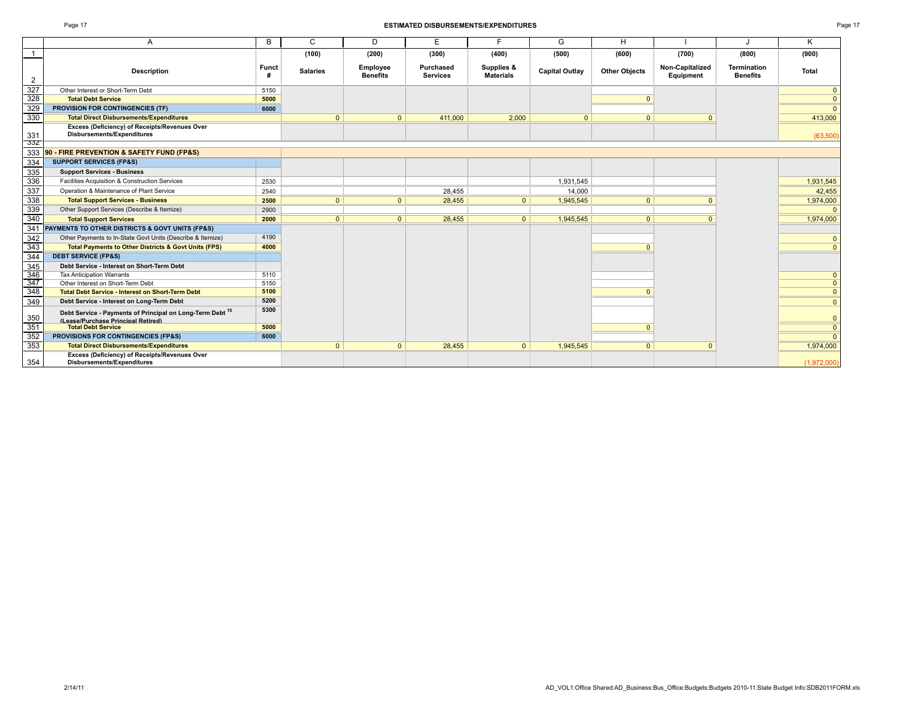### Page 17 **ESTIMATED DISBURSEMENTS/EXPENDITURES** Page 17

|            | A                                                                                                          | B                 | C               | D                           | E.                           | F                              | G              | H                    |                              | J                                     | K              |
|------------|------------------------------------------------------------------------------------------------------------|-------------------|-----------------|-----------------------------|------------------------------|--------------------------------|----------------|----------------------|------------------------------|---------------------------------------|----------------|
|            |                                                                                                            |                   | (100)           | (200)                       | (300)                        | (400)                          | (500)          | (600)                | (700)                        | (800)                                 | (900)          |
| 2          | <b>Description</b>                                                                                         | <b>Funct</b><br># | <b>Salaries</b> | Employee<br><b>Benefits</b> | Purchased<br><b>Services</b> | Supplies &<br><b>Materials</b> | Capital Outlay | <b>Other Objects</b> | Non-Capitalized<br>Equipment | <b>Termination</b><br><b>Benefits</b> | <b>Total</b>   |
| 327        | Other Interest or Short-Term Debt                                                                          | 5150              |                 |                             |                              |                                |                |                      |                              |                                       | $\mathbf{0}$   |
| 328        | <b>Total Debt Service</b>                                                                                  | 5000              |                 |                             |                              |                                |                |                      |                              |                                       | $\mathbf{0}$   |
| 329        | <b>PROVISION FOR CONTINGENCIES (TF)</b>                                                                    | 6000              |                 |                             |                              |                                |                |                      |                              |                                       | $\mathbf{0}$   |
| 330        | <b>Total Direct Disbursements/Expenditures</b>                                                             |                   | $\Omega$        | $\overline{0}$              | 411,000                      | 2,000                          | $\mathbf{0}$   | $\Omega$             |                              |                                       | 413,000        |
| 331<br>33Z | Excess (Deficiency) of Receipts/Revenues Over<br>Disbursements/Expenditures                                |                   |                 |                             |                              |                                |                |                      |                              |                                       | (63,500)       |
| 333        | <b>90 - FIRE PREVENTION &amp; SAFETY FUND (FP&amp;S)</b>                                                   |                   |                 |                             |                              |                                |                |                      |                              |                                       |                |
| 334        | <b>SUPPORT SERVICES (FP&amp;S)</b>                                                                         |                   |                 |                             |                              |                                |                |                      |                              |                                       |                |
| 335        | <b>Support Services - Business</b>                                                                         |                   |                 |                             |                              |                                |                |                      |                              |                                       |                |
| 336        | Facilities Acquisition & Construction Services                                                             | 2530              |                 |                             |                              |                                | 1.931.545      |                      |                              |                                       | 1,931,545      |
| 337        | Operation & Maintenance of Plant Service                                                                   | 2540              |                 |                             | 28.455                       |                                | 14.000         |                      |                              |                                       | 42,455         |
| 338        | <b>Total Support Services - Business</b>                                                                   | 2500              | $\Omega$        | $\Omega$                    | 28,455                       | $\Omega$                       | 1,945,545      | $\overline{0}$       |                              |                                       | 1,974,000      |
| 339        | Other Support Services (Describe & Itemize)                                                                | 2900              |                 |                             |                              |                                |                |                      |                              |                                       | $\Omega$       |
| 340        | <b>Total Support Services</b>                                                                              | 2000              | $\overline{0}$  | $\overline{0}$              | 28.455                       | 0 <sup>1</sup>                 | 1.945.545      | 0 <sup>1</sup>       |                              |                                       | 1,974,000      |
| 341        | PAYMENTS TO OTHER DISTRICTS & GOVT UNITS (FP&S)                                                            |                   |                 |                             |                              |                                |                |                      |                              |                                       |                |
| 342        | Other Payments to In-State Govt Units (Describe & Itemize)                                                 | 4190              |                 |                             |                              |                                |                |                      |                              |                                       | $\mathbf{0}$   |
| 343        | <b>Total Payments to Other Districts &amp; Govt Units (FPS)</b>                                            | 4000              |                 |                             |                              |                                |                | $\Omega$             |                              |                                       | $\Omega$       |
| 344        | <b>DEBT SERVICE (FP&amp;S)</b>                                                                             |                   |                 |                             |                              |                                |                |                      |                              |                                       |                |
| 345        | Debt Service - Interest on Short-Term Debt                                                                 |                   |                 |                             |                              |                                |                |                      |                              |                                       |                |
| 346        | <b>Tax Anticipation Warrants</b>                                                                           | 5110              |                 |                             |                              |                                |                |                      |                              |                                       | $\mathbf{0}$   |
| 347        | Other Interest on Short-Term Debt                                                                          | 5150              |                 |                             |                              |                                |                |                      |                              |                                       | $\overline{0}$ |
| 348        | <b>Total Debt Service - Interest on Short-Term Debt</b>                                                    | 5100              |                 |                             |                              |                                |                | $\Omega$             |                              |                                       | $\mathbf{0}$   |
| 349        | Debt Service - Interest on Long-Term Debt                                                                  | 5200              |                 |                             |                              |                                |                |                      |                              |                                       | $\mathbf{0}$   |
| 350        | Debt Service - Payments of Principal on Long-Term Debt <sup>15</sup><br>(Lease/Purchase Princinal Retired) | 5300              |                 |                             |                              |                                |                |                      |                              |                                       | $\mathbf{0}$   |
| 351        | <b>Total Debt Service</b>                                                                                  | 5000              |                 |                             |                              |                                |                | $\Omega$             |                              |                                       | $\mathbf{0}$   |
| 352        | PROVISIONS FOR CONTINGENCIES (FP&S)                                                                        | 6000              |                 |                             |                              |                                |                |                      |                              |                                       | $\mathbf{0}$   |
| 353        | <b>Total Direct Disbursements/Expenditures</b>                                                             |                   | $\mathbf{0}$    | $\overline{0}$              | 28,455                       | $\overline{0}$                 | 1,945,545      | 0 <sup>1</sup>       | $\Omega$                     |                                       | 1,974,000      |
| 354        | Excess (Deficiency) of Receipts/Revenues Over<br><b>Disbursements/Expenditures</b>                         |                   |                 |                             |                              |                                |                |                      |                              |                                       | (1,972,000)    |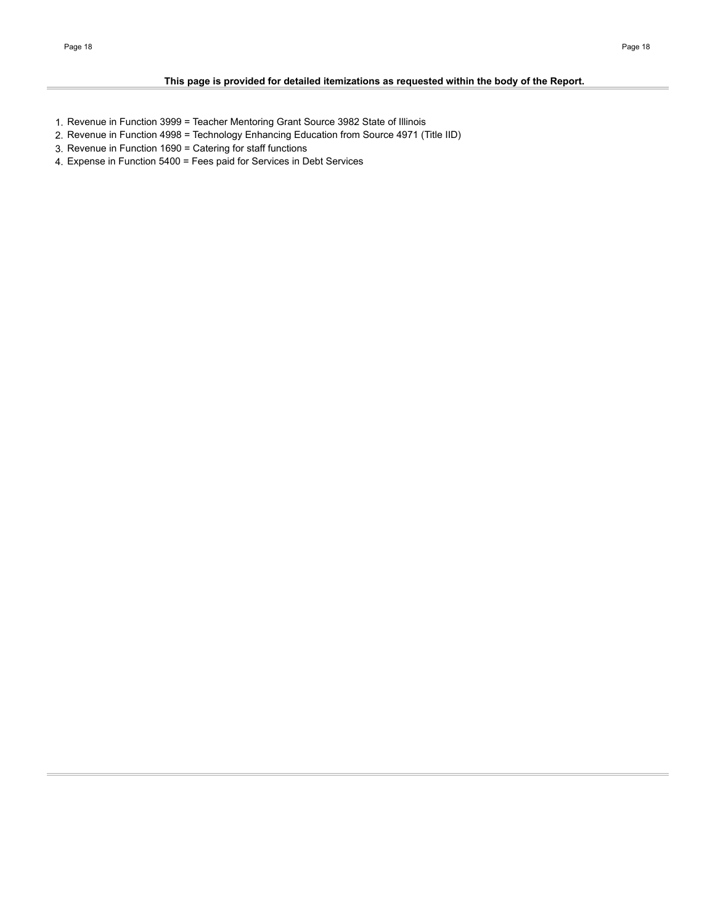- 1. Revenue in Function 3999 = Teacher Mentoring Grant Source 3982 State of Illinois
- 2. Revenue in Function 4998 = Technology Enhancing Education from Source 4971 (Title IID)
- 3. Revenue in Function 1690 = Catering for staff functions
- 4. Expense in Function 5400 = Fees paid for Services in Debt Services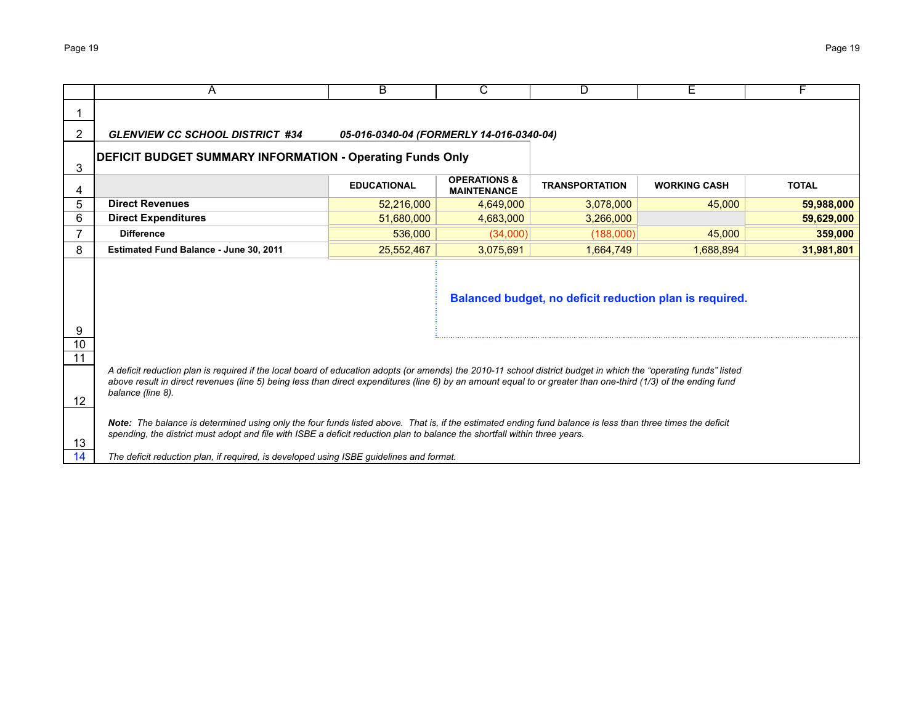|                | A                                                                                                                                                                                                                                                                                                                                                       | B                                        | C                                             | D                     | E.                  |              |  |  |  |  |  |  |
|----------------|---------------------------------------------------------------------------------------------------------------------------------------------------------------------------------------------------------------------------------------------------------------------------------------------------------------------------------------------------------|------------------------------------------|-----------------------------------------------|-----------------------|---------------------|--------------|--|--|--|--|--|--|
|                |                                                                                                                                                                                                                                                                                                                                                         |                                          |                                               |                       |                     |              |  |  |  |  |  |  |
| 2              | <b>GLENVIEW CC SCHOOL DISTRICT #34</b>                                                                                                                                                                                                                                                                                                                  | 05-016-0340-04 (FORMERLY 14-016-0340-04) |                                               |                       |                     |              |  |  |  |  |  |  |
|                | <b>DEFICIT BUDGET SUMMARY INFORMATION - Operating Funds Only</b>                                                                                                                                                                                                                                                                                        |                                          |                                               |                       |                     |              |  |  |  |  |  |  |
| 3              |                                                                                                                                                                                                                                                                                                                                                         |                                          |                                               |                       |                     |              |  |  |  |  |  |  |
| 4              |                                                                                                                                                                                                                                                                                                                                                         | <b>EDUCATIONAL</b>                       | <b>OPERATIONS &amp;</b><br><b>MAINTENANCE</b> | <b>TRANSPORTATION</b> | <b>WORKING CASH</b> | <b>TOTAL</b> |  |  |  |  |  |  |
| 5              | <b>Direct Revenues</b>                                                                                                                                                                                                                                                                                                                                  | 52,216,000                               | 4,649,000                                     | 3,078,000             | 45,000              | 59,988,000   |  |  |  |  |  |  |
| 6              | <b>Direct Expenditures</b>                                                                                                                                                                                                                                                                                                                              | 51,680,000                               | 4,683,000                                     | 3,266,000             |                     | 59,629,000   |  |  |  |  |  |  |
|                | <b>Difference</b>                                                                                                                                                                                                                                                                                                                                       | 536,000                                  | (34,000)                                      | (188,000)             | 45,000              | 359,000      |  |  |  |  |  |  |
| 8              | Estimated Fund Balance - June 30, 2011                                                                                                                                                                                                                                                                                                                  | 25,552,467                               | 3,075,691                                     | 1,664,749             | 1.688.894           | 31,981,801   |  |  |  |  |  |  |
| 9              | Balanced budget, no deficit reduction plan is required.                                                                                                                                                                                                                                                                                                 |                                          |                                               |                       |                     |              |  |  |  |  |  |  |
| 10<br>11<br>12 | A deficit reduction plan is required if the local board of education adopts (or amends) the 2010-11 school district budget in which the "operating funds" listed<br>above result in direct revenues (line 5) being less than direct expenditures (line 6) by an amount equal to or greater than one-third (1/3) of the ending fund<br>balance (line 8). |                                          |                                               |                       |                     |              |  |  |  |  |  |  |
| 13             | Note: The balance is determined using only the four funds listed above. That is, if the estimated ending fund balance is less than three times the deficit<br>spending, the district must adopt and file with ISBE a deficit reduction plan to balance the shortfall within three years.                                                                |                                          |                                               |                       |                     |              |  |  |  |  |  |  |
| 14             | The deficit reduction plan, if required, is developed using ISBE guidelines and format.                                                                                                                                                                                                                                                                 |                                          |                                               |                       |                     |              |  |  |  |  |  |  |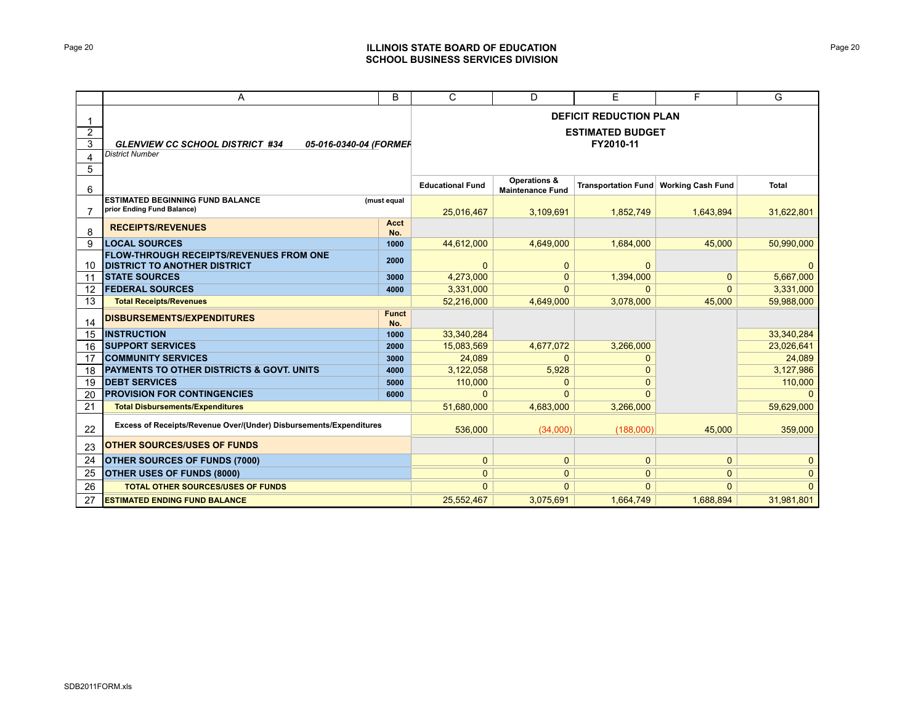# Page 20 **ILLINOIS STATE BOARD OF EDUCATION SCHOOL BUSINESS SERVICES DIVISION**

|                               | Α                                                                                          | B                   | $\mathsf{C}$                                                          | D                                                  | E                          | F                        | G            |  |  |
|-------------------------------|--------------------------------------------------------------------------------------------|---------------------|-----------------------------------------------------------------------|----------------------------------------------------|----------------------------|--------------------------|--------------|--|--|
| $\overline{2}$<br>3<br>4<br>5 | <b>GLENVIEW CC SCHOOL DISTRICT #34</b><br>05-016-0340-04 (FORMER<br><b>District Number</b> |                     | <b>DEFICIT REDUCTION PLAN</b><br><b>ESTIMATED BUDGET</b><br>FY2010-11 |                                                    |                            |                          |              |  |  |
| 6                             |                                                                                            |                     | <b>Educational Fund</b>                                               | <b>Operations &amp;</b><br><b>Maintenance Fund</b> | <b>Transportation Fund</b> | <b>Working Cash Fund</b> | <b>Total</b> |  |  |
| 7                             | <b>ESTIMATED BEGINNING FUND BALANCE</b><br>prior Ending Fund Balance)                      | (must equal         | 25,016,467                                                            | 3,109,691                                          | 1,852,749                  | 1,643,894                | 31,622,801   |  |  |
| 8                             | <b>RECEIPTS/REVENUES</b>                                                                   | <b>Acct</b><br>No.  |                                                                       |                                                    |                            |                          |              |  |  |
| 9                             | <b>LOCAL SOURCES</b>                                                                       | 1000                | 44,612,000                                                            | 4,649,000                                          | 1,684,000                  | 45.000                   | 50,990,000   |  |  |
| 10                            | <b>FLOW-THROUGH RECEIPTS/REVENUES FROM ONE</b><br><b>DISTRICT TO ANOTHER DISTRICT</b>      | 2000                | $\overline{0}$                                                        | $\mathbf{0}$                                       | $\mathbf{0}$               |                          | $\mathbf{0}$ |  |  |
| 11                            | <b>STATE SOURCES</b>                                                                       | 3000                | 4,273,000                                                             | $\mathbf{0}$                                       | 1,394,000                  | $\mathbf{0}$             | 5,667,000    |  |  |
| $12 \overline{ }$             | <b>FEDERAL SOURCES</b>                                                                     | 4000                | 3,331,000                                                             | $\Omega$                                           | $\Omega$                   | $\mathbf{0}$             | 3,331,000    |  |  |
| 13                            | <b>Total Receipts/Revenues</b>                                                             |                     | 52,216,000                                                            | 4,649,000                                          | 3,078,000                  | 45,000                   | 59,988,000   |  |  |
| 14                            | <b>DISBURSEMENTS/EXPENDITURES</b>                                                          | <b>Funct</b><br>No. |                                                                       |                                                    |                            |                          |              |  |  |
| 15                            | <b>INSTRUCTION</b>                                                                         | 1000                | 33,340,284                                                            |                                                    |                            |                          | 33,340,284   |  |  |
| 16                            | <b>SUPPORT SERVICES</b>                                                                    | 2000                | 15,083,569                                                            | 4,677,072                                          | 3,266,000                  |                          | 23,026,641   |  |  |
| 17                            | <b>COMMUNITY SERVICES</b>                                                                  | 3000                | 24,089                                                                | $\mathbf{0}$                                       | $\mathbf 0$                |                          | 24,089       |  |  |
| 18                            | PAYMENTS TO OTHER DISTRICTS & GOVT. UNITS                                                  | 4000                | 3,122,058                                                             | 5,928                                              | $\Omega$                   |                          | 3,127,986    |  |  |
| 19                            | <b>DEBT SERVICES</b>                                                                       | 5000                | 110,000                                                               | $\mathbf{0}$                                       | $\Omega$                   |                          | 110,000      |  |  |
| 20                            | <b>PROVISION FOR CONTINGENCIES</b>                                                         | 6000                | $\Omega$                                                              | $\Omega$                                           | $\Omega$                   |                          | $\Omega$     |  |  |
| 21                            | <b>Total Disbursements/Expenditures</b>                                                    |                     | 51,680,000                                                            | 4,683,000                                          | 3,266,000                  |                          | 59,629,000   |  |  |
| 22                            | Excess of Receipts/Revenue Over/(Under) Disbursements/Expenditures                         |                     | 536.000                                                               | (34,000)                                           | (188,000)                  | 45.000                   | 359,000      |  |  |
| 23                            | <b>OTHER SOURCES/USES OF FUNDS</b>                                                         |                     |                                                                       |                                                    |                            |                          |              |  |  |
| 24                            | <b>OTHER SOURCES OF FUNDS (7000)</b>                                                       |                     | $\mathbf{0}$                                                          | $\mathbf{0}$                                       | $\mathbf{0}$               | $\mathbf{0}$             | $\mathbf{0}$ |  |  |
| 25                            | <b>OTHER USES OF FUNDS (8000)</b>                                                          |                     | $\overline{0}$                                                        | $\mathbf{0}$                                       | $\mathbf{0}$               | $\mathbf{0}$             | $\mathbf{0}$ |  |  |
| 26                            | <b>TOTAL OTHER SOURCES/USES OF FUNDS</b>                                                   |                     | $\overline{0}$                                                        | $\Omega$                                           | $\Omega$                   | $\mathbf{0}$             | $\Omega$     |  |  |
| 27                            | <b>ESTIMATED ENDING FUND BALANCE</b>                                                       |                     | 25,552,467                                                            | 3,075,691                                          | 1,664,749                  | 1,688,894                | 31,981,801   |  |  |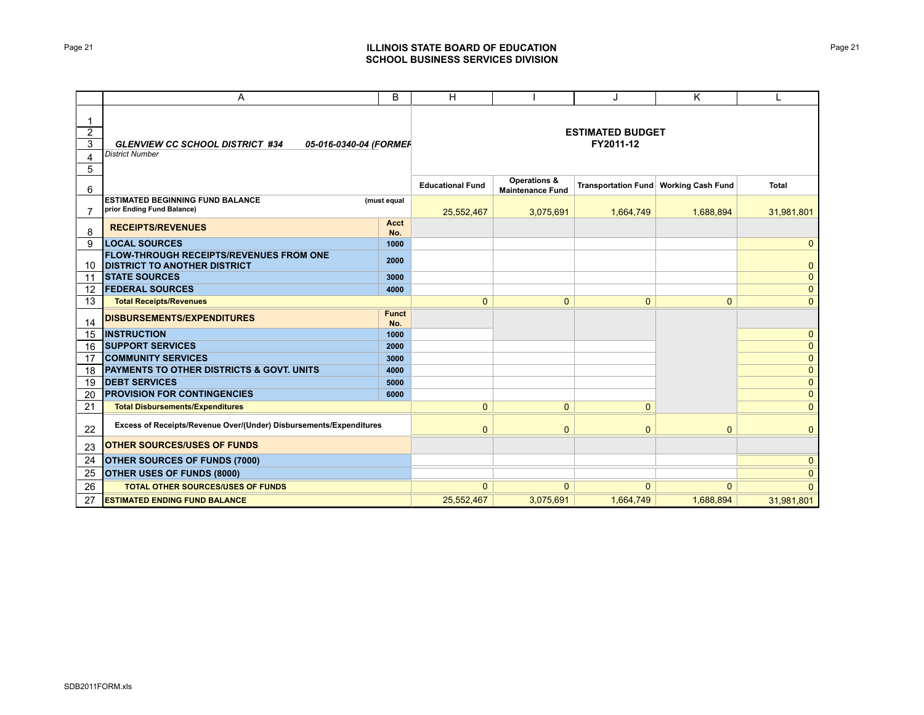# Page 21 **ILLINOIS STATE BOARD OF EDUCATION SCHOOL BUSINESS SERVICES DIVISION**

|                                    | A                                                                                          | B                   | Н                                    |                                                    | J                          | K                        | L              |  |  |
|------------------------------------|--------------------------------------------------------------------------------------------|---------------------|--------------------------------------|----------------------------------------------------|----------------------------|--------------------------|----------------|--|--|
| 1<br>$\overline{2}$<br>3<br>4<br>5 | <b>GLENVIEW CC SCHOOL DISTRICT #34</b><br>05-016-0340-04 (FORMER<br><b>District Number</b> |                     | <b>ESTIMATED BUDGET</b><br>FY2011-12 |                                                    |                            |                          |                |  |  |
| 6                                  |                                                                                            |                     | <b>Educational Fund</b>              | <b>Operations &amp;</b><br><b>Maintenance Fund</b> | <b>Transportation Fund</b> | <b>Working Cash Fund</b> | <b>Total</b>   |  |  |
| 7                                  | <b>ESTIMATED BEGINNING FUND BALANCE</b><br>prior Ending Fund Balance)                      | (must equal         | 25,552,467                           | 3,075,691                                          | 1,664,749                  | 1,688,894                | 31,981,801     |  |  |
| 8                                  | <b>RECEIPTS/REVENUES</b>                                                                   | <b>Acct</b><br>No.  |                                      |                                                    |                            |                          |                |  |  |
| 9                                  | <b>LOCAL SOURCES</b>                                                                       | 1000                |                                      |                                                    |                            |                          | $\mathbf{0}$   |  |  |
|                                    | <b>FLOW-THROUGH RECEIPTS/REVENUES FROM ONE</b><br>10 <b>DISTRICT TO ANOTHER DISTRICT</b>   | 2000                |                                      |                                                    |                            |                          | $\mathbf 0$    |  |  |
| 11                                 | <b>STATE SOURCES</b>                                                                       | 3000                |                                      |                                                    |                            |                          | $\mathbf{0}$   |  |  |
| $12 \overline{ }$                  | <b>FEDERAL SOURCES</b>                                                                     | 4000                |                                      |                                                    |                            |                          | $\mathbf{0}$   |  |  |
| 13                                 | <b>Total Receipts/Revenues</b>                                                             |                     | $\mathbf{0}$                         | $\mathbf{0}$                                       | $\mathbf{0}$               | $\mathbf{0}$             | $\mathbf{0}$   |  |  |
| 14                                 | <b>DISBURSEMENTS/EXPENDITURES</b>                                                          | <b>Funct</b><br>No. |                                      |                                                    |                            |                          |                |  |  |
| 15                                 | <b>INSTRUCTION</b>                                                                         | 1000                |                                      |                                                    |                            |                          | $\mathbf{0}$   |  |  |
| 16                                 | <b>SUPPORT SERVICES</b>                                                                    | 2000                |                                      |                                                    |                            |                          | $\mathbf 0$    |  |  |
| 17                                 | <b>COMMUNITY SERVICES</b>                                                                  | 3000                |                                      |                                                    |                            |                          | $\mathbf{0}$   |  |  |
| 18                                 | <b>PAYMENTS TO OTHER DISTRICTS &amp; GOVT. UNITS</b>                                       | 4000                |                                      |                                                    |                            |                          | $\mathbf{0}$   |  |  |
| 19                                 | <b>DEBT SERVICES</b>                                                                       | 5000                |                                      |                                                    |                            |                          | $\mathbf 0$    |  |  |
| 20                                 | <b>PROVISION FOR CONTINGENCIES</b>                                                         | 6000                |                                      |                                                    |                            |                          | $\mathbf{0}$   |  |  |
| 21                                 | <b>Total Disbursements/Expenditures</b>                                                    |                     | $\overline{0}$                       | $\mathbf{0}$                                       | $\mathbf{0}$               |                          | $\overline{0}$ |  |  |
| 22                                 | Excess of Receipts/Revenue Over/(Under) Disbursements/Expenditures                         |                     | $\mathbf{0}$                         | $\mathbf{0}$                                       | $\mathbf{0}$               | $\mathbf{0}$             | $\mathbf{0}$   |  |  |
| 23                                 | <b>OTHER SOURCES/USES OF FUNDS</b>                                                         |                     |                                      |                                                    |                            |                          |                |  |  |
| 24                                 | <b>OTHER SOURCES OF FUNDS (7000)</b>                                                       |                     |                                      |                                                    |                            |                          | $\mathbf{0}$   |  |  |
| 25                                 | <b>OTHER USES OF FUNDS (8000)</b>                                                          |                     |                                      |                                                    |                            |                          | $\mathbf 0$    |  |  |
| 26                                 | <b>TOTAL OTHER SOURCES/USES OF FUNDS</b>                                                   |                     | $\mathbf{0}$                         | $\mathbf{0}$                                       | $\mathbf{0}$               | $\mathbf{0}$             | $\Omega$       |  |  |
| 27                                 | <b>ESTIMATED ENDING FUND BALANCE</b>                                                       |                     | 25,552,467                           | 3,075,691                                          | 1,664,749                  | 1,688,894                | 31,981,801     |  |  |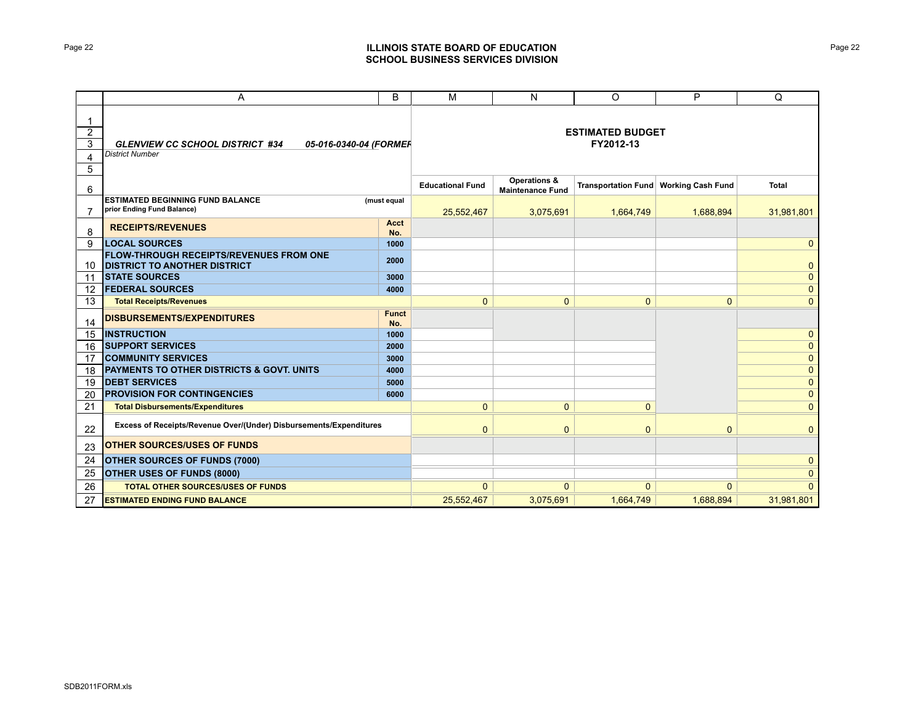# Page 22 **ILLINOIS STATE BOARD OF EDUCATION SCHOOL BUSINESS SERVICES DIVISION**

|                                    | A                                                                                          | B                   | M                                    | N                                                  | O                          | P                        | Q              |  |  |
|------------------------------------|--------------------------------------------------------------------------------------------|---------------------|--------------------------------------|----------------------------------------------------|----------------------------|--------------------------|----------------|--|--|
| 1<br>$\overline{2}$<br>3<br>4<br>5 | <b>GLENVIEW CC SCHOOL DISTRICT #34</b><br>05-016-0340-04 (FORMER<br><b>District Number</b> |                     | <b>ESTIMATED BUDGET</b><br>FY2012-13 |                                                    |                            |                          |                |  |  |
| 6                                  |                                                                                            |                     | <b>Educational Fund</b>              | <b>Operations &amp;</b><br><b>Maintenance Fund</b> | <b>Transportation Fund</b> | <b>Working Cash Fund</b> | <b>Total</b>   |  |  |
| 7                                  | <b>ESTIMATED BEGINNING FUND BALANCE</b><br>prior Ending Fund Balance)                      | (must equal         | 25,552,467                           | 3,075,691                                          | 1,664,749                  | 1,688,894                | 31,981,801     |  |  |
| 8                                  | <b>RECEIPTS/REVENUES</b>                                                                   | <b>Acct</b><br>No.  |                                      |                                                    |                            |                          |                |  |  |
| 9                                  | <b>LOCAL SOURCES</b>                                                                       | 1000                |                                      |                                                    |                            |                          | $\mathbf{0}$   |  |  |
| 10                                 | <b>FLOW-THROUGH RECEIPTS/REVENUES FROM ONE</b><br><b>DISTRICT TO ANOTHER DISTRICT</b>      | 2000                |                                      |                                                    |                            |                          | $\mathbf 0$    |  |  |
| 11                                 | <b>ISTATE SOURCES</b>                                                                      | 3000                |                                      |                                                    |                            |                          | $\mathbf{0}$   |  |  |
| 12                                 | <b>FEDERAL SOURCES</b>                                                                     | 4000                |                                      |                                                    |                            |                          | $\mathbf{0}$   |  |  |
| 13                                 | <b>Total Receipts/Revenues</b>                                                             |                     | $\mathbf{0}$                         | $\mathbf{0}$                                       | $\mathbf{0}$               | $\mathbf{0}$             | $\mathbf{0}$   |  |  |
| 14                                 | <b>DISBURSEMENTS/EXPENDITURES</b>                                                          | <b>Funct</b><br>No. |                                      |                                                    |                            |                          |                |  |  |
| 15                                 | <b>INSTRUCTION</b>                                                                         | 1000                |                                      |                                                    |                            |                          | $\mathbf{0}$   |  |  |
| 16                                 | <b>SUPPORT SERVICES</b>                                                                    | 2000                |                                      |                                                    |                            |                          | $\mathbf{0}$   |  |  |
| 17                                 | <b>COMMUNITY SERVICES</b>                                                                  | 3000                |                                      |                                                    |                            |                          | $\mathbf{0}$   |  |  |
| 18                                 | PAYMENTS TO OTHER DISTRICTS & GOVT. UNITS                                                  | 4000                |                                      |                                                    |                            |                          | $\mathbf{0}$   |  |  |
| 19                                 | <b>DEBT SERVICES</b>                                                                       | 5000                |                                      |                                                    |                            |                          | $\mathbf 0$    |  |  |
| 20                                 | <b>PROVISION FOR CONTINGENCIES</b>                                                         | 6000                |                                      |                                                    |                            |                          | $\mathbf 0$    |  |  |
| 21                                 | <b>Total Disbursements/Expenditures</b>                                                    |                     | $\overline{0}$                       | $\mathbf{0}$                                       | $\mathbf{0}$               |                          | $\overline{0}$ |  |  |
| 22                                 | Excess of Receipts/Revenue Over/(Under) Disbursements/Expenditures                         |                     | $\overline{0}$                       | $\mathbf{0}$                                       | $\mathbf{0}$               | $\mathbf{0}$             | $\mathbf{0}$   |  |  |
| 23                                 | <b>OTHER SOURCES/USES OF FUNDS</b>                                                         |                     |                                      |                                                    |                            |                          |                |  |  |
| 24                                 | <b>OTHER SOURCES OF FUNDS (7000)</b>                                                       |                     |                                      |                                                    |                            |                          | $\mathbf{0}$   |  |  |
| 25                                 | OTHER USES OF FUNDS (8000)                                                                 |                     |                                      |                                                    |                            |                          | $\mathbf 0$    |  |  |
| 26                                 | <b>TOTAL OTHER SOURCES/USES OF FUNDS</b>                                                   |                     | $\mathbf{0}$                         | $\mathbf{0}$                                       | $\mathbf{0}$               | $\mathbf{0}$             | $\Omega$       |  |  |
| 27                                 | <b>ESTIMATED ENDING FUND BALANCE</b>                                                       |                     | 25,552,467                           | 3,075,691                                          | 1,664,749                  | 1,688,894                | 31,981,801     |  |  |

Page 22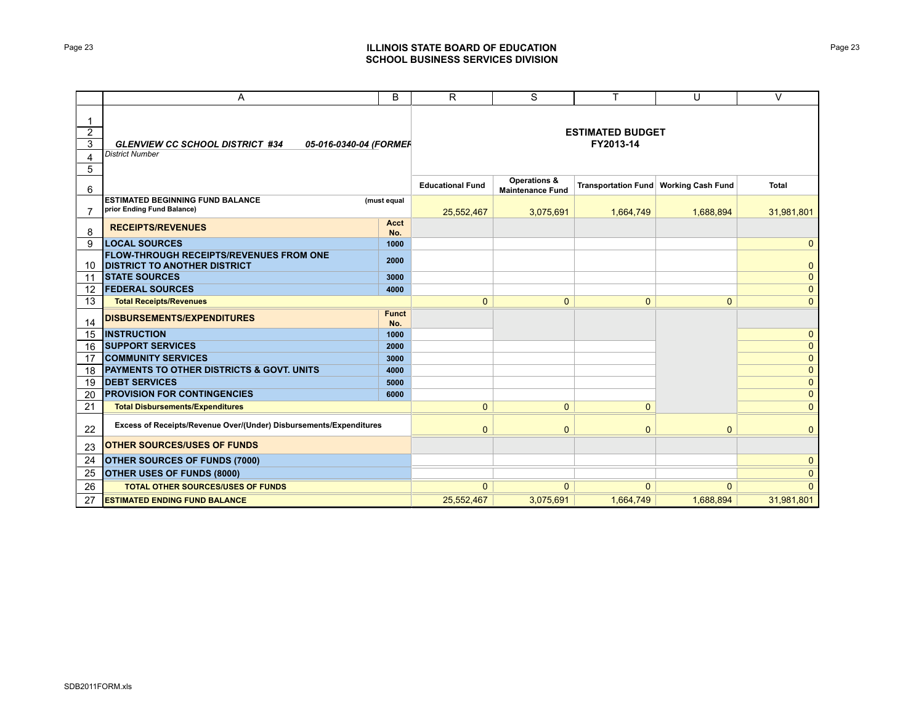# Page 23 **ILLINOIS STATE BOARD OF EDUCATION SCHOOL BUSINESS SERVICES DIVISION**

|                                    | Α                                                                                          | B                   | R                                    | S                                                  | T                          | U                        | $\vee$       |
|------------------------------------|--------------------------------------------------------------------------------------------|---------------------|--------------------------------------|----------------------------------------------------|----------------------------|--------------------------|--------------|
| 1<br>$\overline{2}$<br>3<br>4<br>5 | <b>GLENVIEW CC SCHOOL DISTRICT #34</b><br>05-016-0340-04 (FORMER<br><b>District Number</b> |                     | <b>ESTIMATED BUDGET</b><br>FY2013-14 |                                                    |                            |                          |              |
| 6                                  |                                                                                            |                     | <b>Educational Fund</b>              | <b>Operations &amp;</b><br><b>Maintenance Fund</b> | <b>Transportation Fund</b> | <b>Working Cash Fund</b> | <b>Total</b> |
| $\overline{7}$                     | <b>ESTIMATED BEGINNING FUND BALANCE</b><br>prior Ending Fund Balance)                      | (must equal         | 25,552,467                           | 3,075,691                                          | 1,664,749                  | 1,688,894                | 31,981,801   |
| 8                                  | <b>RECEIPTS/REVENUES</b>                                                                   | <b>Acct</b><br>No.  |                                      |                                                    |                            |                          |              |
| 9                                  | <b>LOCAL SOURCES</b>                                                                       | 1000                |                                      |                                                    |                            |                          | $\mathbf{0}$ |
|                                    | <b>FLOW-THROUGH RECEIPTS/REVENUES FROM ONE</b><br>10 <b>DISTRICT TO ANOTHER DISTRICT</b>   | 2000                |                                      |                                                    |                            |                          | $\mathbf{0}$ |
| 11                                 | <b>STATE SOURCES</b>                                                                       | 3000                |                                      |                                                    |                            |                          | $\mathbf{0}$ |
| $12 \overline{ }$                  | <b>FEDERAL SOURCES</b>                                                                     | 4000                |                                      |                                                    |                            |                          | $\mathbf{0}$ |
| 13                                 | <b>Total Receipts/Revenues</b>                                                             |                     | $\mathbf{0}$                         | $\mathbf{0}$                                       | $\mathbf{0}$               | $\mathbf{0}$             | $\mathbf{0}$ |
| 14                                 | <b>DISBURSEMENTS/EXPENDITURES</b>                                                          | <b>Funct</b><br>No. |                                      |                                                    |                            |                          |              |
| 15                                 | <b>INSTRUCTION</b>                                                                         | 1000                |                                      |                                                    |                            |                          | $\mathbf{0}$ |
| 16                                 | <b>SUPPORT SERVICES</b>                                                                    | 2000                |                                      |                                                    |                            |                          | $\mathbf{0}$ |
| 17                                 | <b>COMMUNITY SERVICES</b>                                                                  | 3000                |                                      |                                                    |                            |                          | $\mathbf{0}$ |
| 18                                 | <b>PAYMENTS TO OTHER DISTRICTS &amp; GOVT. UNITS</b>                                       | 4000                |                                      |                                                    |                            |                          | $\mathbf{0}$ |
| 19                                 | <b>DEBT SERVICES</b>                                                                       | 5000                |                                      |                                                    |                            |                          | $\mathbf{0}$ |
| 20                                 | <b>PROVISION FOR CONTINGENCIES</b>                                                         | 6000                |                                      |                                                    |                            |                          | $\mathbf 0$  |
| 21                                 | <b>Total Disbursements/Expenditures</b>                                                    |                     | $\mathbf{0}$                         | $\mathbf{0}$                                       | $\mathbf{0}$               |                          | $\mathbf{0}$ |
| 22                                 | Excess of Receipts/Revenue Over/(Under) Disbursements/Expenditures                         |                     | $\mathbf{0}$                         | $\mathbf 0$                                        | $\mathbf 0$                | $\mathbf{0}$             | $\mathbf{0}$ |
| 23                                 | <b>OTHER SOURCES/USES OF FUNDS</b>                                                         |                     |                                      |                                                    |                            |                          |              |
| 24                                 | <b>OTHER SOURCES OF FUNDS (7000)</b>                                                       |                     |                                      |                                                    |                            |                          | $\mathbf{0}$ |
| 25                                 | <b>OTHER USES OF FUNDS (8000)</b>                                                          |                     |                                      |                                                    |                            |                          | $\mathbf 0$  |
| 26                                 | <b>TOTAL OTHER SOURCES/USES OF FUNDS</b>                                                   |                     | $\mathbf{0}$                         | $\mathbf{0}$                                       | $\mathbf{0}$               | $\Omega$                 | $\Omega$     |
| 27                                 | <b>ESTIMATED ENDING FUND BALANCE</b>                                                       |                     | 25,552,467                           | 3,075,691                                          | 1,664,749                  | 1,688,894                | 31,981,801   |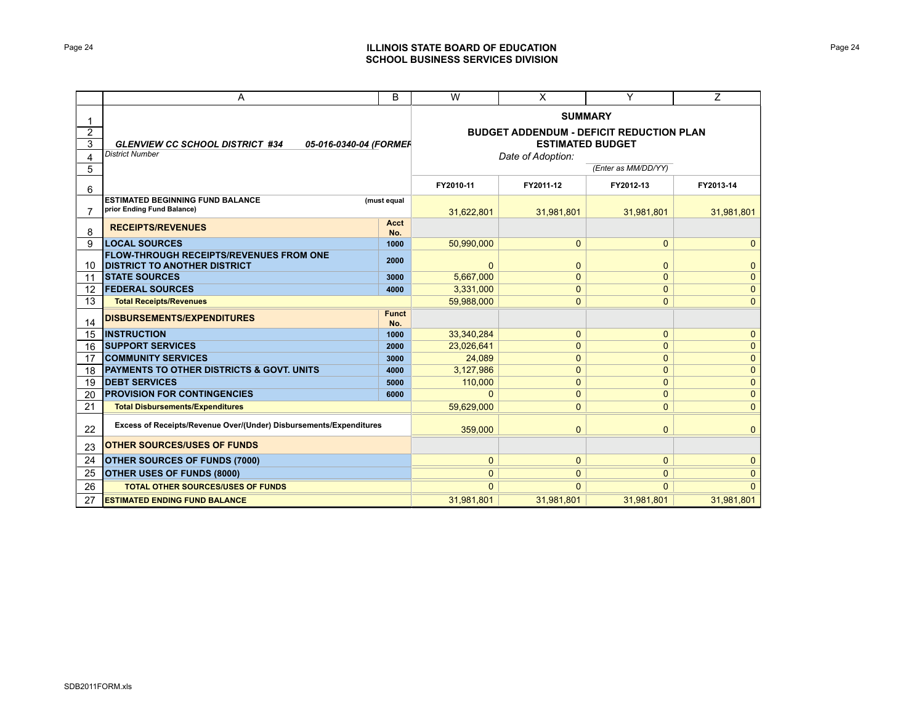# Page 24 **ILLINOIS STATE BOARD OF EDUCATION SCHOOL BUSINESS SERVICES DIVISION**

|                          | A                                                                                          | B                   | W                                                                                                                 | $\times$     | Y            | $\overline{Z}$ |  |
|--------------------------|--------------------------------------------------------------------------------------------|---------------------|-------------------------------------------------------------------------------------------------------------------|--------------|--------------|----------------|--|
| $\overline{2}$<br>3<br>4 | <b>GLENVIEW CC SCHOOL DISTRICT #34</b><br>05-016-0340-04 (FORMER<br><b>District Number</b> |                     | <b>SUMMARY</b><br><b>BUDGET ADDENDUM - DEFICIT REDUCTION PLAN</b><br><b>ESTIMATED BUDGET</b><br>Date of Adoption: |              |              |                |  |
| 5                        |                                                                                            | (Enter as MM/DD/YY) |                                                                                                                   |              |              |                |  |
| 6                        |                                                                                            | FY2010-11           | FY2011-12                                                                                                         | FY2012-13    | FY2013-14    |                |  |
| 7                        | <b>ESTIMATED BEGINNING FUND BALANCE</b><br>prior Ending Fund Balance)                      | (must equal         | 31,622,801                                                                                                        | 31,981,801   | 31,981,801   | 31,981,801     |  |
| 8                        | <b>RECEIPTS/REVENUES</b>                                                                   | Acct<br>No.         |                                                                                                                   |              |              |                |  |
| 9                        | <b>LOCAL SOURCES</b>                                                                       | 1000                | 50.990.000                                                                                                        | $\mathbf{0}$ | $\mathbf{0}$ | $\mathbf{0}$   |  |
| 10                       | <b>FLOW-THROUGH RECEIPTS/REVENUES FROM ONE</b><br><b>DISTRICT TO ANOTHER DISTRICT</b>      | 2000                | $\mathbf{0}$                                                                                                      | $\mathbf{0}$ | $\mathbf{0}$ | $\mathbf{0}$   |  |
| 11                       | <b>STATE SOURCES</b>                                                                       | 3000                | 5,667,000                                                                                                         | $\mathbf{0}$ | $\mathbf 0$  | $\mathbf{0}$   |  |
| 12                       | <b>FEDERAL SOURCES</b>                                                                     | 4000                | 3,331,000                                                                                                         | $\mathbf{0}$ | $\mathbf{0}$ | $\mathbf{0}$   |  |
| 13                       | <b>Total Receipts/Revenues</b>                                                             |                     | 59.988.000                                                                                                        | $\mathbf{0}$ | $\mathbf{0}$ | $\mathbf{0}$   |  |
| 14                       | <b>DISBURSEMENTS/EXPENDITURES</b>                                                          | <b>Funct</b><br>No. |                                                                                                                   |              |              |                |  |
| 15                       | <b>INSTRUCTION</b>                                                                         | 1000                | 33,340,284                                                                                                        | $\mathbf{0}$ | $\mathbf{0}$ | $\mathbf{0}$   |  |
| 16                       | <b>SUPPORT SERVICES</b>                                                                    | 2000                | 23,026,641                                                                                                        | $\mathbf{0}$ | $\mathbf{0}$ | $\mathbf{0}$   |  |
| 17                       | <b>COMMUNITY SERVICES</b>                                                                  | 3000                | 24,089                                                                                                            | $\mathbf{0}$ | $\mathbf{0}$ | $\mathbf{0}$   |  |
| 18                       | <b>PAYMENTS TO OTHER DISTRICTS &amp; GOVT, UNITS</b>                                       | 4000                | 3,127,986                                                                                                         | $\mathbf 0$  | $\mathbf{0}$ | $\mathbf{0}$   |  |
| 19                       | <b>DEBT SERVICES</b>                                                                       | 5000                | 110,000                                                                                                           | $\mathbf{0}$ | $\mathbf{0}$ | $\mathbf{0}$   |  |
| 20                       | <b>PROVISION FOR CONTINGENCIES</b>                                                         | 6000                | $\Omega$                                                                                                          | $\mathbf{0}$ | $\mathbf{0}$ | $\mathbf{0}$   |  |
| 21                       | <b>Total Disbursements/Expenditures</b>                                                    |                     | 59,629,000                                                                                                        | $\mathbf{0}$ | $\mathbf 0$  | $\mathbf{0}$   |  |
| 22                       | Excess of Receipts/Revenue Over/(Under) Disbursements/Expenditures                         |                     | 359,000                                                                                                           | $\mathbf{0}$ | $\mathbf{0}$ | $\mathbf{0}$   |  |
| 23                       | <b>OTHER SOURCES/USES OF FUNDS</b>                                                         |                     |                                                                                                                   |              |              |                |  |
| 24                       | OTHER SOURCES OF FUNDS (7000)                                                              | $\mathbf{0}$        | $\mathbf{0}$                                                                                                      | $\mathbf{0}$ | $\mathbf{0}$ |                |  |
| 25                       | OTHER USES OF FUNDS (8000)                                                                 |                     | $\mathbf{0}$                                                                                                      | $\mathbf{0}$ | $\mathbf{0}$ | $\mathbf{0}$   |  |
| 26                       | <b>TOTAL OTHER SOURCES/USES OF FUNDS</b>                                                   |                     | $\Omega$                                                                                                          | $\Omega$     | $\Omega$     | $\Omega$       |  |
| 27                       | <b>ESTIMATED ENDING FUND BALANCE</b>                                                       |                     | 31,981,801                                                                                                        | 31.981.801   | 31,981,801   | 31,981,801     |  |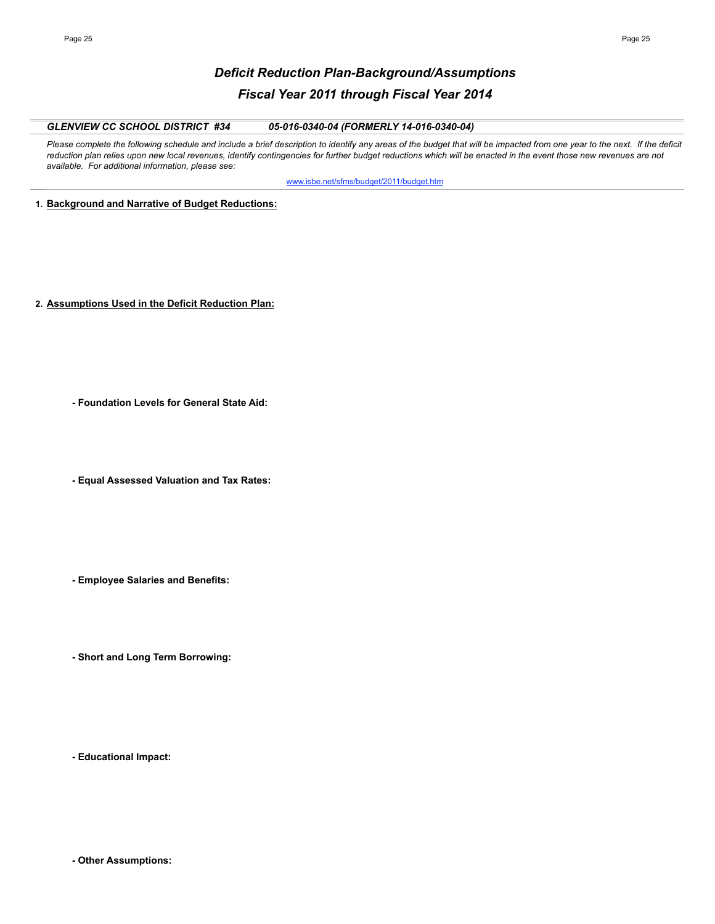# *Deficit Reduction Plan-Background/Assumptions Fiscal Year 2011 through Fiscal Year 2014*

## *GLENVIEW CC SCHOOL DISTRICT #34 05-016-0340-04 (FORMERLY 14-016-0340-04)*

Please complete the following schedule and include a brief description to identify any areas of the budget that will be impacted from one year to the next. If the deficit reduction plan relies upon new local revenues, identify contingencies for further budget reductions which will be enacted in the event those new revenues are not *available. For additional information, please see:* 

www.isbe.net/sfms/budget/2011/budget.htm

**1. Background and Narrative of Budget Reductions:**

- **2. Assumptions Used in the Deficit Reduction Plan:**
	- **Foundation Levels for General State Aid:**
	- **Equal Assessed Valuation and Tax Rates:**
	- **Employee Salaries and Benefits:**
	- **Short and Long Term Borrowing:**

**- Educational Impact:**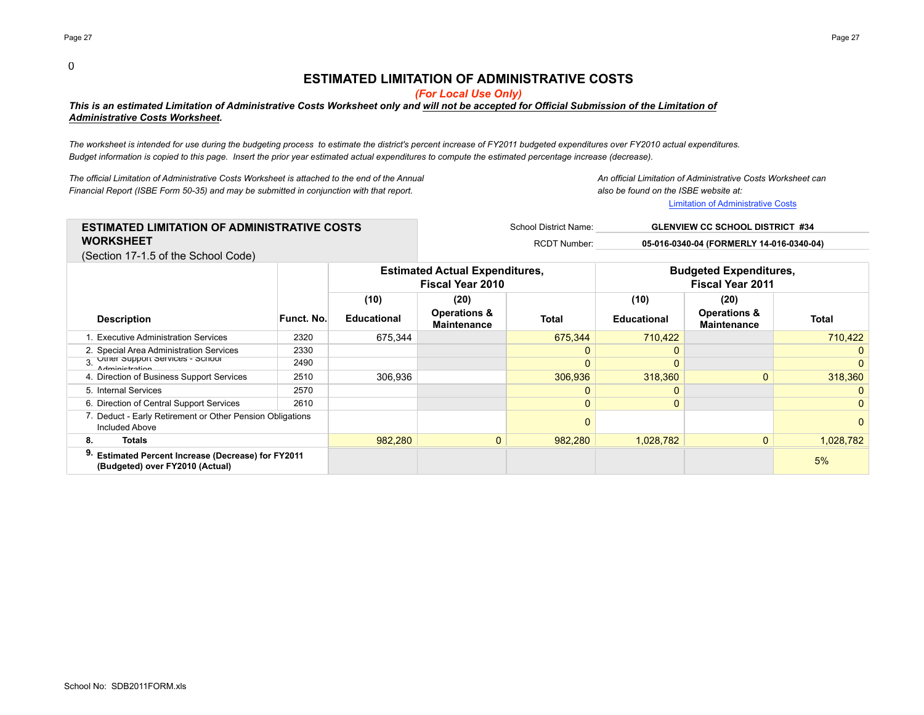# **ESTIMATED LIMITATION OF ADMINISTRATIVE COSTS**

*(For Local Use Only)*

# *This is an estimated Limitation of Administrative Costs Worksheet only and will not be accepted for Official Submission of the Limitation of Administrative Costs Worksheet.*

*The worksheet is intended for use during the budgeting process to estimate the district's percent increase of FY2011 budgeted expenditures over FY2010 actual expenditures. Budget information is copied to this page. Insert the prior year estimated actual expenditures to compute the estimated percentage increase (decrease).*

*The official Limitation of Administrative Costs Worksheet is attached to the end of the Annual An official Limitation of Administrative Costs Worksheet can Financial Report (ISBE Form 50-35) and may be submitted in conjunction with that report. also be found on the ISBE website at:*

Limitation of Administrative Costs

| <b>ESTIMATED LIMITATION OF ADMINISTRATIVE COSTS</b> | School District Name: | <b>GLENVIEW CC SCHOOL DISTRICT #34</b>   |
|-----------------------------------------------------|-----------------------|------------------------------------------|
| <b>WORKSHEET</b>                                    | <b>RCDT Number:</b>   | 05-016-0340-04 (FORMERLY 14-016-0340-04) |
| (Condition 17.15 of the Caboul Cada)                |                       |                                          |

(Section 17-1.5 of the School Code)

|                                                                                            |            |                    | <b>Estimated Actual Expenditures,</b><br><b>Fiscal Year 2010</b> |              | <b>Budgeted Expenditures,</b><br><b>Fiscal Year 2011</b> |                                               |                |
|--------------------------------------------------------------------------------------------|------------|--------------------|------------------------------------------------------------------|--------------|----------------------------------------------------------|-----------------------------------------------|----------------|
|                                                                                            |            | (10)               | (20)                                                             |              | (10)                                                     | (20)                                          |                |
| <b>Description</b>                                                                         | Funct. No. | <b>Educational</b> | <b>Operations &amp;</b><br><b>Maintenance</b>                    | Total        | <b>Educational</b>                                       | <b>Operations &amp;</b><br><b>Maintenance</b> | Total          |
| 1. Executive Administration Services                                                       | 2320       | 675.344            |                                                                  | 675.344      | 710.422                                                  |                                               | 710.422        |
| 2. Special Area Administration Services                                                    | 2330       |                    |                                                                  | 0            |                                                          |                                               | 0              |
| 3 Other Support Services - Scribor<br><b>Adminictration</b>                                | 2490       |                    |                                                                  | $\mathbf{0}$ |                                                          |                                               | $\overline{0}$ |
| 4. Direction of Business Support Services                                                  | 2510       | 306.936            |                                                                  | 306,936      | 318,360                                                  |                                               | 318,360        |
| 5. Internal Services                                                                       | 2570       |                    |                                                                  | $\Omega$     |                                                          |                                               | 0              |
| 6. Direction of Central Support Services                                                   | 2610       |                    |                                                                  | $\mathbf{0}$ |                                                          |                                               | $\overline{0}$ |
| 7. Deduct - Early Retirement or Other Pension Obligations<br><b>Included Above</b>         |            |                    |                                                                  | $\mathbf 0$  |                                                          |                                               | 0              |
| <b>Totals</b><br>8.                                                                        |            | 982,280            | $\overline{0}$                                                   | 982,280      | 1,028,782                                                | $\mathbf{0}$                                  | 1,028,782      |
| <b>Estimated Percent Increase (Decrease) for FY2011</b><br>(Budgeted) over FY2010 (Actual) |            |                    |                                                                  |              |                                                          |                                               | 5%             |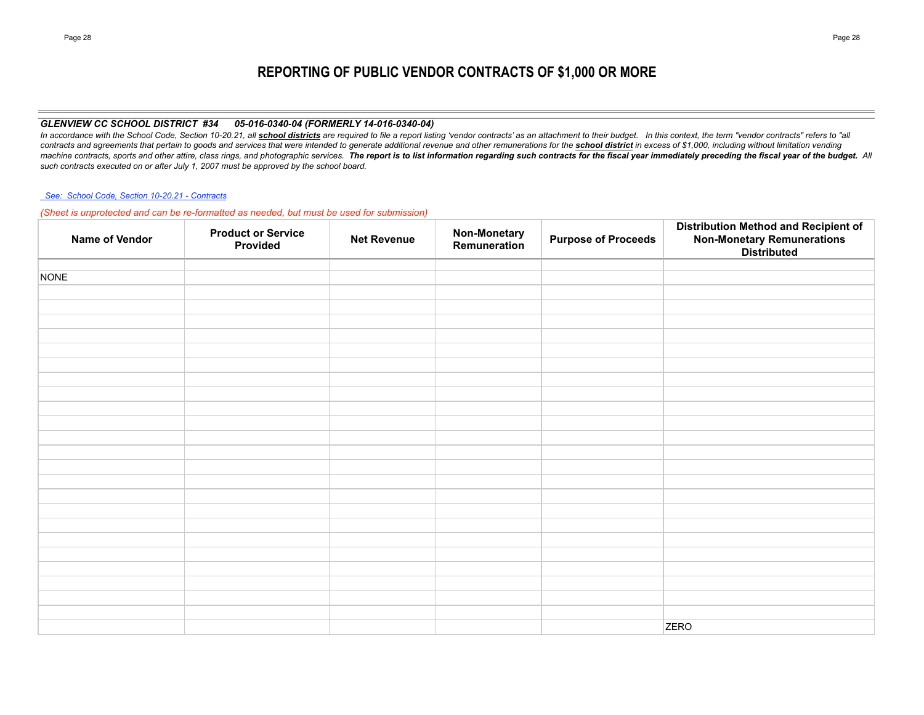# **REPORTING OF PUBLIC VENDOR CONTRACTS OF \$1,000 OR MORE**

## *GLENVIEW CC SCHOOL DISTRICT #34 05-016-0340-04 (FORMERLY 14-016-0340-04)*

In accordance with the School Code, Section 10-20.21, all school districts are required to file a report listing 'vendor contracts' as an attachment to their budget. In this context, the term "vendor contracts" refers to " contracts and agreements that pertain to goods and services that were intended to generate additional revenue and other remunerations for the school district in excess of \$1,000, including without limitation vending machine contracts, sports and other attire, class rings, and photographic services. The report is to list information regarding such contracts for the fiscal year immediately preceding the fiscal year of the budget. All *such contracts executed on or after July 1, 2007 must be approved by the school board.*

### *See: School Code, Section 10-20.21 - Contracts*

*(Sheet is unprotected and can be re-formatted as needed, but must be used for submission)*

| Name of Vendor | <b>Product or Service</b><br>Provided | <b>Net Revenue</b> | <b>Non-Monetary</b><br>Remuneration | <b>Purpose of Proceeds</b> | <b>Distribution Method and Recipient of</b><br>Non-Monetary Remunerations<br>Distributed |
|----------------|---------------------------------------|--------------------|-------------------------------------|----------------------------|------------------------------------------------------------------------------------------|
|                |                                       |                    |                                     |                            |                                                                                          |
| <b>NONE</b>    |                                       |                    |                                     |                            |                                                                                          |
|                |                                       |                    |                                     |                            |                                                                                          |
|                |                                       |                    |                                     |                            |                                                                                          |
|                |                                       |                    |                                     |                            |                                                                                          |
|                |                                       |                    |                                     |                            |                                                                                          |
|                |                                       |                    |                                     |                            |                                                                                          |
|                |                                       |                    |                                     |                            |                                                                                          |
|                |                                       |                    |                                     |                            |                                                                                          |
|                |                                       |                    |                                     |                            |                                                                                          |
|                |                                       |                    |                                     |                            |                                                                                          |
|                |                                       |                    |                                     |                            |                                                                                          |
|                |                                       |                    |                                     |                            |                                                                                          |
|                |                                       |                    |                                     |                            |                                                                                          |
|                |                                       |                    |                                     |                            |                                                                                          |
|                |                                       |                    |                                     |                            |                                                                                          |
|                |                                       |                    |                                     |                            |                                                                                          |
|                |                                       |                    |                                     |                            |                                                                                          |
|                |                                       |                    |                                     |                            |                                                                                          |
|                |                                       |                    |                                     |                            |                                                                                          |
|                |                                       |                    |                                     |                            |                                                                                          |
|                |                                       |                    |                                     |                            |                                                                                          |
|                |                                       |                    |                                     |                            |                                                                                          |
|                |                                       |                    |                                     |                            |                                                                                          |
|                |                                       |                    |                                     |                            |                                                                                          |
|                |                                       |                    |                                     |                            | <b>ZERO</b>                                                                              |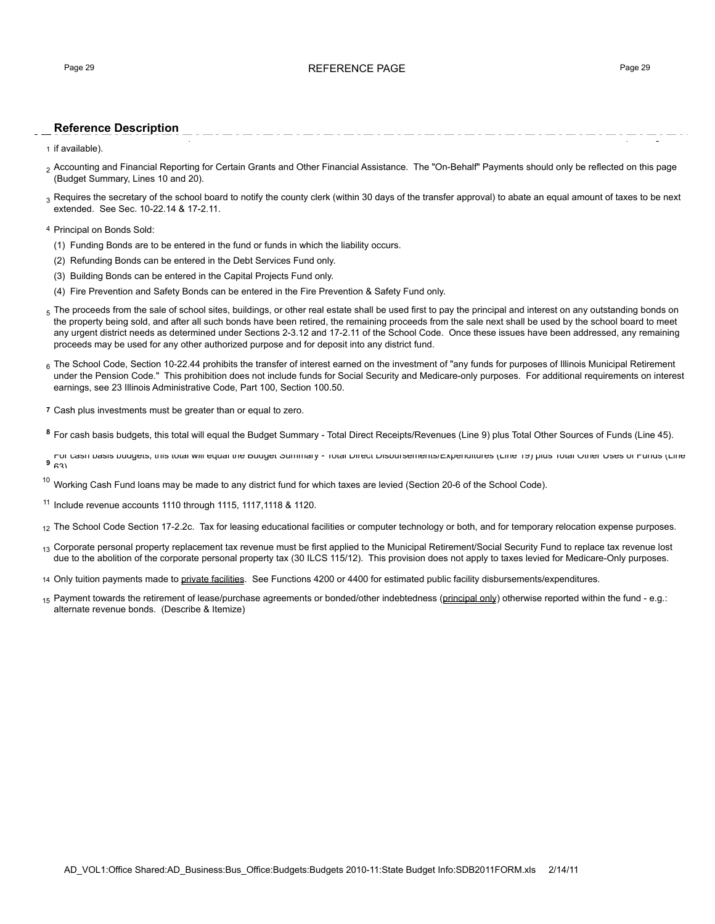#### **Reference Description** Each fund balance should correspond to the fund balance reflected on the books as of June 30th - Balance Sheet Accounts #720 and #730 (audit figures,

1 if available).

- <sub>2</sub> Accounting and Financial Reporting for Certain Grants and Other Financial Assistance. The "On-Behalf" Payments should only be reflected on this page (Budget Summary, Lines 10 and 20).
- 3 Requires the secretary of the school board to notify the county clerk (within 30 days of the transfer approval) to abate an equal amount of taxes to be next extended. See Sec. 10-22.14 & 17-2.11.

4 Principal on Bonds Sold:

- (1) Funding Bonds are to be entered in the fund or funds in which the liability occurs.
- (2) Refunding Bonds can be entered in the Debt Services Fund only.
- (3) Building Bonds can be entered in the Capital Projects Fund only.
- (4) Fire Prevention and Safety Bonds can be entered in the Fire Prevention & Safety Fund only.
- $5$  The proceeds from the sale of school sites, buildings, or other real estate shall be used first to pay the principal and interest on any outstanding bonds on the property being sold, and after all such bonds have been retired, the remaining proceeds from the sale next shall be used by the school board to meet any urgent district needs as determined under Sections 2-3.12 and 17-2.11 of the School Code. Once these issues have been addressed, any remaining proceeds may be used for any other authorized purpose and for deposit into any district fund.
- 6 The School Code, Section 10-22.44 prohibits the transfer of interest earned on the investment of "any funds for purposes of Illinois Municipal Retirement under the Pension Code." This prohibition does not include funds for Social Security and Medicare-only purposes. For additional requirements on interest earnings, see 23 Illinois Administrative Code, Part 100, Section 100.50.
- **7** Cash plus investments must be greater than or equal to zero.
- **<sup>8</sup>** For cash basis budgets, this total will equal the Budget Summary Total Direct Receipts/Revenues (Line 9) plus Total Other Sources of Funds (Line 45).

**<sup>9</sup>** For cash basis budgets, this total will equal the Budget Summary - Total Direct Disbursements/Expenditures (Line 19) plus Total Other Uses of Funds (Line  $9^{63}$ 

 $10$  Working Cash Fund loans may be made to any district fund for which taxes are levied (Section 20-6 of the School Code).

<sup>11</sup> Include revenue accounts 1110 through 1115, 1117,1118 & 1120.

12 The School Code Section 17-2.2c. Tax for leasing educational facilities or computer technology or both, and for temporary relocation expense purposes.

- <sub>13</sub> Corporate personal property replacement tax revenue must be first applied to the Municipal Retirement/Social Security Fund to replace tax revenue lost due to the abolition of the corporate personal property tax (30 ILCS 115/12). This provision does not apply to taxes levied for Medicare-Only purposes.
- 14 Only tuition payments made to private facilities. See Functions 4200 or 4400 for estimated public facility disbursements/expenditures.
- <sub>15</sub> Payment towards the retirement of lease/purchase agreements or bonded/other indebtedness (principal only) otherwise reported within the fund e.g.: alternate revenue bonds. (Describe & Itemize)